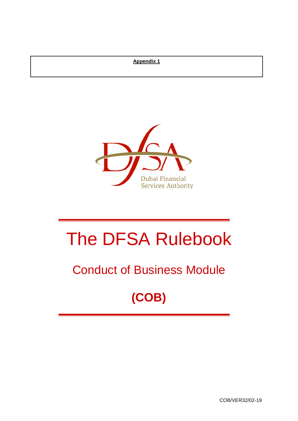# **Appendix 1**



# The DFSA Rulebook

# Conduct of Business Module

# **(COB)**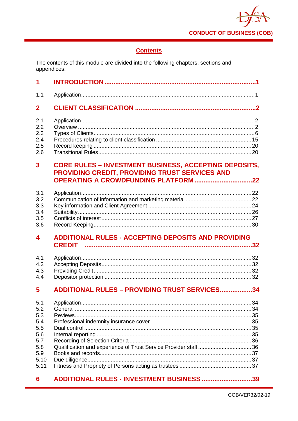

# **Contents**

The contents of this module are divided into the following chapters, sections and appendices:

| 1                                      |                                                                                                                                                               |  |
|----------------------------------------|---------------------------------------------------------------------------------------------------------------------------------------------------------------|--|
| 1.1                                    |                                                                                                                                                               |  |
| $\mathbf 2$                            |                                                                                                                                                               |  |
| 2.1<br>2.2<br>2.3<br>2.4<br>2.5<br>2.6 |                                                                                                                                                               |  |
| 3                                      | <b>CORE RULES - INVESTMENT BUSINESS, ACCEPTING DEPOSITS,</b><br>PROVIDING CREDIT, PROVIDING TRUST SERVICES AND<br><b>OPERATING A CROWDFUNDING PLATFORM 22</b> |  |
| 3.1<br>3.2<br>3.3<br>3.4<br>3.5<br>3.6 |                                                                                                                                                               |  |
| 4                                      | <b>ADDITIONAL RULES - ACCEPTING DEPOSITS AND PROVIDING</b>                                                                                                    |  |
|                                        | <b>CREDIT</b>                                                                                                                                                 |  |
| 4.1<br>4.2<br>4.3<br>4.4               |                                                                                                                                                               |  |
| 5                                      | <b>ADDITIONAL RULES - PROVIDING TRUST SERVICES34</b>                                                                                                          |  |

#### ADDITIONAL RULES - INVESTMENT BUSINESS ............................39  $6\phantom{1}$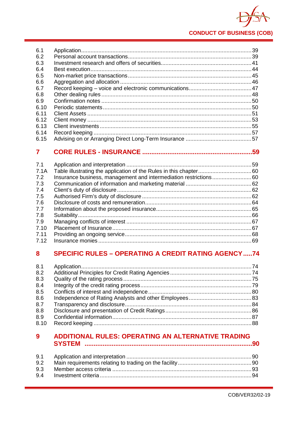

|      | 59 |
|------|----|
|      |    |
| 6.15 |    |
| 6.14 |    |
| 6.13 |    |
| 6.12 |    |
| 6.11 |    |
| 6.10 |    |
| 6.9  |    |
| 6.8  |    |
| 6.7  |    |
| 6.6  |    |
| 6.5  |    |
| 6.4  |    |
| 6.3  |    |
| 6.2  |    |
| 6.1  |    |
|      |    |

| 7.1  |  |
|------|--|
| 7.1A |  |
| 7.2  |  |
| 7.3  |  |
| 7.4  |  |
| 7.5  |  |
| 7.6  |  |
| 7.7  |  |
| 7.8  |  |
| 7.9  |  |
| 7.10 |  |
| 7.11 |  |
| 7.12 |  |

# 8 SPECIFIC RULES - OPERATING A CREDIT RATING AGENCY.....74

| 8.1  |  |
|------|--|
| 8.2  |  |
| 8.3  |  |
| 8.4  |  |
| 8.5  |  |
| 8.6  |  |
| 8.7  |  |
| 8.8  |  |
| 8.9  |  |
| 8.10 |  |
|      |  |

# ADDITIONAL RULES: OPERATING AN ALTERNATIVE TRADING  $9<sup>°</sup>$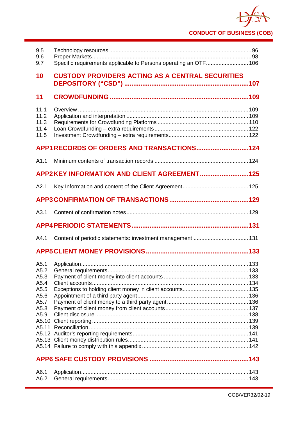# **CONDUCT OF BUSINESS (COB)**

| 9.5<br>9.6<br>9.7                                                    | Specific requirements applicable to Persons operating an OTF 106 |  |
|----------------------------------------------------------------------|------------------------------------------------------------------|--|
| 10                                                                   | <b>CUSTODY PROVIDERS ACTING AS A CENTRAL SECURITIES</b>          |  |
| 11                                                                   |                                                                  |  |
| 11.1<br>11.2<br>11.3<br>11.4<br>11.5                                 |                                                                  |  |
|                                                                      | APP1 RECORDS OF ORDERS AND TRANSACTIONS124                       |  |
| A1.1                                                                 |                                                                  |  |
|                                                                      | APP2KEY INFORMATION AND CLIENT AGREEMENT125                      |  |
| A2.1                                                                 |                                                                  |  |
|                                                                      |                                                                  |  |
| A3.1                                                                 |                                                                  |  |
|                                                                      |                                                                  |  |
|                                                                      |                                                                  |  |
| A4.1                                                                 |                                                                  |  |
|                                                                      |                                                                  |  |
| A5.1<br>A5.2<br>A5.3<br>A5.4<br>A5.5<br>A5.6<br>A5.7<br>A5.8<br>A5.9 |                                                                  |  |
|                                                                      |                                                                  |  |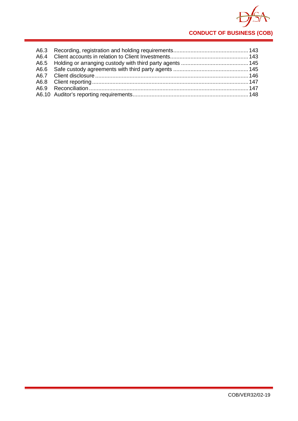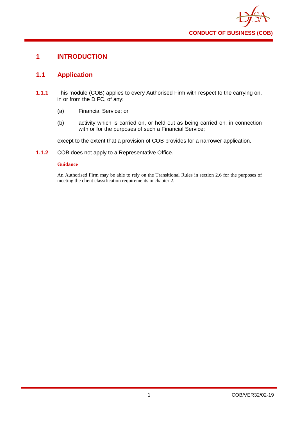

# <span id="page-5-0"></span>**1 INTRODUCTION**

# <span id="page-5-1"></span>**1.1 Application**

- **1.1.1** This module (COB) applies to every Authorised Firm with respect to the carrying on, in or from the DIFC, of any:
	- (a) Financial Service; or
	- (b) activity which is carried on, or held out as being carried on, in connection with or for the purposes of such a Financial Service:

except to the extent that a provision of COB provides for a narrower application.

**1.1.2** COB does not apply to a Representative Office.

# **Guidance**

An Authorised Firm may be able to rely on the Transitional Rules in section 2.6 for the purposes of meeting the client classification requirements in chapter 2.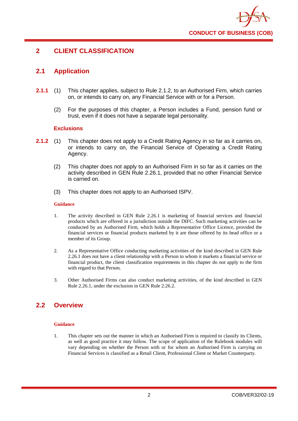

# <span id="page-6-0"></span>**2 CLIENT CLASSIFICATION**

# <span id="page-6-1"></span>**2.1 Application**

- **2.1.1** (1) This chapter applies, subject to Rule 2.1.2, to an Authorised Firm, which carries on, or intends to carry on, any Financial Service with or for a Person.
	- (2) For the purposes of this chapter, a Person includes a Fund, pension fund or trust, even if it does not have a separate legal personality.

# **Exclusions**

- **2.1.2** (1) This chapter does not apply to a Credit Rating Agency in so far as it carries on, or intends to carry on, the Financial Service of Operating a Credit Rating Agency.
	- (2) This chapter does not apply to an Authorised Firm in so far as it carries on the activity described in GEN Rule 2.26.1, provided that no other Financial Service is carried on.
	- (3) This chapter does not apply to an Authorised ISPV.

#### **Guidance**

- 1. The activity described in GEN Rule 2.26.1 is marketing of financial services and financial products which are offered in a jurisdiction outside the DIFC. Such marketing activities can be conducted by an Authorised Firm, which holds a Representative Office Licence, provided the financial services or financial products marketed by it are those offered by its head office or a member of its Group.
- 2. As a Representative Office conducting marketing activities of the kind described in GEN Rule 2.26.1 does not have a client relationship with a Person to whom it markets a financial service or financial product, the client classification requirements in this chapter do not apply to the firm with regard to that Person.
- 3. Other Authorised Firms can also conduct marketing activities, of the kind described in GEN Rule 2.26.1, under the exclusion in GEN Rule 2.26.2.

# <span id="page-6-2"></span>**2.2 Overview**

#### **Guidance**

1. This chapter sets out the manner in which an Authorised Firm is required to classify its Clients, as well as good practice it may follow. The scope of application of the Rulebook modules will vary depending on whether the Person with or for whom an Authorised Firm is carrying on Financial Services is classified as a Retail Client, Professional Client or Market Counterparty.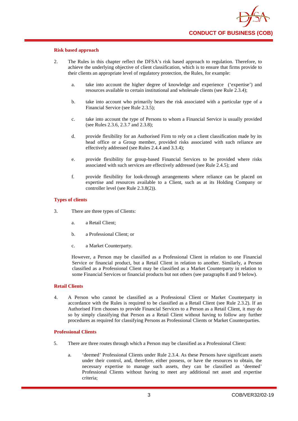#### **Risk based approach**

- 2. The Rules in this chapter reflect the DFSA's risk based approach to regulation. Therefore, to achieve the underlying objective of client classification, which is to ensure that firms provide to their clients an appropriate level of regulatory protection, the Rules, for example:
	- a. take into account the higher degree of knowledge and experience ('expertise') and resources available to certain institutional and wholesale clients (see Rule 2.3.4);
	- b. take into account who primarily bears the risk associated with a particular type of a Financial Service (see Rule 2.3.5);
	- c. take into account the type of Persons to whom a Financial Service is usually provided (see Rules 2.3.6, 2.3.7 and 2.3.8);
	- d. provide flexibility for an Authorised Firm to rely on a client classification made by its head office or a Group member, provided risks associated with such reliance are effectively addressed (see Rules 2.4.4 and 3.3.4);
	- e. provide flexibility for group-based Financial Services to be provided where risks associated with such services are effectively addressed (see Rule 2.4.5); and
	- f. provide flexibility for look-through arrangements where reliance can be placed on expertise and resources available to a Client, such as at its Holding Company or controller level (see Rule 2.3.8(2)).

#### **Types of clients**

- 3. There are three types of Clients:
	- a. a Retail Client;
	- b. a Professional Client; or
	- c. a Market Counterparty.

However, a Person may be classified as a Professional Client in relation to one Financial Service or financial product, but a Retail Client in relation to another. Similarly, a Person classified as a Professional Client may be classified as a Market Counterparty in relation to some Financial Services or financial products but not others (see paragraphs 8 and 9 below).

#### **Retail Clients**

4. A Person who cannot be classified as a Professional Client or Market Counterparty in accordance with the Rules is required to be classified as a Retail Client (see Rule 2.3.2). If an Authorised Firm chooses to provide Financial Services to a Person as a Retail Client, it may do so by simply classifying that Person as a Retail Client without having to follow any further procedures as required for classifying Persons as Professional Clients or Market Counterparties.

# **Professional Clients**

- 5. There are three routes through which a Person may be classified as a Professional Client:
	- a. 'deemed' Professional Clients under Rule 2.3.4. As these Persons have significant assets under their control, and, therefore, either possess, or have the resources to obtain, the necessary expertise to manage such assets, they can be classified as 'deemed' Professional Clients without having to meet any additional net asset and expertise criteria;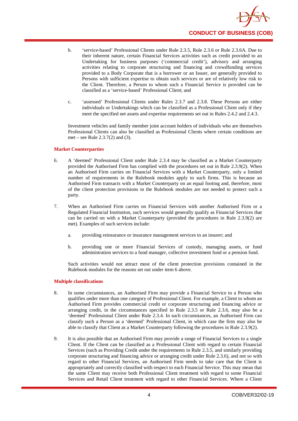

- b. 'service-based' Professional Clients under Rule 2.3.5, Rule 2.3.6 or Rule 2.3.6A. Due to their inherent nature, certain Financial Services activities such as credit provided to an Undertaking for business purposes ('commercial credit'), advisory and arranging activities relating to corporate structuring and financing and crowdfunding services provided to a Body Corporate that is a borrower or an Issuer, are generally provided to Persons with sufficient expertise to obtain such services or are of relatively low risk to the Client. Therefore, a Person to whom such a Financial Service is provided can be classified as a 'service-based' Professional Client; and
- c. 'assessed' Professional Clients under Rules 2.3.7 and 2.3.8. These Persons are either individuals or Undertakings which can be classified as a Professional Client only if they meet the specified net assets and expertise requirements set out in Rules 2.4.2 and 2.4.3.

Investment vehicles and family member joint account holders of individuals who are themselves Professional Clients can also be classified as Professional Clients where certain conditions are met – see Rule 2.3.7(2) and (3).

#### **Market Counterparties**

- 6. A 'deemed' Professional Client under Rule 2.3.4 may be classified as a Market Counterparty provided the Authorised Firm has complied with the procedures set out in Rule 2.3.9(2). When an Authorised Firm carries on Financial Services with a Market Counterparty, only a limited number of requirements in the Rulebook modules apply to such firms. This is because an Authorised Firm transacts with a Market Counterparty on an equal footing and, therefore, most of the client protection provisions in the Rulebook modules are not needed to protect such a party.
- 7. When an Authorised Firm carries on Financial Services with another Authorised Firm or a Regulated Financial Institution, such services would generally qualify as Financial Services that can be carried on with a Market Counterparty (provided the procedures in Rule 2.3.9(2) are met). Examples of such services include:
	- a. providing reinsurance or insurance management services to an insurer; and
	- b. providing one or more Financial Services of custody, managing assets, or fund administration services to a fund manager, collective investment fund or a pension fund.

Such activities would not attract most of the client protection provisions contained in the Rulebook modules for the reasons set out under item 6 above.

#### **Multiple classifications**

- 8. In some circumstances, an Authorised Firm may provide a Financial Service to a Person who qualifies under more than one category of Professional Client. For example, a Client to whom an Authorised Firm provides commercial credit or corporate structuring and financing advice or arranging credit, in the circumstances specified in Rule 2.3.5 or Rule 2.3.6, may also be a 'deemed' Professional Client under Rule 2.3.4. In such circumstances, an Authorised Firm can classify such a Person as a 'deemed' Professional Client, in which case the firm may also be able to classify that Client as a Market Counterparty following the procedures in Rule 2.3.9(2).
- 9. It is also possible that an Authorised Firm may provide a range of Financial Services to a single Client. If the Client can be classified as a Professional Client with regard to certain Financial Services (such as Providing Credit under the requirements in Rule 2.3.5, and similarly providing corporate structuring and financing advice or arranging credit under Rule 2.3.6), and not so with regard to other Financial Services, an Authorised Firm needs to take care that the Client is appropriately and correctly classified with respect to each Financial Service. This may mean that the same Client may receive both Professional Client treatment with regard to some Financial Services and Retail Client treatment with regard to other Financial Services. Where a Client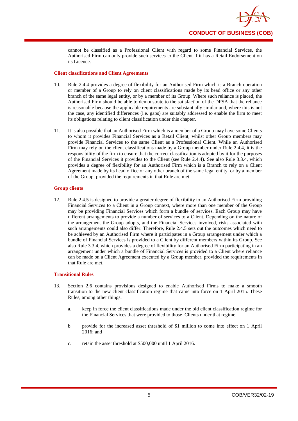

cannot be classified as a Professional Client with regard to some Financial Services, the Authorised Firm can only provide such services to the Client if it has a Retail Endorsement on its Licence.

#### **Client classifications and Client Agreements**

- 10. Rule 2.4.4 provides a degree of flexibility for an Authorised Firm which is a Branch operation or member of a Group to rely on client classifications made by its head office or any other branch of the same legal entity, or by a member of its Group. Where such reliance is placed, the Authorised Firm should be able to demonstrate to the satisfaction of the DFSA that the reliance is reasonable because the applicable requirements are substantially similar and, where this is not the case, any identified differences (i.e. gaps) are suitably addressed to enable the firm to meet its obligations relating to client classification under this chapter.
- 11. It is also possible that an Authorised Firm which is a member of a Group may have some Clients to whom it provides Financial Services as a Retail Client, whilst other Group members may provide Financial Services to the same Client as a Professional Client. While an Authorised Firm may rely on the client classifications made by a Group member under Rule 2.4.4, it is the responsibility of the firm to ensure that the correct classification is adopted by it for the purposes of the Financial Services it provides to the Client (see Rule 2.4.4). See also Rule 3.3.4, which provides a degree of flexibility for an Authorised Firm which is a Branch to rely on a Client Agreement made by its head office or any other branch of the same legal entity, or by a member of the Group, provided the requirements in that Rule are met.

#### **Group clients**

12. Rule 2.4.5 is designed to provide a greater degree of flexibility to an Authorised Firm providing Financial Services to a Client in a Group context, where more than one member of the Group may be providing Financial Services which form a bundle of services. Each Group may have different arrangements to provide a number of services to a Client. Depending on the nature of the arrangement the Group adopts, and the Financial Services involved, risks associated with such arrangements could also differ. Therefore, Rule 2.4.5 sets out the outcomes which need to be achieved by an Authorised Firm where it participates in a Group arrangement under which a bundle of Financial Services is provided to a Client by different members within its Group. See also Rule 3.3.4, which provides a degree of flexibility for an Authorised Firm participating in an arrangement under which a bundle of Financial Services is provided to a Client where reliance can be made on a Client Agreement executed by a Group member, provided the requirements in that Rule are met.

#### **Transitional Rules**

- 13. Section 2.6 contains provisions designed to enable Authorised Firms to make a smooth transition to the new client classification regime that came into force on 1 April 2015. These Rules, among other things:
	- a. keep in force the client classifications made under the old client classification regime for the Financial Services that were provided to those Clients under that regime;
	- b. provide for the increased asset threshold of \$1 million to come into effect on 1 April 2016; and
	- c. retain the asset threshold at \$500,000 until 1 April 2016.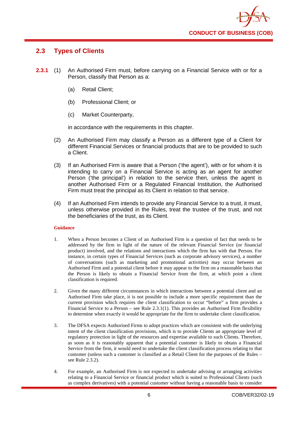

# <span id="page-10-0"></span>**2.3 Types of Clients**

- **2.3.1** (1) An Authorised Firm must, before carrying on a Financial Service with or for a Person, classify that Person as a:
	- (a) Retail Client;
	- (b) Professional Client; or
	- (c) Market Counterparty,

in accordance with the requirements in this chapter.

- (2) An Authorised Firm may classify a Person as a different type of a Client for different Financial Services or financial products that are to be provided to such a Client.
- (3) If an Authorised Firm is aware that a Person ('the agent'), with or for whom it is intending to carry on a Financial Service is acting as an agent for another Person ('the principal') in relation to the service then, unless the agent is another Authorised Firm or a Regulated Financial Institution, the Authorised Firm must treat the principal as its Client in relation to that service.
- (4) If an Authorised Firm intends to provide any Financial Service to a trust, it must, unless otherwise provided in the Rules, treat the trustee of the trust, and not the beneficiaries of the trust, as its Client.

# **Guidance**

- 1. When a Person becomes a Client of an Authorised Firm is a question of fact that needs to be addressed by the firm in light of the nature of the relevant Financial Service (or financial product) involved, and the relations and interactions which the firm has with that Person. For instance, in certain types of Financial Services (such as corporate advisory services), a number of conversations (such as marketing and promotional activities) may occur between an Authorised Firm and a potential client before it may appear to the firm on a reasonable basis that the Person is likely to obtain a Financial Service from the firm, at which point a client classification is required.
- 2. Given the many different circumstances in which interactions between a potential client and an Authorised Firm take place, it is not possible to include a more specific requirement than the current provision which requires the client classification to occur "before" a firm provides a Financial Service to a Person – see Rule 2.3.1(1). This provides an Authorised Firm flexibility to determine when exactly it would be appropriate for the firm to undertake client classification.
- 3. The DFSA expects Authorised Firms to adopt practices which are consistent with the underlying intent of the client classification provisions, which is to provide Clients an appropriate level of regulatory protection in light of the resources and expertise available to such Clients. Therefore, as soon as it is reasonably apparent that a potential customer is likely to obtain a Financial Service from the firm, it would need to undertake the client classification process relating to that customer (unless such a customer is classified as a Retail Client for the purposes of the Rules – see Rule 2.3.2).
- 4. For example, an Authorised Firm is not expected to undertake advising or arranging activities relating to a Financial Service or financial product which is suited to Professional Clients (such as complex derivatives) with a potential customer without having a reasonable basis to consider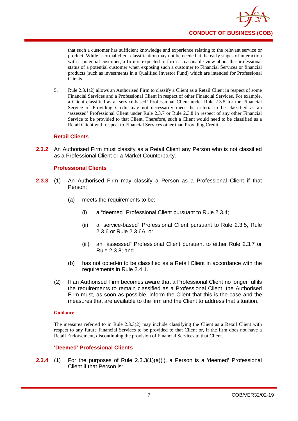

that such a customer has sufficient knowledge and experience relating to the relevant service or product. While a formal client classification may not be needed at the early stages of interaction with a potential customer, a firm is expected to form a reasonable view about the professional status of a potential customer when exposing such a customer to Financial Services or financial products (such as investments in a Qualified Investor Fund) which are intended for Professional Clients.

5. Rule 2.3.1(2) allows an Authorised Firm to classify a Client as a Retail Client in respect of some Financial Services and a Professional Client in respect of other Financial Services. For example, a Client classified as a 'service-based' Professional Client under Rule 2.3.5 for the Financial Service of Providing Credit may not necessarily meet the criteria to be classified as an 'assessed' Professional Client under Rule 2.3.7 or Rule 2.3.8 in respect of any other Financial Service to be provided to that Client. Therefore, such a Client would need to be classified as a Retail Client with respect to Financial Services other than Providing Credit.

# **Retail Clients**

**2.3.2** An Authorised Firm must classify as a Retail Client any Person who is not classified as a Professional Client or a Market Counterparty.

# **Professional Clients**

- **2.3.3** (1) An Authorised Firm may classify a Person as a Professional Client if that Person:
	- (a) meets the requirements to be:
		- (i) a "deemed" Professional Client pursuant to Rule 2.3.4;
		- (ii) a "service-based" Professional Client pursuant to Rule 2.3.5, Rule 2.3.6 or Rule 2.3.6A; or
		- (iii) an "assessed" Professional Client pursuant to either Rule 2.3.7 or Rule 2.3.8; and
	- (b) has not opted-in to be classified as a Retail Client in accordance with the requirements in Rule 2.4.1.
	- (2) If an Authorised Firm becomes aware that a Professional Client no longer fulfils the requirements to remain classified as a Professional Client, the Authorised Firm must, as soon as possible, inform the Client that this is the case and the measures that are available to the firm and the Client to address that situation.

#### **Guidance**

The measures referred to in Rule 2.3.3(2) may include classifying the Client as a Retail Client with respect to any future Financial Services to be provided to that Client or, if the firm does not have a Retail Endorsement, discontinuing the provision of Financial Services to that Client.

# **'Deemed' Professional Clients**

**2.3.4** (1) For the purposes of Rule 2.3.3(1)(a)(i), a Person is a 'deemed' Professional Client if that Person is: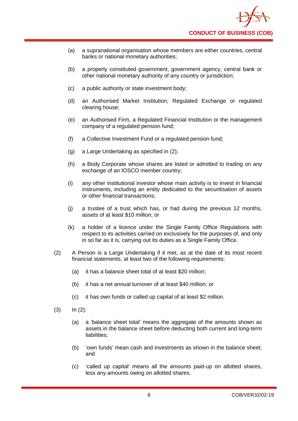- (a) a supranational organisation whose members are either countries, central banks or national monetary authorities;
- (b) a properly constituted government, government agency, central bank or other national monetary authority of any country or jurisdiction;
- (c) a public authority or state investment body;
- (d) an Authorised Market Institution, Regulated Exchange or regulated clearing house;
- (e) an Authorised Firm, a Regulated Financial Institution or the management company of a regulated pension fund;
- (f) a Collective Investment Fund or a regulated pension fund;
- (g) a Large Undertaking as specified in (2);
- (h) a Body Corporate whose shares are listed or admitted to trading on any exchange of an IOSCO member country;
- (i) any other institutional investor whose main activity is to invest in financial instruments, including an entity dedicated to the securitisation of assets or other financial transactions;
- (j) a trustee of a trust which has, or had during the previous 12 months, assets of at least \$10 million; or
- (k) a holder of a licence under the Single Family Office Regulations with respect to its activities carried on exclusively for the purposes of, and only in so far as it is, carrying out its duties as a Single Family Office.
- (2) A Person is a Large Undertaking if it met, as at the date of its most recent financial statements, at least two of the following requirements:
	- (a) it has a balance sheet total of at least \$20 million;
	- (b) it has a net annual turnover of at least \$40 million; or
	- (c) it has own funds or called up capital of at least \$2 million.
- $(3)$   $\ln (2)$ :
	- (a) a 'balance sheet total' means the aggregate of the amounts shown as assets in the balance sheet before deducting both current and long-term liabilities:
	- (b) 'own funds' mean cash and investments as shown in the balance sheet; and
	- (c) 'called up capital' means all the amounts paid-up on allotted shares, less any amounts owing on allotted shares.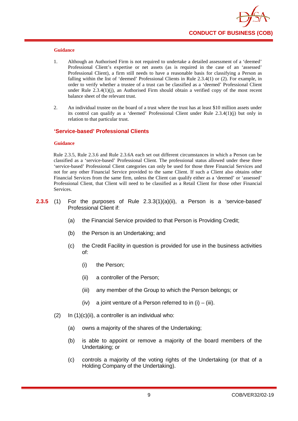

- 1. Although an Authorised Firm is not required to undertake a detailed assessment of a 'deemed' Professional Client's expertise or net assets (as is required in the case of an 'assessed' Professional Client), a firm still needs to have a reasonable basis for classifying a Person as falling within the list of 'deemed' Professional Clients in Rule 2.3.4(1) or (2). For example, in order to verify whether a trustee of a trust can be classified as a 'deemed' Professional Client under Rule 2.3.4(1)(j), an Authorised Firm should obtain a verified copy of the most recent balance sheet of the relevant trust.
- 2. An individual trustee on the board of a trust where the trust has at least \$10 million assets under its control can qualify as a 'deemed' Professional Client under Rule 2.3.4(1)(j) but only in relation to that particular trust.

# **'Service-based' Professional Clients**

#### **Guidance**

Rule 2.3.5, Rule 2.3.6 and Rule 2.3.6A each set out different circumstances in which a Person can be classified as a 'service-based' Professional Client. The professional status allowed under these three 'service-based' Professional Client categories can only be used for those three Financial Services and not for any other Financial Service provided to the same Client. If such a Client also obtains other Financial Services from the same firm, unless the Client can qualify either as a 'deemed' or 'assessed' Professional Client, that Client will need to be classified as a Retail Client for those other Financial Services.

- **2.3.5** (1) For the purposes of Rule 2.3.3(1)(a)(ii), a Person is a 'service-based' Professional Client if:
	- (a) the Financial Service provided to that Person is Providing Credit;
	- (b) the Person is an Undertaking; and
	- (c) the Credit Facility in question is provided for use in the business activities of:
		- (i) the Person;
		- (ii) a controller of the Person;
		- (iii) any member of the Group to which the Person belongs; or
		- $(iv)$  a joint venture of a Person referred to in  $(i) (iii)$ .
	- $(2)$  In  $(1)(c)(ii)$ , a controller is an individual who:
		- (a) owns a majority of the shares of the Undertaking;
		- (b) is able to appoint or remove a majority of the board members of the Undertaking; or
		- (c) controls a majority of the voting rights of the Undertaking (or that of a Holding Company of the Undertaking).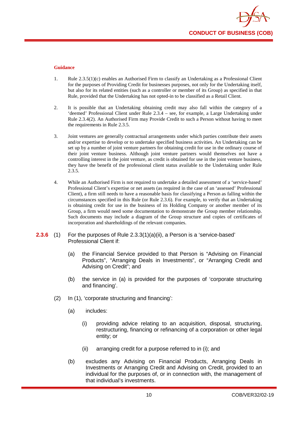

- 1. Rule 2.3.5(1)(c) enables an Authorised Firm to classify an Undertaking as a Professional Client for the purposes of Providing Credit for businesses purposes, not only for the Undertaking itself, but also for its related entities (such as a controller or member of its Group) as specified in that Rule, provided that the Undertaking has not opted-in to be classified as a Retail Client.
- 2. It is possible that an Undertaking obtaining credit may also fall within the category of a 'deemed' Professional Client under Rule 2.3.4 – see, for example, a Large Undertaking under Rule 2.3.4(2). An Authorised Firm may Provide Credit to such a Person without having to meet the requirements in Rule 2.3.5.
- 3. Joint ventures are generally contractual arrangements under which parties contribute their assets and/or expertise to develop or to undertake specified business activities. An Undertaking can be set up by a number of joint venture partners for obtaining credit for use in the ordinary course of their joint venture business. Although joint venture partners would themselves not have a controlling interest in the joint venture, as credit is obtained for use in the joint venture business, they have the benefit of the professional client status available to the Undertaking under Rule 2.3.5.
- 4. While an Authorised Firm is not required to undertake a detailed assessment of a 'service-based' Professional Client's expertise or net assets (as required in the case of an 'assessed' Professional Client), a firm still needs to have a reasonable basis for classifying a Person as falling within the circumstances specified in this Rule (or Rule 2.3.6). For example, to verify that an Undertaking is obtaining credit for use in the business of its Holding Company or another member of its Group, a firm would need some documentation to demonstrate the Group member relationship. Such documents may include a diagram of the Group structure and copies of certificates of incorporation and shareholdings of the relevant companies.
- **2.3.6** (1) For the purposes of Rule 2.3.3(1)(a)(ii), a Person is a 'service-based' Professional Client if:
	- (a) the Financial Service provided to that Person is "Advising on Financial Products", "Arranging Deals in Investments", or "Arranging Credit and Advising on Credit"; and
	- (b) the service in (a) is provided for the purposes of 'corporate structuring and financing'.
	- (2) In (1), 'corporate structuring and financing':
		- (a) includes:
			- (i) providing advice relating to an acquisition, disposal, structuring, restructuring, financing or refinancing of a corporation or other legal entity; or
			- (ii) arranging credit for a purpose referred to in (i); and
		- (b) excludes any Advising on Financial Products, Arranging Deals in Investments or Arranging Credit and Advising on Credit, provided to an individual for the purposes of, or in connection with, the management of that individual's investments.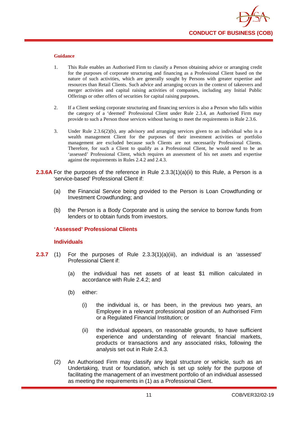

- 1. This Rule enables an Authorised Firm to classify a Person obtaining advice or arranging credit for the purposes of corporate structuring and financing as a Professional Client based on the nature of such activities, which are generally sought by Persons with greater expertise and resources than Retail Clients. Such advice and arranging occurs in the context of takeovers and merger activities and capital raising activities of companies, including any Initial Public Offerings or other offers of securities for capital raising purposes.
- 2. If a Client seeking corporate structuring and financing services is also a Person who falls within the category of a 'deemed' Professional Client under Rule 2.3.4, an Authorised Firm may provide to such a Person those services without having to meet the requirements in Rule 2.3.6.
- 3. Under Rule 2.3.6(2)(b), any advisory and arranging services given to an individual who is a wealth management Client for the purposes of their investment activities or portfolio management are excluded because such Clients are not necessarily Professional Clients. Therefore, for such a Client to qualify as a Professional Client, he would need to be an 'assessed' Professional Client, which requires an assessment of his net assets and expertise against the requirements in Rules 2.4.2 and 2.4.3.
- **2.3.6A** For the purposes of the reference in Rule 2.3.3(1)(a)(ii) to this Rule, a Person is a 'service-based' Professional Client if:
	- (a) the Financial Service being provided to the Person is Loan Crowdfunding or Investment Crowdfunding; and
	- (b) the Person is a Body Corporate and is using the service to borrow funds from lenders or to obtain funds from investors.

# **'Assessed' Professional Clients**

#### **Individuals**

- **2.3.7** (1) For the purposes of Rule 2.3.3(1)(a)(iii), an individual is an 'assessed' Professional Client if:
	- (a) the individual has net assets of at least \$1 million calculated in accordance with Rule 2.4.2; and
	- (b) either:
		- (i) the individual is, or has been, in the previous two years, an Employee in a relevant professional position of an Authorised Firm or a Regulated Financial Institution; or
		- (ii) the individual appears, on reasonable grounds, to have sufficient experience and understanding of relevant financial markets, products or transactions and any associated risks, following the analysis set out in Rule 2.4.3.
	- (2) An Authorised Firm may classify any legal structure or vehicle, such as an Undertaking, trust or foundation, which is set up solely for the purpose of facilitating the management of an investment portfolio of an individual assessed as meeting the requirements in (1) as a Professional Client.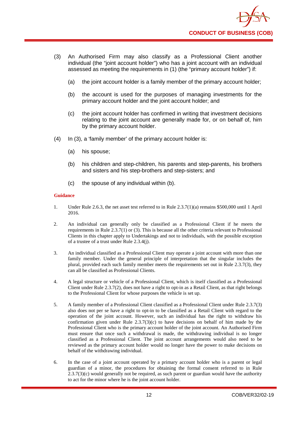

- (3) An Authorised Firm may also classify as a Professional Client another individual (the "joint account holder") who has a joint account with an individual assessed as meeting the requirements in (1) (the "primary account holder") if:
	- (a) the joint account holder is a family member of the primary account holder;
	- (b) the account is used for the purposes of managing investments for the primary account holder and the joint account holder; and
	- (c) the joint account holder has confirmed in writing that investment decisions relating to the joint account are generally made for, or on behalf of, him by the primary account holder.
- (4) In (3), a 'family member' of the primary account holder is:
	- (a) his spouse;
	- (b) his children and step-children, his parents and step-parents, his brothers and sisters and his step-brothers and step-sisters; and
	- (c) the spouse of any individual within (b).

- 1. Under Rule 2.6.3, the net asset test referred to in Rule 2.3.7(1)(a) remains \$500,000 until 1 April 2016.
- 2. An individual can generally only be classified as a Professional Client if he meets the requirements in Rule 2.3.7(1) or (3). This is because all the other criteria relevant to Professional Clients in this chapter apply to Undertakings and not to individuals, with the possible exception of a trustee of a trust under Rule 2.3.4(j).
- 3. An individual classified as a Professional Client may operate a joint account with more than one family member. Under the general principle of interpretation that the singular includes the plural, provided each such family member meets the requirements set out in Rule 2.3.7(3), they can all be classified as Professional Clients.
- 4. A legal structure or vehicle of a Professional Client, which is itself classified as a Professional Client under Rule 2.3.7(2), does not have a right to opt-in as a Retail Client, as that right belongs to the Professional Client for whose purposes the vehicle is set up.
- 5. A family member of a Professional Client classified as a Professional Client under Rule 2.3.7(3) also does not per se have a right to opt-in to be classified as a Retail Client with regard to the operation of the joint account. However, such an individual has the right to withdraw his confirmation given under Rule  $2.3.7(3)(c)$  to have decisions on behalf of him made by the Professional Client who is the primary account holder of the joint account. An Authorised Firm must ensure that once such a withdrawal is made, the withdrawing individual is no longer classified as a Professional Client. The joint account arrangements would also need to be reviewed as the primary account holder would no longer have the power to make decisions on behalf of the withdrawing individual.
- 6. In the case of a joint account operated by a primary account holder who is a parent or legal guardian of a minor, the procedures for obtaining the formal consent referred to in Rule  $2.3.7(3)$ (c) would generally not be required, as such parent or guardian would have the authority to act for the minor where he is the joint account holder.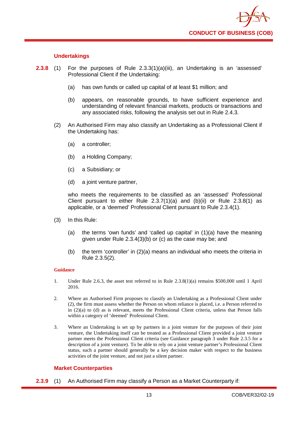

# **Undertakings**

- **2.3.8** (1) For the purposes of Rule 2.3.3(1)(a)(iii), an Undertaking is an 'assessed' Professional Client if the Undertaking:
	- (a) has own funds or called up capital of at least \$1 million; and
	- (b) appears, on reasonable grounds, to have sufficient experience and understanding of relevant financial markets, products or transactions and any associated risks, following the analysis set out in Rule 2.4.3.
	- (2) An Authorised Firm may also classify an Undertaking as a Professional Client if the Undertaking has:
		- (a) a controller;
		- (b) a Holding Company;
		- (c) a Subsidiary; or
		- (d) a joint venture partner,

who meets the requirements to be classified as an 'assessed' Professional Client pursuant to either Rule  $2.3.7(1)(a)$  and  $(b)(ii)$  or Rule  $2.3.8(1)$  as applicable, or a 'deemed' Professional Client pursuant to Rule 2.3.4(1).

- (3) In this Rule:
	- (a) the terms 'own funds' and 'called up capital' in (1)(a) have the meaning given under Rule 2.3.4(3)(b) or (c) as the case may be; and
	- (b) the term 'controller' in (2)(a) means an individual who meets the criteria in Rule 2.3.5(2).

#### **Guidance**

- 1. Under Rule 2.6.3, the asset test referred to in Rule 2.3.8(1)(a) remains \$500,000 until 1 April 2016.
- 2. Where an Authorised Firm proposes to classify an Undertaking as a Professional Client under (2), the firm must assess whether the Person on whom reliance is placed, i.e. a Person referred to in (2)(a) to (d) as is relevant, meets the Professional Client criteria, unless that Person falls within a category of 'deemed' Professional Client.
- 3. Where an Undertaking is set up by partners in a joint venture for the purposes of their joint venture, the Undertaking itself can be treated as a Professional Client provided a joint venture partner meets the Professional Client criteria (see Guidance paragraph 3 under Rule 2.3.5 for a description of a joint venture). To be able to rely on a joint venture partner's Professional Client status, such a partner should generally be a key decision maker with respect to the business activities of the joint venture, and not just a silent partner.

# **Market Counterparties**

**2.3.9** (1) An Authorised Firm may classify a Person as a Market Counterparty if: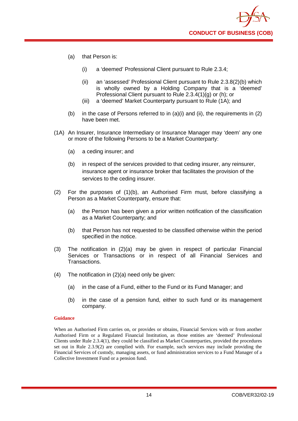- (a) that Person is:
	- (i) a 'deemed' Professional Client pursuant to Rule 2.3.4;
	- (ii) an 'assessed' Professional Client pursuant to Rule 2.3.8(2)(b) which is wholly owned by a Holding Company that is a 'deemed' Professional Client pursuant to Rule 2.3.4(1)(g) or (h); or
	- (iii) a 'deemed' Market Counterparty pursuant to Rule (1A); and
- (b) in the case of Persons referred to in  $(a)(i)$  and  $(ii)$ , the requirements in  $(2)$ have been met.
- (1A) An Insurer, Insurance Intermediary or Insurance Manager may 'deem' any one or more of the following Persons to be a Market Counterparty:
	- (a) a ceding insurer; and
	- (b) in respect of the services provided to that ceding insurer, any reinsurer, insurance agent or insurance broker that facilitates the provision of the services to the ceding insurer.
- (2) For the purposes of (1)(b), an Authorised Firm must, before classifying a Person as a Market Counterparty, ensure that:
	- (a) the Person has been given a prior written notification of the classification as a Market Counterparty; and
	- (b) that Person has not requested to be classified otherwise within the period specified in the notice.
- (3) The notification in (2)(a) may be given in respect of particular Financial Services or Transactions or in respect of all Financial Services and Transactions.
- (4) The notification in (2)(a) need only be given:
	- (a) in the case of a Fund, either to the Fund or its Fund Manager; and
	- (b) in the case of a pension fund, either to such fund or its management company.

When an Authorised Firm carries on, or provides or obtains, Financial Services with or from another Authorised Firm or a Regulated Financial Institution, as those entities are 'deemed' Professional Clients under Rule 2.3.4(1), they could be classified as Market Counterparties, provided the procedures set out in Rule 2.3.9(2) are complied with. For example, such services may include providing the Financial Services of custody, managing assets, or fund administration services to a Fund Manager of a Collective Investment Fund or a pension fund.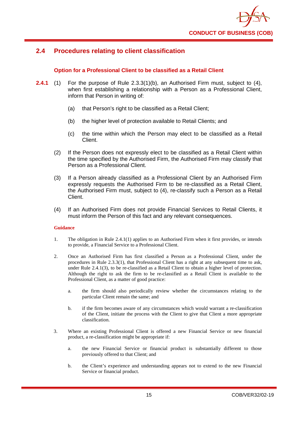# <span id="page-19-0"></span>**2.4 Procedures relating to client classification**

# **Option for a Professional Client to be classified as a Retail Client**

- **2.4.1** (1) For the purpose of Rule 2.3.3(1)(b), an Authorised Firm must, subject to (4), when first establishing a relationship with a Person as a Professional Client, inform that Person in writing of:
	- (a) that Person's right to be classified as a Retail Client;
	- (b) the higher level of protection available to Retail Clients; and
	- (c) the time within which the Person may elect to be classified as a Retail Client.
	- (2) If the Person does not expressly elect to be classified as a Retail Client within the time specified by the Authorised Firm, the Authorised Firm may classify that Person as a Professional Client.
	- (3) If a Person already classified as a Professional Client by an Authorised Firm expressly requests the Authorised Firm to be re-classified as a Retail Client, the Authorised Firm must, subject to (4), re-classify such a Person as a Retail Client.
	- (4) If an Authorised Firm does not provide Financial Services to Retail Clients, it must inform the Person of this fact and any relevant consequences.

# **Guidance**

- 1. The obligation in Rule 2.4.1(1) applies to an Authorised Firm when it first provides, or intends to provide, a Financial Service to a Professional Client.
- 2. Once an Authorised Firm has first classified a Person as a Professional Client, under the procedures in Rule 2.3.3(1), that Professional Client has a right at any subsequent time to ask, under Rule 2.4.1(3), to be re-classified as a Retail Client to obtain a higher level of protection. Although the right to ask the firm to be re-classified as a Retail Client is available to the Professional Client, as a matter of good practice:
	- a. the firm should also periodically review whether the circumstances relating to the particular Client remain the same; and
	- b. if the firm becomes aware of any circumstances which would warrant a re-classification of the Client, initiate the process with the Client to give that Client a more appropriate classification.
- 3. Where an existing Professional Client is offered a new Financial Service or new financial product, a re-classification might be appropriate if:
	- a. the new Financial Service or financial product is substantially different to those previously offered to that Client; and
	- b. the Client's experience and understanding appears not to extend to the new Financial Service or financial product.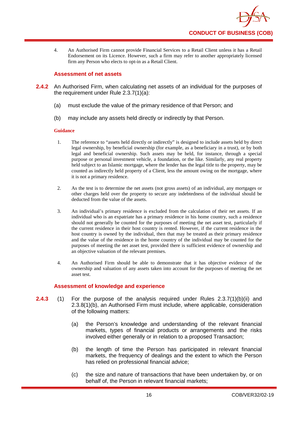

4. An Authorised Firm cannot provide Financial Services to a Retail Client unless it has a Retail Endorsement on its Licence. However, such a firm may refer to another appropriately licensed firm any Person who elects to opt-in as a Retail Client.

# **Assessment of net assets**

- **2.4.2** An Authorised Firm, when calculating net assets of an individual for the purposes of the requirement under Rule 2.3.7(1)(a):
	- (a) must exclude the value of the primary residence of that Person; and
	- (b) may include any assets held directly or indirectly by that Person.

# **Guidance**

- 1. The reference to "assets held directly or indirectly" is designed to include assets held by direct legal ownership, by beneficial ownership (for example, as a beneficiary in a trust), or by both legal and beneficial ownership. Such assets may be held, for instance, through a special purpose or personal investment vehicle, a foundation, or the like. Similarly, any real property held subject to an Islamic mortgage, where the lender has the legal title to the property, may be counted as indirectly held property of a Client, less the amount owing on the mortgage, where it is not a primary residence.
- 2. As the test is to determine the net assets (not gross assets) of an individual, any mortgages or other charges held over the property to secure any indebtedness of the individual should be deducted from the value of the assets.
- 3. An individual's primary residence is excluded from the calculation of their net assets. If an individual who is an expatriate has a primary residence in his home country, such a residence should not generally be counted for the purposes of meeting the net asset test, particularly if the current residence in their host country is rented. However, if the current residence in the host country is owned by the individual, then that may be treated as their primary residence and the value of the residence in the home country of the individual may be counted for the purposes of meeting the net asset test, provided there is sufficient evidence of ownership and an objective valuation of the relevant premises.
- 4. An Authorised Firm should be able to demonstrate that it has objective evidence of the ownership and valuation of any assets taken into account for the purposes of meeting the net asset test.

# **Assessment of knowledge and experience**

- **2.4.3** (1) For the purpose of the analysis required under Rules 2.3.7(1)(b)(ii) and 2.3.8(1)(b), an Authorised Firm must include, where applicable, consideration of the following matters:
	- (a) the Person's knowledge and understanding of the relevant financial markets, types of financial products or arrangements and the risks involved either generally or in relation to a proposed Transaction;
	- (b) the length of time the Person has participated in relevant financial markets, the frequency of dealings and the extent to which the Person has relied on professional financial advice;
	- (c) the size and nature of transactions that have been undertaken by, or on behalf of, the Person in relevant financial markets;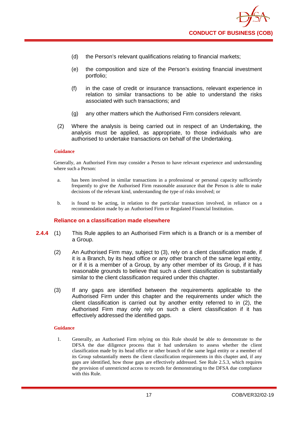

- (d) the Person's relevant qualifications relating to financial markets;
- (e) the composition and size of the Person's existing financial investment portfolio;
- (f) in the case of credit or insurance transactions, relevant experience in relation to similar transactions to be able to understand the risks associated with such transactions; and
- (g) any other matters which the Authorised Firm considers relevant.
- (2) Where the analysis is being carried out in respect of an Undertaking, the analysis must be applied, as appropriate, to those individuals who are authorised to undertake transactions on behalf of the Undertaking.

Generally, an Authorised Firm may consider a Person to have relevant experience and understanding where such a Person:

- a. has been involved in similar transactions in a professional or personal capacity sufficiently frequently to give the Authorised Firm reasonable assurance that the Person is able to make decisions of the relevant kind, understanding the type of risks involved; or
- b. is found to be acting, in relation to the particular transaction involved, in reliance on a recommendation made by an Authorised Firm or Regulated Financial Institution.

# **Reliance on a classification made elsewhere**

- **2.4.4** (1) This Rule applies to an Authorised Firm which is a Branch or is a member of a Group.
	- (2) An Authorised Firm may, subject to (3), rely on a client classification made, if it is a Branch, by its head office or any other branch of the same legal entity, or if it is a member of a Group, by any other member of its Group, if it has reasonable grounds to believe that such a client classification is substantially similar to the client classification required under this chapter.
	- (3) If any gaps are identified between the requirements applicable to the Authorised Firm under this chapter and the requirements under which the client classification is carried out by another entity referred to in (2), the Authorised Firm may only rely on such a client classification if it has effectively addressed the identified gaps.

#### **Guidance**

1. Generally, an Authorised Firm relying on this Rule should be able to demonstrate to the DFSA the due diligence process that it had undertaken to assess whether the client classification made by its head office or other branch of the same legal entity or a member of its Group substantially meets the client classification requirements in this chapter and, if any gaps are identified, how those gaps are effectively addressed. See Rule 2.5.3, which requires the provision of unrestricted access to records for demonstrating to the DFSA due compliance with this Rule.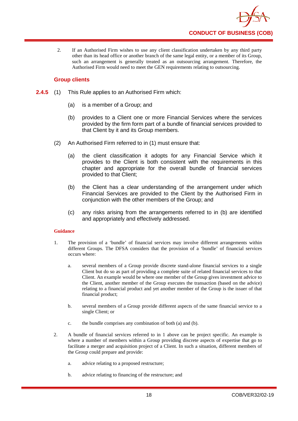

2. If an Authorised Firm wishes to use any client classification undertaken by any third party other than its head office or another branch of the same legal entity, or a member of its Group, such an arrangement is generally treated as an outsourcing arrangement. Therefore, the Authorised Firm would need to meet the GEN requirements relating to outsourcing.

# **Group clients**

- **2.4.5** (1) This Rule applies to an Authorised Firm which:
	- (a) is a member of a Group; and
	- (b) provides to a Client one or more Financial Services where the services provided by the firm form part of a bundle of financial services provided to that Client by it and its Group members.
	- (2) An Authorised Firm referred to in (1) must ensure that:
		- (a) the client classification it adopts for any Financial Service which it provides to the Client is both consistent with the requirements in this chapter and appropriate for the overall bundle of financial services provided to that Client;
		- (b) the Client has a clear understanding of the arrangement under which Financial Services are provided to the Client by the Authorised Firm in conjunction with the other members of the Group; and
		- (c) any risks arising from the arrangements referred to in (b) are identified and appropriately and effectively addressed.

# **Guidance**

- 1. The provision of a 'bundle' of financial services may involve different arrangements within different Groups. The DFSA considers that the provision of a 'bundle' of financial services occurs where:
	- a. several members of a Group provide discrete stand-alone financial services to a single Client but do so as part of providing a complete suite of related financial services to that Client. An example would be where one member of the Group gives investment advice to the Client, another member of the Group executes the transaction (based on the advice) relating to a financial product and yet another member of the Group is the issuer of that financial product;
	- b. several members of a Group provide different aspects of the same financial service to a single Client; or
	- c. the bundle comprises any combination of both (a) and (b).
- 2. A bundle of financial services referred to in 1 above can be project specific. An example is where a number of members within a Group providing discrete aspects of expertise that go to facilitate a merger and acquisition project of a Client. In such a situation, different members of the Group could prepare and provide:
	- a. advice relating to a proposed restructure;
	- b. advice relating to financing of the restructure; and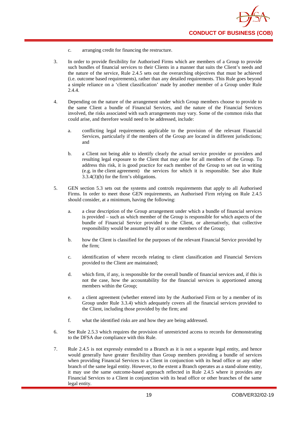- c. arranging credit for financing the restructure.
- 3. In order to provide flexibility for Authorised Firms which are members of a Group to provide such bundles of financial services to their Clients in a manner that suits the Client's needs and the nature of the service, Rule 2.4.5 sets out the overarching objectives that must be achieved (i.e. outcome based requirements), rather than any detailed requirements. This Rule goes beyond a simple reliance on a 'client classification' made by another member of a Group under Rule 2.4.4.
- 4. Depending on the nature of the arrangement under which Group members choose to provide to the same Client a bundle of Financial Services, and the nature of the Financial Services involved, the risks associated with such arrangements may vary. Some of the common risks that could arise, and therefore would need to be addressed, include:
	- a. conflicting legal requirements applicable to the provision of the relevant Financial Services, particularly if the members of the Group are located in different jurisdictions; and
	- b. a Client not being able to identify clearly the actual service provider or providers and resulting legal exposure to the Client that may arise for all members of the Group. To address this risk, it is good practice for each member of the Group to set out in writing (e.g. in the client agreement) the services for which it is responsible. See also Rule 3.3.4(3)(b) for the firm's obligations.
- 5. GEN section 5.3 sets out the systems and controls requirements that apply to all Authorised Firms. In order to meet those GEN requirements, an Authorised Firm relying on Rule 2.4.5 should consider, at a minimum, having the following:
	- a. a clear description of the Group arrangement under which a bundle of financial services is provided – such as which member of the Group is responsible for which aspects of the bundle of Financial Service provided to the Client, or alternatively, that collective responsibility would be assumed by all or some members of the Group;
	- b. how the Client is classified for the purposes of the relevant Financial Service provided by the firm;
	- c. identification of where records relating to client classification and Financial Services provided to the Client are maintained;
	- d. which firm, if any, is responsible for the overall bundle of financial services and, if this is not the case, how the accountability for the financial services is apportioned among members within the Group;
	- e. a client agreement (whether entered into by the Authorised Firm or by a member of its Group under Rule 3.3.4) which adequately covers all the financial services provided to the Client, including those provided by the firm; and
	- f. what the identified risks are and how they are being addressed.
- 6. See Rule 2.5.3 which requires the provision of unrestricted access to records for demonstrating to the DFSA due compliance with this Rule.
- 7. Rule 2.4.5 is not expressly extended to a Branch as it is not a separate legal entity, and hence would generally have greater flexibility than Group members providing a bundle of services when providing Financial Services to a Client in conjunction with its head office or any other branch of the same legal entity. However, to the extent a Branch operates as a stand-alone entity, it may use the same outcome-based approach reflected in Rule 2.4.5 where it provides any Financial Services to a Client in conjunction with its head office or other branches of the same legal entity.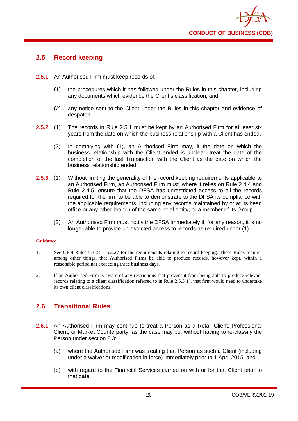

# <span id="page-24-0"></span>**2.5 Record keeping**

- **2.5.1** An Authorised Firm must keep records of:
	- (1) the procedures which it has followed under the Rules in this chapter, including any documents which evidence the Client's classification; and
	- (2) any notice sent to the Client under the Rules in this chapter and evidence of despatch.
- **2.5.2** (1) The records in Rule 2.5.1 must be kept by an Authorised Firm for at least six years from the date on which the business relationship with a Client has ended.
	- (2) In complying with (1), an Authorised Firm may, if the date on which the business relationship with the Client ended is unclear, treat the date of the completion of the last Transaction with the Client as the date on which the business relationship ended.
- **2.5.3** (1) Without limiting the generality of the record keeping requirements applicable to an Authorised Firm, an Authorised Firm must, where it relies on Rule 2.4.4 and Rule 2.4.5, ensure that the DFSA has unrestricted access to all the records required for the firm to be able to demonstrate to the DFSA its compliance with the applicable requirements, including any records maintained by or at its head office or any other branch of the same legal entity, or a member of its Group.
	- (2) An Authorised Firm must notify the DFSA immediately if, for any reason, it is no longer able to provide unrestricted access to records as required under (1).

#### **Guidance**

- 1. See GEN Rules 5.3.24 5.3.27 for the requirements relating to record keeping. These Rules require, among other things, that Authorised Firms be able to produce records, however kept, within a reasonable period not exceeding three business days.
- 2. If an Authorised Firm is aware of any restrictions that prevent it from being able to produce relevant records relating to a client classification referred to in Rule 2.5.3(1), that firm would need to undertake its own client classifications.

# <span id="page-24-1"></span>**2.6 Transitional Rules**

- **2.6.1** An Authorised Firm may continue to treat a Person as a Retail Client, Professional Client, or Market Counterparty, as the case may be, without having to re-classify the Person under section 2.3:
	- (a) where the Authorised Firm was treating that Person as such a Client (including under a waiver or modification in force) immediately prior to 1 April 2015; and
	- (b) with regard to the Financial Services carried on with or for that Client prior to that date.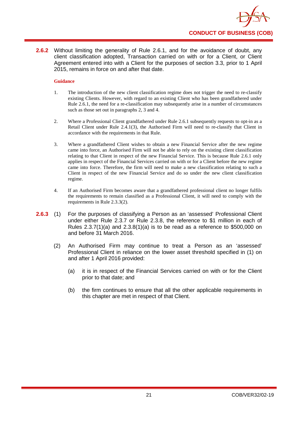

**2.6.2** Without limiting the generality of Rule 2.6.1, and for the avoidance of doubt, any client classification adopted, Transaction carried on with or for a Client, or Client Agreement entered into with a Client for the purposes of section 3.3, prior to 1 April 2015, remains in force on and after that date.

# **Guidance**

- 1. The introduction of the new client classification regime does not trigger the need to re-classify existing Clients. However, with regard to an existing Client who has been grandfathered under Rule 2.6.1, the need for a re-classification may subsequently arise in a number of circumstances such as those set out in paragraphs 2, 3 and 4.
- 2. Where a Professional Client grandfathered under Rule 2.6.1 subsequently requests to opt-in as a Retail Client under Rule 2.4.1(3), the Authorised Firm will need to re-classify that Client in accordance with the requirements in that Rule.
- 3. Where a grandfathered Client wishes to obtain a new Financial Service after the new regime came into force, an Authorised Firm will not be able to rely on the existing client classification relating to that Client in respect of the new Financial Service. This is because Rule 2.6.1 only applies in respect of the Financial Services carried on with or for a Client before the new regime came into force. Therefore, the firm will need to make a new classification relating to such a Client in respect of the new Financial Service and do so under the new client classification regime.
- 4. If an Authorised Firm becomes aware that a grandfathered professional client no longer fulfils the requirements to remain classified as a Professional Client, it will need to comply with the requirements in Rule 2.3.3(2).
- **2.6.3** (1) For the purposes of classifying a Person as an 'assessed' Professional Client under either Rule 2.3.7 or Rule 2.3.8, the reference to \$1 million in each of Rules 2.3.7(1)(a) and 2.3.8(1)(a) is to be read as a reference to \$500,000 on and before 31 March 2016.
	- (2) An Authorised Firm may continue to treat a Person as an 'assessed' Professional Client in reliance on the lower asset threshold specified in (1) on and after 1 April 2016 provided:
		- (a) it is in respect of the Financial Services carried on with or for the Client prior to that date; and
		- (b) the firm continues to ensure that all the other applicable requirements in this chapter are met in respect of that Client.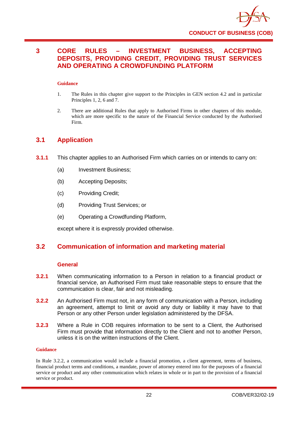

# <span id="page-26-0"></span>**3 CORE RULES – INVESTMENT BUSINESS, ACCEPTING DEPOSITS, PROVIDING CREDIT, PROVIDING TRUST SERVICES AND OPERATING A CROWDFUNDING PLATFORM**

# **Guidance**

- 1. The Rules in this chapter give support to the Principles in GEN section 4.2 and in particular Principles 1, 2, 6 and 7.
- 2. There are additional Rules that apply to Authorised Firms in other chapters of this module, which are more specific to the nature of the Financial Service conducted by the Authorised Firm.

# <span id="page-26-1"></span>**3.1 Application**

- **3.1.1** This chapter applies to an Authorised Firm which carries on or intends to carry on:
	- (a) Investment Business;
	- (b) Accepting Deposits;
	- (c) Providing Credit;
	- (d) Providing Trust Services; or
	- (e) Operating a Crowdfunding Platform,

except where it is expressly provided otherwise.

# <span id="page-26-2"></span>**3.2 Communication of information and marketing material**

# **General**

- **3.2.1** When communicating information to a Person in relation to a financial product or financial service, an Authorised Firm must take reasonable steps to ensure that the communication is clear, fair and not misleading.
- **3.2.2** An Authorised Firm must not, in any form of communication with a Person, including an agreement, attempt to limit or avoid any duty or liability it may have to that Person or any other Person under legislation administered by the DFSA.
- **3.2.3** Where a Rule in COB requires information to be sent to a Client, the Authorised Firm must provide that information directly to the Client and not to another Person, unless it is on the written instructions of the Client.

#### **Guidance**

In Rule 3.2.2, a communication would include a financial promotion, a client agreement, terms of business, financial product terms and conditions, a mandate, power of attorney entered into for the purposes of a financial service or product and any other communication which relates in whole or in part to the provision of a financial service or product.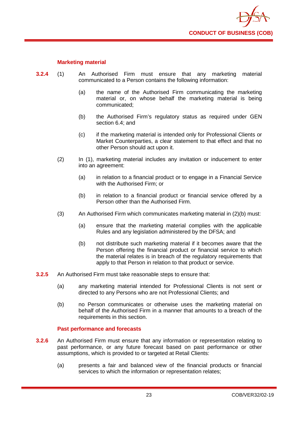

# **Marketing material**

- **3.2.4** (1) An Authorised Firm must ensure that any marketing material communicated to a Person contains the following information:
	- (a) the name of the Authorised Firm communicating the marketing material or, on whose behalf the marketing material is being communicated;
	- (b) the Authorised Firm's regulatory status as required under GEN section 6.4; and
	- (c) if the marketing material is intended only for Professional Clients or Market Counterparties, a clear statement to that effect and that no other Person should act upon it.
	- (2) In (1), marketing material includes any invitation or inducement to enter into an agreement:
		- (a) in relation to a financial product or to engage in a Financial Service with the Authorised Firm; or
		- (b) in relation to a financial product or financial service offered by a Person other than the Authorised Firm.
	- (3) An Authorised Firm which communicates marketing material in (2)(b) must:
		- (a) ensure that the marketing material complies with the applicable Rules and any legislation administered by the DFSA; and
		- (b) not distribute such marketing material if it becomes aware that the Person offering the financial product or financial service to which the material relates is in breach of the regulatory requirements that apply to that Person in relation to that product or service.
- **3.2.5** An Authorised Firm must take reasonable steps to ensure that:
	- (a) any marketing material intended for Professional Clients is not sent or directed to any Persons who are not Professional Clients; and
	- (b) no Person communicates or otherwise uses the marketing material on behalf of the Authorised Firm in a manner that amounts to a breach of the requirements in this section.

# **Past performance and forecasts**

- **3.2.6** An Authorised Firm must ensure that any information or representation relating to past performance, or any future forecast based on past performance or other assumptions, which is provided to or targeted at Retail Clients:
	- (a) presents a fair and balanced view of the financial products or financial services to which the information or representation relates;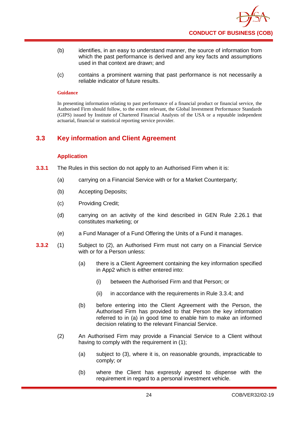

- (b) identifies, in an easy to understand manner, the source of information from which the past performance is derived and any key facts and assumptions used in that context are drawn; and
- (c) contains a prominent warning that past performance is not necessarily a reliable indicator of future results.

In presenting information relating to past performance of a financial product or financial service, the Authorised Firm should follow, to the extent relevant, the Global Investment Performance Standards (GIPS) issued by Institute of Chartered Financial Analysts of the USA or a reputable independent actuarial, financial or statistical reporting service provider.

# <span id="page-28-0"></span>**3.3 Key information and Client Agreement**

# **Application**

- **3.3.1** The Rules in this section do not apply to an Authorised Firm when it is:
	- (a) carrying on a Financial Service with or for a Market Counterparty;
	- (b) Accepting Deposits;
	- (c) Providing Credit;
	- (d) carrying on an activity of the kind described in GEN Rule 2.26.1 that constitutes marketing; or
	- (e) a Fund Manager of a Fund Offering the Units of a Fund it manages.
- **3.3.2** (1) Subject to (2), an Authorised Firm must not carry on a Financial Service with or for a Person unless:
	- (a) there is a Client Agreement containing the key information specified in App2 which is either entered into:
		- (i) between the Authorised Firm and that Person; or
		- (ii) in accordance with the requirements in Rule 3.3.4; and
	- (b) before entering into the Client Agreement with the Person, the Authorised Firm has provided to that Person the key information referred to in (a) in good time to enable him to make an informed decision relating to the relevant Financial Service.
	- (2) An Authorised Firm may provide a Financial Service to a Client without having to comply with the requirement in (1):
		- (a) subject to (3), where it is, on reasonable grounds, impracticable to comply; or
		- (b) where the Client has expressly agreed to dispense with the requirement in regard to a personal investment vehicle.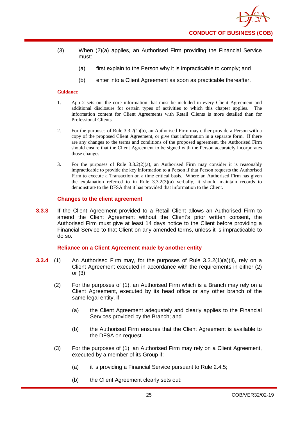- (3) When (2)(a) applies, an Authorised Firm providing the Financial Service must:
	- (a) first explain to the Person why it is impracticable to comply; and
	- (b) enter into a Client Agreement as soon as practicable thereafter.

- 1. App 2 sets out the core information that must be included in every Client Agreement and additional disclosure for certain types of activities to which this chapter applies. The information content for Client Agreements with Retail Clients is more detailed than for Professional Clients.
- 2. For the purposes of Rule 3.3.2(1)(b), an Authorised Firm may either provide a Person with a copy of the proposed Client Agreement, or give that information in a separate form. If there are any changes to the terms and conditions of the proposed agreement, the Authorised Firm should ensure that the Client Agreement to be signed with the Person accurately incorporates those changes.
- 3. For the purposes of Rule  $3.3.2(2)(a)$ , an Authorised Firm may consider it is reasonably impracticable to provide the key information to a Person if that Person requests the Authorised Firm to execute a Transaction on a time critical basis. Where an Authorised Firm has given the explanation referred to in Rule  $3.3.2(3)(a)$  verbally, it should maintain records to demonstrate to the DFSA that it has provided that information to the Client.

# **Changes to the client agreement**

**3.3.3** If the Client Agreement provided to a Retail Client allows an Authorised Firm to amend the Client Agreement without the Client's prior written consent, the Authorised Firm must give at least 14 days notice to the Client before providing a Financial Service to that Client on any amended terms, unless it is impracticable to do so.

# **Reliance on a Client Agreement made by another entity**

- **3.3.4** (1) An Authorised Firm may, for the purposes of Rule 3.3.2(1)(a)(ii), rely on a Client Agreement executed in accordance with the requirements in either (2) or (3).
	- (2) For the purposes of (1), an Authorised Firm which is a Branch may rely on a Client Agreement, executed by its head office or any other branch of the same legal entity, if:
		- (a) the Client Agreement adequately and clearly applies to the Financial Services provided by the Branch; and
		- (b) the Authorised Firm ensures that the Client Agreement is available to the DFSA on request.
	- (3) For the purposes of (1), an Authorised Firm may rely on a Client Agreement, executed by a member of its Group if:
		- (a) it is providing a Financial Service pursuant to Rule 2.4.5;
		- (b) the Client Agreement clearly sets out: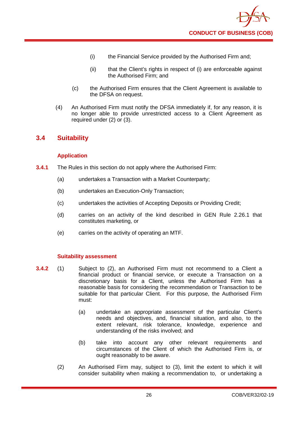

- (i) the Financial Service provided by the Authorised Firm and;
- (ii) that the Client's rights in respect of (i) are enforceable against the Authorised Firm; and
- (c) the Authorised Firm ensures that the Client Agreement is available to the DFSA on request.
- (4) An Authorised Firm must notify the DFSA immediately if, for any reason, it is no longer able to provide unrestricted access to a Client Agreement as required under (2) or (3).

# <span id="page-30-0"></span>**3.4 Suitability**

# **Application**

- **3.4.1** The Rules in this section do not apply where the Authorised Firm:
	- (a) undertakes a Transaction with a Market Counterparty;
	- (b) undertakes an Execution-Only Transaction;
	- (c) undertakes the activities of Accepting Deposits or Providing Credit;
	- (d) carries on an activity of the kind described in GEN Rule 2.26.1 that constitutes marketing, or
	- (e) carries on the activity of operating an MTF.

# **Suitability assessment**

- **3.4.2** (1) Subject to (2), an Authorised Firm must not recommend to a Client a financial product or financial service, or execute a Transaction on a discretionary basis for a Client, unless the Authorised Firm has a reasonable basis for considering the recommendation or Transaction to be suitable for that particular Client. For this purpose, the Authorised Firm must:
	- (a) undertake an appropriate assessment of the particular Client's needs and objectives, and, financial situation, and also, to the extent relevant, risk tolerance, knowledge, experience and understanding of the risks involved; and
	- (b) take into account any other relevant requirements and circumstances of the Client of which the Authorised Firm is, or ought reasonably to be aware.
	- (2) An Authorised Firm may, subject to (3), limit the extent to which it will consider suitability when making a recommendation to, or undertaking a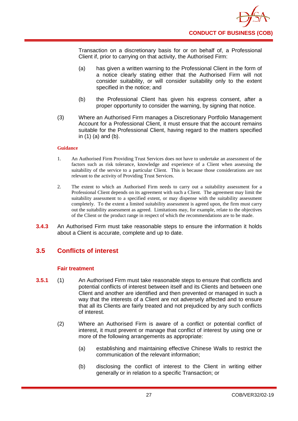

Transaction on a discretionary basis for or on behalf of, a Professional Client if, prior to carrying on that activity, the Authorised Firm:

- (a) has given a written warning to the Professional Client in the form of a notice clearly stating either that the Authorised Firm will not consider suitability, or will consider suitability only to the extent specified in the notice; and
- (b) the Professional Client has given his express consent, after a proper opportunity to consider the warning, by signing that notice.
- (3) Where an Authorised Firm manages a Discretionary Portfolio Management Account for a Professional Client, it must ensure that the account remains suitable for the Professional Client, having regard to the matters specified in (1) (a) and (b).

#### **Guidance**

- 1. An Authorised Firm Providing Trust Services does not have to undertake an assessment of the factors such as risk tolerance, knowledge and experience of a Client when assessing the suitability of the service to a particular Client. This is because those considerations are not relevant to the activity of Providing Trust Services.
- 2. The extent to which an Authorised Firm needs to carry out a suitability assessment for a Professional Client depends on its agreement with such a Client. The agreement may limit the suitability assessment to a specified extent, or may dispense with the suitability assessment completely. To the extent a limited suitability assessment is agreed upon, the firm must carry out the suitability assessment as agreed. Limitations may, for example, relate to the objectives of the Client or the product range in respect of which the recommendations are to be made.
- **3.4.3** An Authorised Firm must take reasonable steps to ensure the information it holds about a Client is accurate, complete and up to date.

# <span id="page-31-0"></span>**3.5 Conflicts of interest**

# **Fair treatment**

- **3.5.1** (1) An Authorised Firm must take reasonable steps to ensure that conflicts and potential conflicts of interest between itself and its Clients and between one Client and another are identified and then prevented or managed in such a way that the interests of a Client are not adversely affected and to ensure that all its Clients are fairly treated and not prejudiced by any such conflicts of interest.
	- (2) Where an Authorised Firm is aware of a conflict or potential conflict of interest, it must prevent or manage that conflict of interest by using one or more of the following arrangements as appropriate:
		- (a) establishing and maintaining effective Chinese Walls to restrict the communication of the relevant information;
		- (b) disclosing the conflict of interest to the Client in writing either generally or in relation to a specific Transaction; or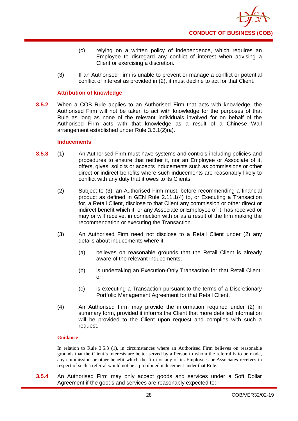- (c) relying on a written policy of independence, which requires an Employee to disregard any conflict of interest when advising a Client or exercising a discretion.
- (3) If an Authorised Firm is unable to prevent or manage a conflict or potential conflict of interest as provided in (2), it must decline to act for that Client.

# **Attribution of knowledge**

**3.5.2** When a COB Rule applies to an Authorised Firm that acts with knowledge, the Authorised Firm will not be taken to act with knowledge for the purposes of that Rule as long as none of the relevant individuals involved for on behalf of the Authorised Firm acts with that knowledge as a result of a Chinese Wall arrangement established under Rule 3.5.1(2)(a).

# **Inducements**

- **3.5.3** (1) An Authorised Firm must have systems and controls including policies and procedures to ensure that neither it, nor an Employee or Associate of it, offers, gives, solicits or accepts inducements such as commissions or other direct or indirect benefits where such inducements are reasonably likely to conflict with any duty that it owes to its Clients.
	- (2) Subject to (3), an Authorised Firm must, before recommending a financial product as defined in GEN Rule 2.11.1(4) to, or Executing a Transaction for, a Retail Client, disclose to that Client any commission or other direct or indirect benefit which it, or any Associate or Employee of it, has received or may or will receive, in connection with or as a result of the firm making the recommendation or executing the Transaction.
	- (3) An Authorised Firm need not disclose to a Retail Client under (2) any details about inducements where it:
		- (a) believes on reasonable grounds that the Retail Client is already aware of the relevant inducements;
		- (b) is undertaking an Execution-Only Transaction for that Retail Client; or
		- (c) is executing a Transaction pursuant to the terms of a Discretionary Portfolio Management Agreement for that Retail Client.
	- (4) An Authorised Firm may provide the information required under (2) in summary form, provided it informs the Client that more detailed information will be provided to the Client upon request and complies with such a request.

# **Guidance**

In relation to Rule 3.5.3 (1), in circumstances where an Authorised Firm believes on reasonable grounds that the Client's interests are better served by a Person to whom the referral is to be made, any commission or other benefit which the firm or any of its Employees or Associates receives in respect of such a referral would not be a prohibited inducement under that Rule.

**3.5.4** An Authorised Firm may only accept goods and services under a Soft Dollar Agreement if the goods and services are reasonably expected to: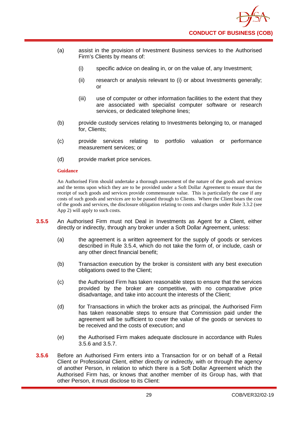- (a) assist in the provision of Investment Business services to the Authorised Firm's Clients by means of:
	- (i) specific advice on dealing in, or on the value of, any Investment;
	- (ii) research or analysis relevant to (i) or about Investments generally; or
	- (iii) use of computer or other information facilities to the extent that they are associated with specialist computer software or research services, or dedicated telephone lines;
- (b) provide custody services relating to Investments belonging to, or managed for, Clients;
- (c) provide services relating to portfolio valuation or performance measurement services; or
- (d) provide market price services.

An Authorised Firm should undertake a thorough assessment of the nature of the goods and services and the terms upon which they are to be provided under a Soft Dollar Agreement to ensure that the receipt of such goods and services provide commensurate value. This is particularly the case if any costs of such goods and services are to be passed through to Clients. Where the Client bears the cost of the goods and services, the disclosure obligation relating to costs and charges under Rule 3.3.2 (see App 2) will apply to such costs.

- **3.5.5** An Authorised Firm must not Deal in Investments as Agent for a Client, either directly or indirectly, through any broker under a Soft Dollar Agreement, unless:
	- (a) the agreement is a written agreement for the supply of goods or services described in Rule 3.5.4, which do not take the form of, or include, cash or any other direct financial benefit;
	- (b) Transaction execution by the broker is consistent with any best execution obligations owed to the Client;
	- (c) the Authorised Firm has taken reasonable steps to ensure that the services provided by the broker are competitive, with no comparative price disadvantage, and take into account the interests of the Client;
	- (d) for Transactions in which the broker acts as principal, the Authorised Firm has taken reasonable steps to ensure that Commission paid under the agreement will be sufficient to cover the value of the goods or services to be received and the costs of execution; and
	- (e) the Authorised Firm makes adequate disclosure in accordance with Rules 3.5.6 and 3.5.7.
- **3.5.6** Before an Authorised Firm enters into a Transaction for or on behalf of a Retail Client or Professional Client, either directly or indirectly, with or through the agency of another Person, in relation to which there is a Soft Dollar Agreement which the Authorised Firm has, or knows that another member of its Group has, with that other Person, it must disclose to its Client: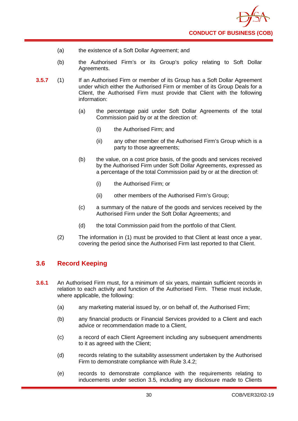- (a) the existence of a Soft Dollar Agreement; and
- (b) the Authorised Firm's or its Group's policy relating to Soft Dollar Agreements.
- **3.5.7** (1) If an Authorised Firm or member of its Group has a Soft Dollar Agreement under which either the Authorised Firm or member of its Group Deals for a Client, the Authorised Firm must provide that Client with the following information:
	- (a) the percentage paid under Soft Dollar Agreements of the total Commission paid by or at the direction of:
		- (i) the Authorised Firm; and
		- (ii) any other member of the Authorised Firm's Group which is a party to those agreements;
	- (b) the value, on a cost price basis, of the goods and services received by the Authorised Firm under Soft Dollar Agreements, expressed as a percentage of the total Commission paid by or at the direction of:
		- (i) the Authorised Firm; or
		- (ii) other members of the Authorised Firm's Group;
	- (c) a summary of the nature of the goods and services received by the Authorised Firm under the Soft Dollar Agreements; and
	- (d) the total Commission paid from the portfolio of that Client.
	- (2) The information in (1) must be provided to that Client at least once a year, covering the period since the Authorised Firm last reported to that Client.

# <span id="page-34-0"></span>**3.6 Record Keeping**

- **3.6.1** An Authorised Firm must, for a minimum of six years, maintain sufficient records in relation to each activity and function of the Authorised Firm. These must include, where applicable, the following:
	- (a) any marketing material issued by, or on behalf of, the Authorised Firm;
	- (b) any financial products or Financial Services provided to a Client and each advice or recommendation made to a Client,
	- (c) a record of each Client Agreement including any subsequent amendments to it as agreed with the Client;
	- (d) records relating to the suitability assessment undertaken by the Authorised Firm to demonstrate compliance with Rule 3.4.2;
	- (e) records to demonstrate compliance with the requirements relating to inducements under section 3.5, including any disclosure made to Clients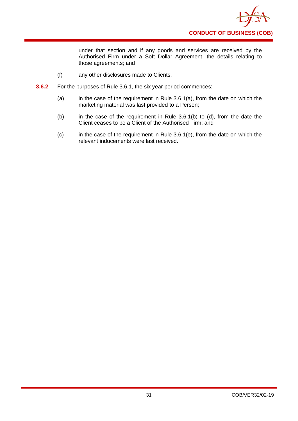

under that section and if any goods and services are received by the Authorised Firm under a Soft Dollar Agreement, the details relating to those agreements; and

- (f) any other disclosures made to Clients.
- **3.6.2** For the purposes of Rule 3.6.1, the six year period commences:
	- (a) in the case of the requirement in Rule  $3.6.1(a)$ , from the date on which the marketing material was last provided to a Person;
	- (b) in the case of the requirement in Rule 3.6.1(b) to (d), from the date the Client ceases to be a Client of the Authorised Firm; and
	- (c) in the case of the requirement in Rule 3.6.1(e), from the date on which the relevant inducements were last received.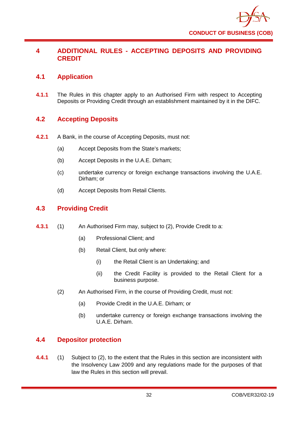

# **4 ADDITIONAL RULES - ACCEPTING DEPOSITS AND PROVIDING CREDIT**

# **4.1 Application**

**4.1.1** The Rules in this chapter apply to an Authorised Firm with respect to Accepting Deposits or Providing Credit through an establishment maintained by it in the DIFC.

# **4.2 Accepting Deposits**

- **4.2.1** A Bank, in the course of Accepting Deposits, must not:
	- (a) Accept Deposits from the State's markets;
	- (b) Accept Deposits in the U.A.E. Dirham;
	- (c) undertake currency or foreign exchange transactions involving the U.A.E. Dirham; or
	- (d) Accept Deposits from Retail Clients.

# **4.3 Providing Credit**

- **4.3.1** (1) An Authorised Firm may, subject to (2), Provide Credit to a:
	- (a) Professional Client; and
	- (b) Retail Client, but only where:
		- (i) the Retail Client is an Undertaking; and
		- (ii) the Credit Facility is provided to the Retail Client for a business purpose.
	- (2) An Authorised Firm, in the course of Providing Credit, must not:
		- (a) Provide Credit in the U.A.E. Dirham; or
		- (b) undertake currency or foreign exchange transactions involving the U.A.E. Dirham.

# **4.4 Depositor protection**

**4.4.1** (1) Subject to (2), to the extent that the Rules in this section are inconsistent with the Insolvency Law 2009 and any regulations made for the purposes of that law the Rules in this section will prevail.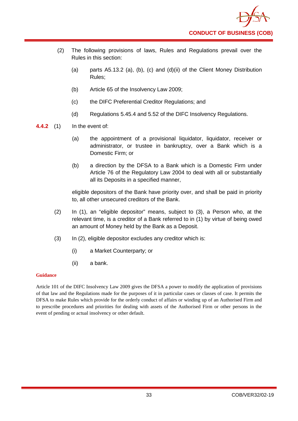- (2) The following provisions of laws, Rules and Regulations prevail over the Rules in this section:
	- (a) parts A5.13.2 (a), (b), (c) and (d)(ii) of the Client Money Distribution Rules;
	- (b) Article 65 of the Insolvency Law 2009;
	- (c) the DIFC Preferential Creditor Regulations; and
	- (d) Regulations 5.45.4 and 5.52 of the DIFC Insolvency Regulations.
- **4.4.2** (1) In the event of:
	- (a) the appointment of a provisional liquidator, liquidator, receiver or administrator, or trustee in bankruptcy, over a Bank which is a Domestic Firm; or
	- (b) a direction by the DFSA to a Bank which is a Domestic Firm under Article 76 of the Regulatory Law 2004 to deal with all or substantially all its Deposits in a specified manner,

eligible depositors of the Bank have priority over, and shall be paid in priority to, all other unsecured creditors of the Bank.

- (2) In (1), an "eligible depositor" means, subject to (3), a Person who, at the relevant time, is a creditor of a Bank referred to in (1) by virtue of being owed an amount of Money held by the Bank as a Deposit.
- (3) In (2), eligible depositor excludes any creditor which is:
	- (i) a Market Counterparty; or
	- (ii) a bank.

## **Guidance**

Article 101 of the DIFC Insolvency Law 2009 gives the DFSA a power to modify the application of provisions of that law and the Regulations made for the purposes of it in particular cases or classes of case. It permits the DFSA to make Rules which provide for the orderly conduct of affairs or winding up of an Authorised Firm and to prescribe procedures and priorities for dealing with assets of the Authorised Firm or other persons in the event of pending or actual insolvency or other default.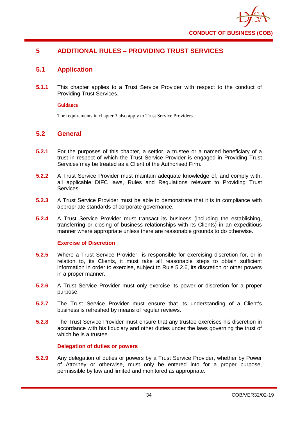

# **5 ADDITIONAL RULES – PROVIDING TRUST SERVICES**

# **5.1 Application**

**5.1.1** This chapter applies to a Trust Service Provider with respect to the conduct of Providing Trust Services.

## **Guidance**

The requirements in chapter 3 also apply to Trust Service Providers.

# **5.2 General**

- **5.2.1** For the purposes of this chapter, a settlor, a trustee or a named beneficiary of a trust in respect of which the Trust Service Provider is engaged in Providing Trust Services may be treated as a Client of the Authorised Firm.
- **5.2.2** A Trust Service Provider must maintain adequate knowledge of, and comply with, all applicable DIFC laws, Rules and Regulations relevant to Providing Trust Services.
- **5.2.3** A Trust Service Provider must be able to demonstrate that it is in compliance with appropriate standards of corporate governance.
- **5.2.4** A Trust Service Provider must transact its business (including the establishing, transferring or closing of business relationships with its Clients) in an expeditious manner where appropriate unless there are reasonable grounds to do otherwise.

## **Exercise of Discretion**

- **5.2.5** Where a Trust Service Provider is responsible for exercising discretion for, or in relation to, its Clients, it must take all reasonable steps to obtain sufficient information in order to exercise, subject to Rule 5.2.6, its discretion or other powers in a proper manner.
- **5.2.6** A Trust Service Provider must only exercise its power or discretion for a proper purpose.
- **5.2.7** The Trust Service Provider must ensure that its understanding of a Client's business is refreshed by means of regular reviews.
- **5.2.8** The Trust Service Provider must ensure that any trustee exercises his discretion in accordance with his fiduciary and other duties under the laws governing the trust of which he is a trustee.

## **Delegation of duties or powers**

**5.2.9** Any delegation of duties or powers by a Trust Service Provider, whether by Power of Attorney or otherwise, must only be entered into for a proper purpose, permissible by law and limited and monitored as appropriate.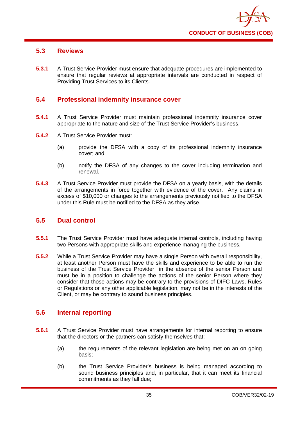

# **5.3 Reviews**

**5.3.1** A Trust Service Provider must ensure that adequate procedures are implemented to ensure that regular reviews at appropriate intervals are conducted in respect of Providing Trust Services to its Clients.

# **5.4 Professional indemnity insurance cover**

- **5.4.1** A Trust Service Provider must maintain professional indemnity insurance cover appropriate to the nature and size of the Trust Service Provider's business.
- **5.4.2** A Trust Service Provider must:
	- (a) provide the DFSA with a copy of its professional indemnity insurance cover; and
	- (b) notify the DFSA of any changes to the cover including termination and renewal.
- **5.4.3** A Trust Service Provider must provide the DFSA on a yearly basis, with the details of the arrangements in force together with evidence of the cover. Any claims in excess of \$10,000 or changes to the arrangements previously notified to the DFSA under this Rule must be notified to the DFSA as they arise.

# **5.5 Dual control**

- **5.5.1** The Trust Service Provider must have adequate internal controls, including having two Persons with appropriate skills and experience managing the business.
- **5.5.2** While a Trust Service Provider may have a single Person with overall responsibility, at least another Person must have the skills and experience to be able to run the business of the Trust Service Provider in the absence of the senior Person and must be in a position to challenge the actions of the senior Person where they consider that those actions may be contrary to the provisions of DIFC Laws, Rules or Regulations or any other applicable legislation, may not be in the interests of the Client, or may be contrary to sound business principles.

# **5.6 Internal reporting**

- **5.6.1** A Trust Service Provider must have arrangements for internal reporting to ensure that the directors or the partners can satisfy themselves that:
	- (a) the requirements of the relevant legislation are being met on an on going basis;
	- (b) the Trust Service Provider's business is being managed according to sound business principles and, in particular, that it can meet its financial commitments as they fall due;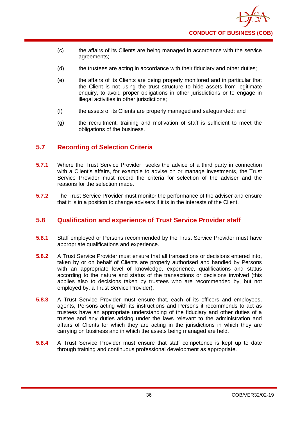

- (c) the affairs of its Clients are being managed in accordance with the service agreements;
- (d) the trustees are acting in accordance with their fiduciary and other duties;
- (e) the affairs of its Clients are being properly monitored and in particular that the Client is not using the trust structure to hide assets from legitimate enquiry, to avoid proper obligations in other jurisdictions or to engage in illegal activities in other jurisdictions;
- (f) the assets of its Clients are properly managed and safeguarded; and
- (g) the recruitment, training and motivation of staff is sufficient to meet the obligations of the business.

# **5.7 Recording of Selection Criteria**

- **5.7.1** Where the Trust Service Provider seeks the advice of a third party in connection with a Client's affairs, for example to advise on or manage investments, the Trust Service Provider must record the criteria for selection of the adviser and the reasons for the selection made.
- **5.7.2** The Trust Service Provider must monitor the performance of the adviser and ensure that it is in a position to change advisers if it is in the interests of the Client.

# **5.8 Qualification and experience of Trust Service Provider staff**

- **5.8.1** Staff employed or Persons recommended by the Trust Service Provider must have appropriate qualifications and experience.
- **5.8.2** A Trust Service Provider must ensure that all transactions or decisions entered into, taken by or on behalf of Clients are properly authorised and handled by Persons with an appropriate level of knowledge, experience, qualifications and status according to the nature and status of the transactions or decisions involved (this applies also to decisions taken by trustees who are recommended by, but not employed by, a Trust Service Provider).
- **5.8.3** A Trust Service Provider must ensure that, each of its officers and employees, agents, Persons acting with its instructions and Persons it recommends to act as trustees have an appropriate understanding of the fiduciary and other duties of a trustee and any duties arising under the laws relevant to the administration and affairs of Clients for which they are acting in the jurisdictions in which they are carrying on business and in which the assets being managed are held.
- **5.8.4** A Trust Service Provider must ensure that staff competence is kept up to date through training and continuous professional development as appropriate.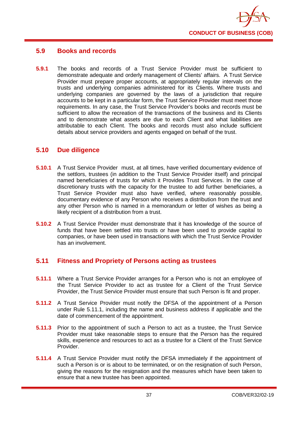

# **5.9 Books and records**

**5.9.1** The books and records of a Trust Service Provider must be sufficient to demonstrate adequate and orderly management of Clients' affairs. A Trust Service Provider must prepare proper accounts, at appropriately regular intervals on the trusts and underlying companies administered for its Clients. Where trusts and underlying companies are governed by the laws of a jurisdiction that require accounts to be kept in a particular form, the Trust Service Provider must meet those requirements. In any case, the Trust Service Provider's books and records must be sufficient to allow the recreation of the transactions of the business and its Clients and to demonstrate what assets are due to each Client and what liabilities are attributable to each Client. The books and records must also include sufficient details about service providers and agents engaged on behalf of the trust.

# **5.10 Due diligence**

- **5.10.1** A Trust Service Provider must, at all times, have verified documentary evidence of the settlors, trustees (in addition to the Trust Service Provider itself) and principal named beneficiaries of trusts for which it Provides Trust Services. In the case of discretionary trusts with the capacity for the trustee to add further beneficiaries, a Trust Service Provider must also have verified, where reasonably possible, documentary evidence of any Person who receives a distribution from the trust and any other Person who is named in a memorandum or letter of wishes as being a likely recipient of a distribution from a trust.
- **5.10.2** A Trust Service Provider must demonstrate that it has knowledge of the source of funds that have been settled into trusts or have been used to provide capital to companies, or have been used in transactions with which the Trust Service Provider has an involvement.

# **5.11 Fitness and Propriety of Persons acting as trustees**

- **5.11.1** Where a Trust Service Provider arranges for a Person who is not an employee of the Trust Service Provider to act as trustee for a Client of the Trust Service Provider, the Trust Service Provider must ensure that such Person is fit and proper.
- **5.11.2** A Trust Service Provider must notify the DFSA of the appointment of a Person under Rule 5.11.1, including the name and business address if applicable and the date of commencement of the appointment.
- **5.11.3** Prior to the appointment of such a Person to act as a trustee, the Trust Service Provider must take reasonable steps to ensure that the Person has the required skills, experience and resources to act as a trustee for a Client of the Trust Service Provider.
- **5.11.4** A Trust Service Provider must notify the DFSA immediately if the appointment of such a Person is or is about to be terminated, or on the resignation of such Person, giving the reasons for the resignation and the measures which have been taken to ensure that a new trustee has been appointed.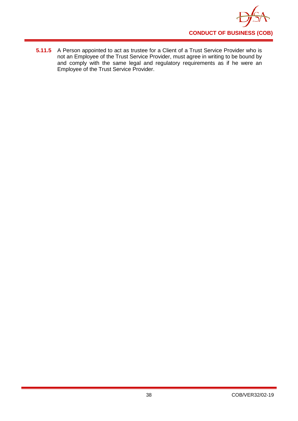

**5.11.5** A Person appointed to act as trustee for a Client of a Trust Service Provider who is not an Employee of the Trust Service Provider, must agree in writing to be bound by and comply with the same legal and regulatory requirements as if he were an Employee of the Trust Service Provider.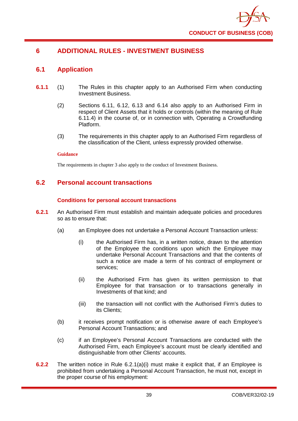

# **6 ADDITIONAL RULES - INVESTMENT BUSINESS**

# **6.1 Application**

- **6.1.1** (1) The Rules in this chapter apply to an Authorised Firm when conducting Investment Business.
	- (2) Sections 6.11, 6.12, 6.13 and 6.14 also apply to an Authorised Firm in respect of Client Assets that it holds or controls (within the meaning of Rule 6.11.4) in the course of, or in connection with, Operating a Crowdfunding Platform.
	- (3) The requirements in this chapter apply to an Authorised Firm regardless of the classification of the Client, unless expressly provided otherwise.

## **Guidance**

The requirements in chapter 3 also apply to the conduct of Investment Business.

# **6.2 Personal account transactions**

## **Conditions for personal account transactions**

- **6.2.1** An Authorised Firm must establish and maintain adequate policies and procedures so as to ensure that:
	- (a) an Employee does not undertake a Personal Account Transaction unless:
		- (i) the Authorised Firm has, in a written notice, drawn to the attention of the Employee the conditions upon which the Employee may undertake Personal Account Transactions and that the contents of such a notice are made a term of his contract of employment or services;
		- (ii) the Authorised Firm has given its written permission to that Employee for that transaction or to transactions generally in Investments of that kind; and
		- (iii) the transaction will not conflict with the Authorised Firm's duties to its Clients;
	- (b) it receives prompt notification or is otherwise aware of each Employee's Personal Account Transactions; and
	- (c) if an Employee's Personal Account Transactions are conducted with the Authorised Firm, each Employee's account must be clearly identified and distinguishable from other Clients' accounts.
- **6.2.2** The written notice in Rule 6.2.1(a)(i) must make it explicit that, if an Employee is prohibited from undertaking a Personal Account Transaction, he must not, except in the proper course of his employment: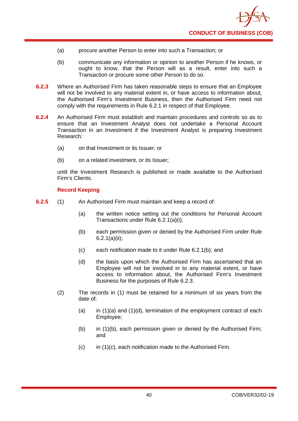

- (a) procure another Person to enter into such a Transaction; or
- (b) communicate any information or opinion to another Person if he knows, or ought to know, that the Person will as a result, enter into such a Transaction or procure some other Person to do so.
- **6.2.3** Where an Authorised Firm has taken reasonable steps to ensure that an Employee will not be involved to any material extent in, or have access to information about, the Authorised Firm's Investment Business, then the Authorised Firm need not comply with the requirements in Rule 6.2.1 in respect of that Employee.
- **6.2.4** An Authorised Firm must establish and maintain procedures and controls so as to ensure that an Investment Analyst does not undertake a Personal Account Transaction in an Investment if the Investment Analyst is preparing Investment Research:
	- (a) on that Investment or its Issuer; or
	- (b) on a related investment, or its Issuer;

until the Investment Research is published or made available to the Authorised Firm's Clients.

## **Record Keeping**

- **6.2.5** (1) An Authorised Firm must maintain and keep a record of:
	- (a) the written notice setting out the conditions for Personal Account Transactions under Rule 6.2.1(a)(i);
	- (b) each permission given or denied by the Authorised Firm under Rule 6.2.1(a)(ii);
	- (c) each notification made to it under Rule 6.2.1(b); and
	- (d) the basis upon which the Authorised Firm has ascertained that an Employee will not be involved in to any material extent, or have access to information about, the Authorised Firm's Investment Business for the purposes of Rule 6.2.3.
	- (2) The records in (1) must be retained for a minimum of six years from the date of:
		- (a) in  $(1)(a)$  and  $(1)(d)$ , termination of the employment contract of each Employee;
		- (b) in (1)(b), each permission given or denied by the Authorised Firm; and
		- (c) in (1)(c), each notification made to the Authorised Firm.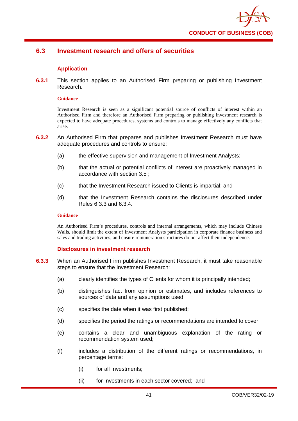

# **6.3 Investment research and offers of securities**

## **Application**

**6.3.1** This section applies to an Authorised Firm preparing or publishing Investment Research.

#### **Guidance**

Investment Research is seen as a significant potential source of conflicts of interest within an Authorised Firm and therefore an Authorised Firm preparing or publishing investment research is expected to have adequate procedures, systems and controls to manage effectively any conflicts that arise.

- **6.3.2** An Authorised Firm that prepares and publishes Investment Research must have adequate procedures and controls to ensure:
	- (a) the effective supervision and management of Investment Analysts;
	- (b) that the actual or potential conflicts of interest are proactively managed in accordance with section 3.5 ;
	- (c) that the Investment Research issued to Clients is impartial; and
	- (d) that the Investment Research contains the disclosures described under Rules 6.3.3 and 6.3.4.

#### **Guidance**

An Authorised Firm's procedures, controls and internal arrangements, which may include Chinese Walls, should limit the extent of Investment Analysts participation in corporate finance business and sales and trading activities, and ensure remuneration structures do not affect their independence.

## **Disclosures in investment research**

- **6.3.3** When an Authorised Firm publishes Investment Research, it must take reasonable steps to ensure that the Investment Research:
	- (a) clearly identifies the types of Clients for whom it is principally intended;
	- (b) distinguishes fact from opinion or estimates, and includes references to sources of data and any assumptions used;
	- (c) specifies the date when it was first published;
	- (d) specifies the period the ratings or recommendations are intended to cover;
	- (e) contains a clear and unambiguous explanation of the rating or recommendation system used;
	- (f) includes a distribution of the different ratings or recommendations, in percentage terms:
		- (i) for all Investments;
		- (ii) for Investments in each sector covered; and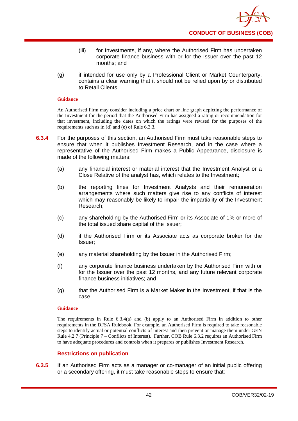- (iii) for Investments, if any, where the Authorised Firm has undertaken corporate finance business with or for the Issuer over the past 12 months; and
- (g) if intended for use only by a Professional Client or Market Counterparty, contains a clear warning that it should not be relied upon by or distributed to Retail Clients.

An Authorised Firm may consider including a price chart or line graph depicting the performance of the Investment for the period that the Authorised Firm has assigned a rating or recommendation for that investment, including the dates on which the ratings were revised for the purposes of the requirements such as in (d) and (e) of Rule 6.3.3.

- **6.3.4** For the purposes of this section, an Authorised Firm must take reasonable steps to ensure that when it publishes Investment Research, and in the case where a representative of the Authorised Firm makes a Public Appearance, disclosure is made of the following matters:
	- (a) any financial interest or material interest that the Investment Analyst or a Close Relative of the analyst has, which relates to the Investment;
	- (b) the reporting lines for Investment Analysts and their remuneration arrangements where such matters give rise to any conflicts of interest which may reasonably be likely to impair the impartiality of the Investment Research;
	- (c) any shareholding by the Authorised Firm or its Associate of 1% or more of the total issued share capital of the Issuer;
	- (d) if the Authorised Firm or its Associate acts as corporate broker for the Issuer;
	- (e) any material shareholding by the Issuer in the Authorised Firm;
	- (f) any corporate finance business undertaken by the Authorised Firm with or for the Issuer over the past 12 months, and any future relevant corporate finance business initiatives; and
	- (g) that the Authorised Firm is a Market Maker in the Investment, if that is the case.

## **Guidance**

The requirements in Rule 6.3.4(a) and (b) apply to an Authorised Firm in addition to other requirements in the DFSA Rulebook. For example, an Authorised Firm is required to take reasonable steps to identify actual or potential conflicts of interest and then prevent or manage them under GEN Rule 4.2.7 (Principle 7 – Conflicts of Interest). Further, COB Rule 6.3.2 requires an Authorised Firm to have adequate procedures and controls when it prepares or publishes Investment Research.

## **Restrictions on publication**

**6.3.5** If an Authorised Firm acts as a manager or co-manager of an initial public offering or a secondary offering, it must take reasonable steps to ensure that: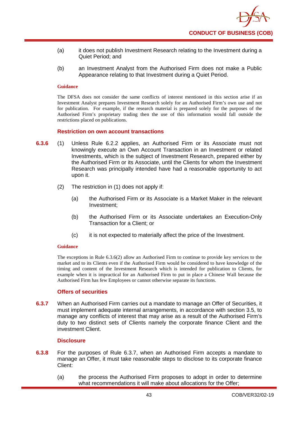- (a) it does not publish Investment Research relating to the Investment during a Quiet Period; and
- (b) an Investment Analyst from the Authorised Firm does not make a Public Appearance relating to that Investment during a Quiet Period.

The DFSA does not consider the same conflicts of interest mentioned in this section arise if an Investment Analyst prepares Investment Research solely for an Authorised Firm's own use and not for publication. For example, if the research material is prepared solely for the purposes of the Authorised Firm's proprietary trading then the use of this information would fall outside the restrictions placed on publications.

#### **Restriction on own account transactions**

- **6.3.6** (1) Unless Rule 6.2.2 applies, an Authorised Firm or its Associate must not knowingly execute an Own Account Transaction in an Investment or related Investments, which is the subject of Investment Research, prepared either by the Authorised Firm or its Associate, until the Clients for whom the Investment Research was principally intended have had a reasonable opportunity to act upon it.
	- (2) The restriction in (1) does not apply if:
		- (a) the Authorised Firm or its Associate is a Market Maker in the relevant Investment;
		- (b) the Authorised Firm or its Associate undertakes an Execution-Only Transaction for a Client; or
		- (c) it is not expected to materially affect the price of the Investment.

#### **Guidance**

The exceptions in Rule 6.3.6(2) allow an Authorised Firm to continue to provide key services to the market and to its Clients even if the Authorised Firm would be considered to have knowledge of the timing and content of the Investment Research which is intended for publication to Clients, for example when it is impractical for an Authorised Firm to put in place a Chinese Wall because the Authorised Firm has few Employees or cannot otherwise separate its functions.

## **Offers of securities**

**6.3.7** When an Authorised Firm carries out a mandate to manage an Offer of Securities, it must implement adequate internal arrangements, in accordance with section 3.5, to manage any conflicts of interest that may arise as a result of the Authorised Firm's duty to two distinct sets of Clients namely the corporate finance Client and the investment Client.

## **Disclosure**

- **6.3.8** For the purposes of Rule 6.3.7, when an Authorised Firm accepts a mandate to manage an Offer, it must take reasonable steps to disclose to its corporate finance Client:
	- (a) the process the Authorised Firm proposes to adopt in order to determine what recommendations it will make about allocations for the Offer;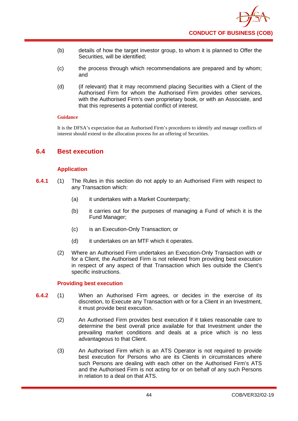

- (b) details of how the target investor group, to whom it is planned to Offer the Securities, will be identified;
- (c) the process through which recommendations are prepared and by whom; and
- (d) (if relevant) that it may recommend placing Securities with a Client of the Authorised Firm for whom the Authorised Firm provides other services, with the Authorised Firm's own proprietary book, or with an Associate, and that this represents a potential conflict of interest.

It is the DFSA's expectation that an Authorised Firm's procedures to identify and manage conflicts of interest should extend to the allocation process for an offering of Securities.

# **6.4 Best execution**

## **Application**

- **6.4.1** (1) The Rules in this section do not apply to an Authorised Firm with respect to any Transaction which:
	- (a) it undertakes with a Market Counterparty;
	- (b) it carries out for the purposes of managing a Fund of which it is the Fund Manager;
	- (c) is an Execution-Only Transaction; or
	- (d) it undertakes on an MTF which it operates.
	- (2) Where an Authorised Firm undertakes an Execution-Only Transaction with or for a Client, the Authorised Firm is not relieved from providing best execution in respect of any aspect of that Transaction which lies outside the Client's specific instructions.

## **Providing best execution**

- **6.4.2** (1) When an Authorised Firm agrees, or decides in the exercise of its discretion, to Execute any Transaction with or for a Client in an Investment, it must provide best execution.
	- (2) An Authorised Firm provides best execution if it takes reasonable care to determine the best overall price available for that Investment under the prevailing market conditions and deals at a price which is no less advantageous to that Client.
	- (3) An Authorised Firm which is an ATS Operator is not required to provide best execution for Persons who are its Clients in circumstances where such Persons are dealing with each other on the Authorised Firm's ATS and the Authorised Firm is not acting for or on behalf of any such Persons in relation to a deal on that ATS.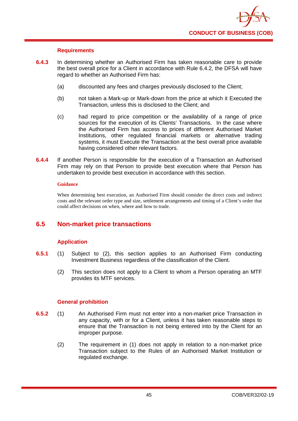

## **Requirements**

- **6.4.3** In determining whether an Authorised Firm has taken reasonable care to provide the best overall price for a Client in accordance with Rule 6.4.2, the DFSA will have regard to whether an Authorised Firm has:
	- (a) discounted any fees and charges previously disclosed to the Client;
	- (b) not taken a Mark-up or Mark-down from the price at which it Executed the Transaction, unless this is disclosed to the Client; and
	- (c) had regard to price competition or the availability of a range of price sources for the execution of its Clients' Transactions. In the case where the Authorised Firm has access to prices of different Authorised Market Institutions, other regulated financial markets or alternative trading systems, it must Execute the Transaction at the best overall price available having considered other relevant factors.
- **6.4.4** If another Person is responsible for the execution of a Transaction an Authorised Firm may rely on that Person to provide best execution where that Person has undertaken to provide best execution in accordance with this section.

#### **Guidance**

When determining best execution, an Authorised Firm should consider the direct costs and indirect costs and the relevant order type and size, settlement arrangements and timing of a Client's order that could affect decisions on when, where and how to trade.

# **6.5 Non-market price transactions**

## **Application**

- **6.5.1** (1) Subject to (2), this section applies to an Authorised Firm conducting Investment Business regardless of the classification of the Client.
	- (2) This section does not apply to a Client to whom a Person operating an MTF provides its MTF services.

## **General prohibition**

- **6.5.2** (1) An Authorised Firm must not enter into a non-market price Transaction in any capacity, with or for a Client, unless it has taken reasonable steps to ensure that the Transaction is not being entered into by the Client for an improper purpose.
	- (2) The requirement in (1) does not apply in relation to a non-market price Transaction subject to the Rules of an Authorised Market Institution or regulated exchange.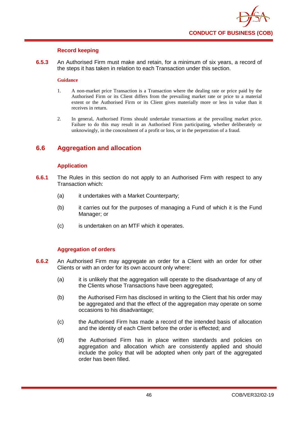

## **Record keeping**

**6.5.3** An Authorised Firm must make and retain, for a minimum of six years, a record of the steps it has taken in relation to each Transaction under this section.

#### **Guidance**

- 1. A non-market price Transaction is a Transaction where the dealing rate or price paid by the Authorised Firm or its Client differs from the prevailing market rate or price to a material extent or the Authorised Firm or its Client gives materially more or less in value than it receives in return.
- 2. In general, Authorised Firms should undertake transactions at the prevailing market price. Failure to do this may result in an Authorised Firm participating, whether deliberately or unknowingly, in the concealment of a profit or loss, or in the perpetration of a fraud.

# **6.6 Aggregation and allocation**

## **Application**

- **6.6.1** The Rules in this section do not apply to an Authorised Firm with respect to any Transaction which:
	- (a) it undertakes with a Market Counterparty;
	- (b) it carries out for the purposes of managing a Fund of which it is the Fund Manager; or
	- (c) is undertaken on an MTF which it operates.

## **Aggregation of orders**

- **6.6.2** An Authorised Firm may aggregate an order for a Client with an order for other Clients or with an order for its own account only where:
	- (a) it is unlikely that the aggregation will operate to the disadvantage of any of the Clients whose Transactions have been aggregated;
	- (b) the Authorised Firm has disclosed in writing to the Client that his order may be aggregated and that the effect of the aggregation may operate on some occasions to his disadvantage;
	- (c) the Authorised Firm has made a record of the intended basis of allocation and the identity of each Client before the order is effected; and
	- (d) the Authorised Firm has in place written standards and policies on aggregation and allocation which are consistently applied and should include the policy that will be adopted when only part of the aggregated order has been filled.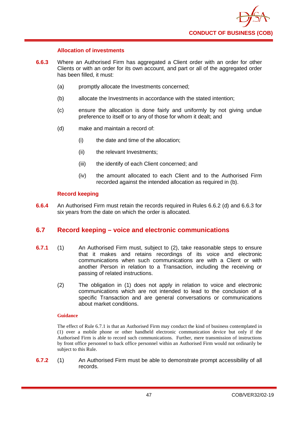

## **Allocation of investments**

- **6.6.3** Where an Authorised Firm has aggregated a Client order with an order for other Clients or with an order for its own account, and part or all of the aggregated order has been filled, it must:
	- (a) promptly allocate the Investments concerned;
	- (b) allocate the Investments in accordance with the stated intention;
	- (c) ensure the allocation is done fairly and uniformly by not giving undue preference to itself or to any of those for whom it dealt; and
	- (d) make and maintain a record of:
		- (i) the date and time of the allocation;
		- (ii) the relevant Investments;
		- (iii) the identify of each Client concerned; and
		- (iv) the amount allocated to each Client and to the Authorised Firm recorded against the intended allocation as required in (b).

## **Record keeping**

**6.6.4** An Authorised Firm must retain the records required in Rules 6.6.2 (d) and 6.6.3 for six years from the date on which the order is allocated.

# **6.7 Record keeping – voice and electronic communications**

- **6.7.1** (1) An Authorised Firm must, subject to (2), take reasonable steps to ensure that it makes and retains recordings of its voice and electronic communications when such communications are with a Client or with another Person in relation to a Transaction, including the receiving or passing of related instructions.
	- (2) The obligation in (1) does not apply in relation to voice and electronic communications which are not intended to lead to the conclusion of a specific Transaction and are general conversations or communications about market conditions.

## **Guidance**

The effect of Rule 6.7.1 is that an Authorised Firm may conduct the kind of business contemplated in (1) over a mobile phone or other handheld electronic communication device but only if the Authorised Firm is able to record such communications. Further, mere transmission of instructions by front office personnel to back office personnel within an Authorised Firm would not ordinarily be subject to this Rule.

**6.7.2** (1) An Authorised Firm must be able to demonstrate prompt accessibility of all records.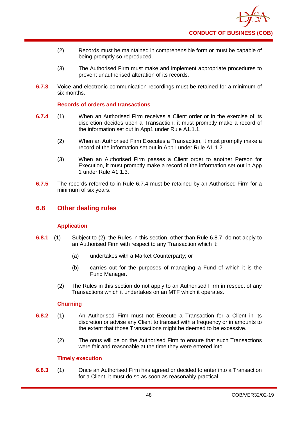- (2) Records must be maintained in comprehensible form or must be capable of being promptly so reproduced.
- (3) The Authorised Firm must make and implement appropriate procedures to prevent unauthorised alteration of its records.
- **6.7.3** Voice and electronic communication recordings must be retained for a minimum of six months.

## **Records of orders and transactions**

- **6.7.4** (1) When an Authorised Firm receives a Client order or in the exercise of its discretion decides upon a Transaction, it must promptly make a record of the information set out in App1 under Rule A1.1.1.
	- (2) When an Authorised Firm Executes a Transaction, it must promptly make a record of the information set out in App1 under Rule A1.1.2.
	- (3) When an Authorised Firm passes a Client order to another Person for Execution, it must promptly make a record of the information set out in App 1 under Rule A1.1.3.
- **6.7.5** The records referred to in Rule 6.7.4 must be retained by an Authorised Firm for a minimum of six years.

# **6.8 Other dealing rules**

## **Application**

- **6.8.1** (1) Subject to (2), the Rules in this section, other than Rule 6.8.7, do not apply to an Authorised Firm with respect to any Transaction which it:
	- (a) undertakes with a Market Counterparty; or
	- (b) carries out for the purposes of managing a Fund of which it is the Fund Manager.
	- (2) The Rules in this section do not apply to an Authorised Firm in respect of any Transactions which it undertakes on an MTF which it operates.

## **Churning**

- **6.8.2** (1) An Authorised Firm must not Execute a Transaction for a Client in its discretion or advise any Client to transact with a frequency or in amounts to the extent that those Transactions might be deemed to be excessive.
	- (2) The onus will be on the Authorised Firm to ensure that such Transactions were fair and reasonable at the time they were entered into.

## **Timely execution**

**6.8.3** (1) Once an Authorised Firm has agreed or decided to enter into a Transaction for a Client, it must do so as soon as reasonably practical.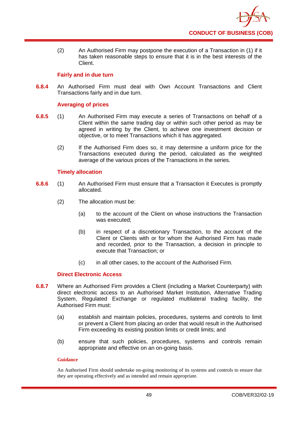

(2) An Authorised Firm may postpone the execution of a Transaction in (1) if it has taken reasonable steps to ensure that it is in the best interests of the Client.

## **Fairly and in due turn**

**6.8.4** An Authorised Firm must deal with Own Account Transactions and Client Transactions fairly and in due turn.

## **Averaging of prices**

- **6.8.5** (1) An Authorised Firm may execute a series of Transactions on behalf of a Client within the same trading day or within such other period as may be agreed in writing by the Client, to achieve one investment decision or objective, or to meet Transactions which it has aggregated.
	- (2) If the Authorised Firm does so, it may determine a uniform price for the Transactions executed during the period, calculated as the weighted average of the various prices of the Transactions in the series.

## **Timely allocation**

- **6.8.6** (1) An Authorised Firm must ensure that a Transaction it Executes is promptly allocated.
	- (2) The allocation must be:
		- (a) to the account of the Client on whose instructions the Transaction was executed;
		- (b) in respect of a discretionary Transaction, to the account of the Client or Clients with or for whom the Authorised Firm has made and recorded, prior to the Transaction, a decision in principle to execute that Transaction; or
		- (c) in all other cases, to the account of the Authorised Firm.

## **Direct Electronic Access**

- **6.8.7** Where an Authorised Firm provides a Client (including a Market Counterparty) with direct electronic access to an Authorised Market Institution, Alternative Trading System, Regulated Exchange or regulated multilateral trading facility, the Authorised Firm must:
	- (a) establish and maintain policies, procedures, systems and controls to limit or prevent a Client from placing an order that would result in the Authorised Firm exceeding its existing position limits or credit limits; and
	- (b) ensure that such policies, procedures, systems and controls remain appropriate and effective on an on-going basis.

## **Guidance**

An Authorised Firm should undertake on-going monitoring of its systems and controls to ensure that they are operating effectively and as intended and remain appropriate.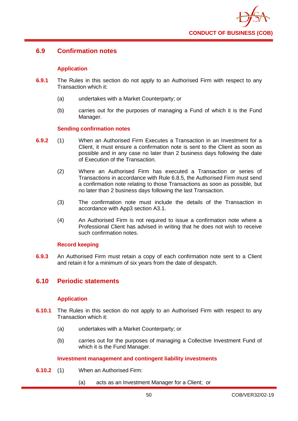

# **6.9 Confirmation notes**

## **Application**

- **6.9.1** The Rules in this section do not apply to an Authorised Firm with respect to any Transaction which it:
	- (a) undertakes with a Market Counterparty; or
	- (b) carries out for the purposes of managing a Fund of which it is the Fund Manager.

## **Sending confirmation notes**

- **6.9.2** (1) When an Authorised Firm Executes a Transaction in an Investment for a Client, it must ensure a confirmation note is sent to the Client as soon as possible and in any case no later than 2 business days following the date of Execution of the Transaction.
	- (2) Where an Authorised Firm has executed a Transaction or series of Transactions in accordance with Rule 6.8.5, the Authorised Firm must send a confirmation note relating to those Transactions as soon as possible, but no later than 2 business days following the last Transaction.
	- (3) The confirmation note must include the details of the Transaction in accordance with App3 section A3.1.
	- (4) An Authorised Firm is not required to issue a confirmation note where a Professional Client has advised in writing that he does not wish to receive such confirmation notes.

## **Record keeping**

**6.9.3** An Authorised Firm must retain a copy of each confirmation note sent to a Client and retain it for a minimum of six years from the date of despatch.

# **6.10 Periodic statements**

## **Application**

- **6.10.1** The Rules in this section do not apply to an Authorised Firm with respect to any Transaction which it:
	- (a) undertakes with a Market Counterparty; or
	- (b) carries out for the purposes of managing a Collective Investment Fund of which it is the Fund Manager.

## **Investment management and contingent liability investments**

- **6.10.2** (1) When an Authorised Firm:
	- (a) acts as an Investment Manager for a Client; or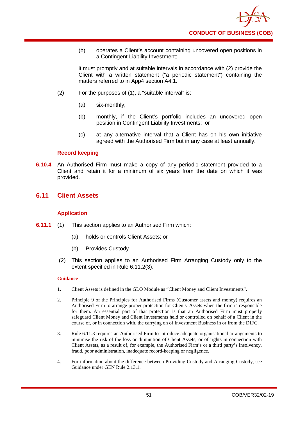(b) operates a Client's account containing uncovered open positions in a Contingent Liability Investment;

it must promptly and at suitable intervals in accordance with (2) provide the Client with a written statement ("a periodic statement") containing the matters referred to in App4 section A4.1.

- (2) For the purposes of (1), a "suitable interval" is:
	- (a) six-monthly;
	- (b) monthly, if the Client's portfolio includes an uncovered open position in Contingent Liability Investments; or
	- (c) at any alternative interval that a Client has on his own initiative agreed with the Authorised Firm but in any case at least annually.

## **Record keeping**

**6.10.4** An Authorised Firm must make a copy of any periodic statement provided to a Client and retain it for a minimum of six years from the date on which it was provided.

# **6.11 Client Assets**

## **Application**

- **6.11.1** (1) This section applies to an Authorised Firm which:
	- (a) holds or controls Client Assets; or
	- (b) Provides Custody.
	- (2) This section applies to an Authorised Firm Arranging Custody only to the extent specified in Rule 6.11.2(3).

## **Guidance**

- 1. Client Assets is defined in the GLO Module as "Client Money and Client Investments".
- 2. Principle 9 of the Principles for Authorised Firms (Customer assets and money) requires an Authorised Firm to arrange proper protection for Clients' Assets when the firm is responsible for them. An essential part of that protection is that an Authorised Firm must properly safeguard Client Money and Client Investments held or controlled on behalf of a Client in the course of, or in connection with, the carrying on of Investment Business in or from the DIFC.
- 3. Rule 6.11.3 requires an Authorised Firm to introduce adequate organisational arrangements to minimise the risk of the loss or diminution of Client Assets, or of rights in connection with Client Assets, as a result of, for example, the Authorised Firm's or a third party's insolvency, fraud, poor administration, inadequate record-keeping or negligence.
- 4. For information about the difference between Providing Custody and Arranging Custody, see Guidance under GEN Rule 2.13.1.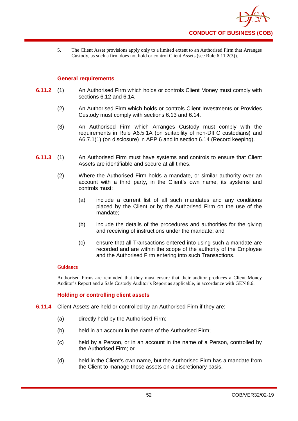

5. The Client Asset provisions apply only to a limited extent to an Authorised Firm that Arranges Custody, as such a firm does not hold or control Client Assets (see Rule 6.11.2(3)).

## **General requirements**

- **6.11.2** (1) An Authorised Firm which holds or controls Client Money must comply with sections 6.12 and 6.14.
	- (2) An Authorised Firm which holds or controls Client Investments or Provides Custody must comply with sections 6.13 and 6.14.
	- (3) An Authorised Firm which Arranges Custody must comply with the requirements in Rule A6.5.1A (on suitability of non-DIFC custodians) and A6.7.1(1) (on disclosure) in APP 6 and in section 6.14 (Record keeping).
- **6.11.3** (1) An Authorised Firm must have systems and controls to ensure that Client Assets are identifiable and secure at all times.
	- (2) Where the Authorised Firm holds a mandate, or similar authority over an account with a third party, in the Client's own name, its systems and controls must:
		- (a) include a current list of all such mandates and any conditions placed by the Client or by the Authorised Firm on the use of the mandate;
		- (b) include the details of the procedures and authorities for the giving and receiving of instructions under the mandate; and
		- (c) ensure that all Transactions entered into using such a mandate are recorded and are within the scope of the authority of the Employee and the Authorised Firm entering into such Transactions.

#### **Guidance**

Authorised Firms are reminded that they must ensure that their auditor produces a Client Money Auditor's Report and a Safe Custody Auditor's Report as applicable, in accordance with GEN 8.6.

## **Holding or controlling client assets**

- **6.11.4** Client Assets are held or controlled by an Authorised Firm if they are:
	- (a) directly held by the Authorised Firm;
	- (b) held in an account in the name of the Authorised Firm;
	- (c) held by a Person, or in an account in the name of a Person, controlled by the Authorised Firm; or
	- (d) held in the Client's own name, but the Authorised Firm has a mandate from the Client to manage those assets on a discretionary basis.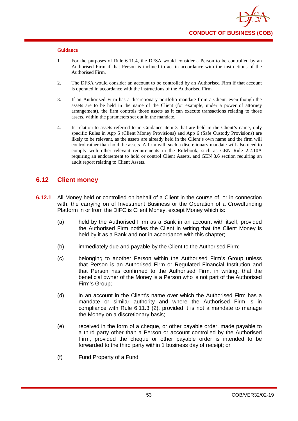- 1 For the purposes of Rule 6.11.4, the DFSA would consider a Person to be controlled by an Authorised Firm if that Person is inclined to act in accordance with the instructions of the Authorised Firm.
- 2. The DFSA would consider an account to be controlled by an Authorised Firm if that account is operated in accordance with the instructions of the Authorised Firm.
- 3. If an Authorised Firm has a discretionary portfolio mandate from a Client, even though the assets are to be held in the name of the Client (for example, under a power of attorney arrangement), the firm controls those assets as it can execute transactions relating to those assets, within the parameters set out in the mandate.
- 4. In relation to assets referred to in Guidance item 3 that are held in the Client's name, only specific Rules in App 5 (Client Money Provisions) and App 6 (Safe Custody Provisions) are likely to be relevant, as the assets are already held in the Client's own name and the firm will control rather than hold the assets. A firm with such a discretionary mandate will also need to comply with other relevant requirements in the Rulebook, such as GEN Rule 2.2.10A requiring an endorsement to hold or control Client Assets, and GEN 8.6 section requiring an audit report relating to Client Assets.

# **6.12 Client money**

- **6.12.1** All Money held or controlled on behalf of a Client in the course of, or in connection with, the carrying on of Investment Business or the Operation of a Crowdfunding Platform in or from the DIFC is Client Money, except Money which is:
	- (a) held by the Authorised Firm as a Bank in an account with itself, provided the Authorised Firm notifies the Client in writing that the Client Money is held by it as a Bank and not in accordance with this chapter;
	- (b) immediately due and payable by the Client to the Authorised Firm;
	- (c) belonging to another Person within the Authorised Firm's Group unless that Person is an Authorised Firm or Regulated Financial Institution and that Person has confirmed to the Authorised Firm, in writing, that the beneficial owner of the Money is a Person who is not part of the Authorised Firm's Group;
	- (d) in an account in the Client's name over which the Authorised Firm has a mandate or similar authority and where the Authorised Firm is in compliance with Rule 6.11.3 (2), provided it is not a mandate to manage the Money on a discretionary basis;
	- (e) received in the form of a cheque, or other payable order, made payable to a third party other than a Person or account controlled by the Authorised Firm, provided the cheque or other payable order is intended to be forwarded to the third party within 1 business day of receipt; or
	- (f) Fund Property of a Fund.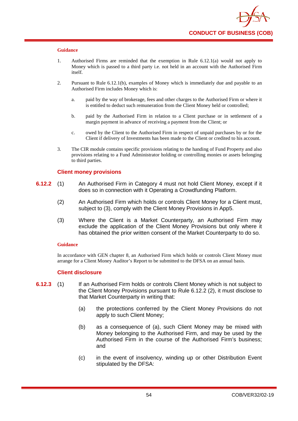- 1. Authorised Firms are reminded that the exemption in Rule 6.12.1(a) would not apply to Money which is passed to a third party i.e. not held in an account with the Authorised Firm itself.
- 2. Pursuant to Rule 6.12.1(b), examples of Money which is immediately due and payable to an Authorised Firm includes Money which is:
	- a. paid by the way of brokerage, fees and other charges to the Authorised Firm or where it is entitled to deduct such remuneration from the Client Money held or controlled;
	- b. paid by the Authorised Firm in relation to a Client purchase or in settlement of a margin payment in advance of receiving a payment from the Client; or
	- c. owed by the Client to the Authorised Firm in respect of unpaid purchases by or for the Client if delivery of Investments has been made to the Client or credited to his account.
- 3. The CIR module contains specific provisions relating to the handing of Fund Property and also provisions relating to a Fund Administrator holding or controlling monies or assets belonging to third parties.

## **Client money provisions**

- **6.12.2** (1) An Authorised Firm in Category 4 must not hold Client Money, except if it does so in connection with it Operating a Crowdfunding Platform.
	- (2) An Authorised Firm which holds or controls Client Money for a Client must, subject to (3), comply with the Client Money Provisions in App5.
	- (3) Where the Client is a Market Counterparty, an Authorised Firm may exclude the application of the Client Money Provisions but only where it has obtained the prior written consent of the Market Counterparty to do so.

#### **Guidance**

In accordance with GEN chapter 8, an Authorised Firm which holds or controls Client Money must arrange for a Client Money Auditor's Report to be submitted to the DFSA on an annual basis.

#### **Client disclosure**

- **6.12.3** (1) If an Authorised Firm holds or controls Client Money which is not subject to the Client Money Provisions pursuant to Rule 6.12.2 (2), it must disclose to that Market Counterparty in writing that:
	- (a) the protections conferred by the Client Money Provisions do not apply to such Client Money;
	- (b) as a consequence of (a), such Client Money may be mixed with Money belonging to the Authorised Firm, and may be used by the Authorised Firm in the course of the Authorised Firm's business; and
	- (c) in the event of insolvency, winding up or other Distribution Event stipulated by the DFSA: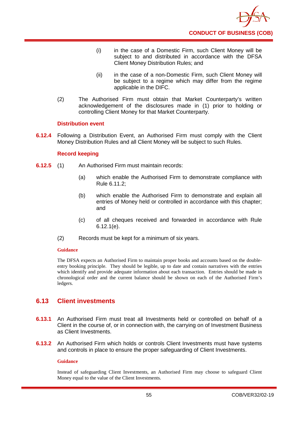- (i) in the case of a Domestic Firm, such Client Money will be subject to and distributed in accordance with the DFSA Client Money Distribution Rules; and
- (ii) in the case of a non-Domestic Firm, such Client Money will be subject to a regime which may differ from the regime applicable in the DIFC.
- (2) The Authorised Firm must obtain that Market Counterparty's written acknowledgement of the disclosures made in (1) prior to holding or controlling Client Money for that Market Counterparty.

## **Distribution event**

**6.12.4** Following a Distribution Event, an Authorised Firm must comply with the Client Money Distribution Rules and all Client Money will be subject to such Rules.

## **Record keeping**

- **6.12.5** (1) An Authorised Firm must maintain records:
	- (a) which enable the Authorised Firm to demonstrate compliance with Rule 6.11.2;
	- (b) which enable the Authorised Firm to demonstrate and explain all entries of Money held or controlled in accordance with this chapter; and
	- (c) of all cheques received and forwarded in accordance with Rule 6.12.1(e).
	- (2) Records must be kept for a minimum of six years.

## **Guidance**

The DFSA expects an Authorised Firm to maintain proper books and accounts based on the doubleentry booking principle. They should be legible, up to date and contain narratives with the entries which identify and provide adequate information about each transaction. Entries should be made in chronological order and the current balance should be shown on each of the Authorised Firm's ledgers.

# **6.13 Client investments**

- **6.13.1** An Authorised Firm must treat all Investments held or controlled on behalf of a Client in the course of, or in connection with, the carrying on of Investment Business as Client Investments.
- **6.13.2** An Authorised Firm which holds or controls Client Investments must have systems and controls in place to ensure the proper safeguarding of Client Investments.

## **Guidance**

Instead of safeguarding Client Investments, an Authorised Firm may choose to safeguard Client Money equal to the value of the Client Investments.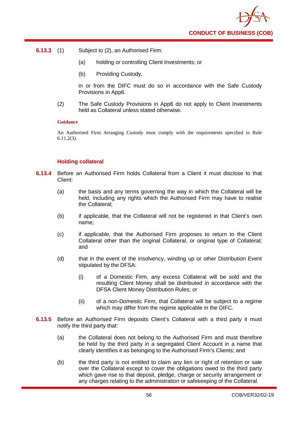

- **6.13.3** (1) Subject to (2), an Authorised Firm:
	- (a) holding or controlling Client Investments; or
	- (b) Providing Custody,

in or from the DIFC must do so in accordance with the Safe Custody Provisions in App6.

(2) The Safe Custody Provisions in App6 do not apply to Client Investments held as Collateral unless stated otherwise.

#### **Guidance**

An Authorised Firm Arranging Custody must comply with the requirements specified in Rule 6.11.2(3).

## **Holding collateral**

- **6.13.4** Before an Authorised Firm holds Collateral from a Client it must disclose to that Client:
	- (a) the basis and any terms governing the way in which the Collateral will be held, including any rights which the Authorised Firm may have to realise the Collateral;
	- (b) if applicable, that the Collateral will not be registered in that Client's own name;
	- (c) if applicable, that the Authorised Firm proposes to return to the Client Collateral other than the original Collateral, or original type of Collateral; and
	- (d) that in the event of the insolvency, winding up or other Distribution Event stipulated by the DFSA:
		- (i) of a Domestic Firm, any excess Collateral will be sold and the resulting Client Money shall be distributed in accordance with the DFSA Client Money Distribution Rules; or
		- (ii) of a non-Domestic Firm, that Collateral will be subject to a regime which may differ from the regime applicable in the DIFC.
- **6.13.5** Before an Authorised Firm deposits Client's Collateral with a third party it must notify the third party that:
	- (a) the Collateral does not belong to the Authorised Firm and must therefore be held by the third party in a segregated Client Account in a name that clearly identifies it as belonging to the Authorised Firm's Clients; and
	- (b) the third party is not entitled to claim any lien or right of retention or sale over the Collateral except to cover the obligations owed to the third party which gave rise to that deposit, pledge, charge or security arrangement or any charges relating to the administration or safekeeping of the Collateral.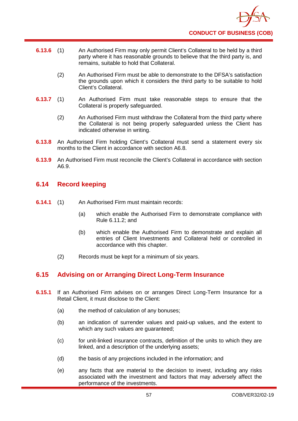

- **6.13.6** (1) An Authorised Firm may only permit Client's Collateral to be held by a third party where it has reasonable grounds to believe that the third party is, and remains, suitable to hold that Collateral.
	- (2) An Authorised Firm must be able to demonstrate to the DFSA's satisfaction the grounds upon which it considers the third party to be suitable to hold Client's Collateral.
- **6.13.7** (1) An Authorised Firm must take reasonable steps to ensure that the Collateral is properly safeguarded.
	- (2) An Authorised Firm must withdraw the Collateral from the third party where the Collateral is not being properly safeguarded unless the Client has indicated otherwise in writing.
- **6.13.8** An Authorised Firm holding Client's Collateral must send a statement every six months to the Client in accordance with section A6.8.
- **6.13.9** An Authorised Firm must reconcile the Client's Collateral in accordance with section A6.9.

# **6.14 Record keeping**

- **6.14.1** (1) An Authorised Firm must maintain records:
	- (a) which enable the Authorised Firm to demonstrate compliance with Rule 6.11.2; and
	- (b) which enable the Authorised Firm to demonstrate and explain all entries of Client Investments and Collateral held or controlled in accordance with this chapter.
	- (2) Records must be kept for a minimum of six years.

# **6.15 Advising on or Arranging Direct Long-Term Insurance**

- **6.15.1** If an Authorised Firm advises on or arranges Direct Long-Term Insurance for a Retail Client, it must disclose to the Client:
	- (a) the method of calculation of any bonuses;
	- (b) an indication of surrender values and paid-up values, and the extent to which any such values are guaranteed;
	- (c) for unit-linked insurance contracts, definition of the units to which they are linked, and a description of the underlying assets;
	- (d) the basis of any projections included in the information; and
	- (e) any facts that are material to the decision to invest, including any risks associated with the investment and factors that may adversely affect the performance of the investments.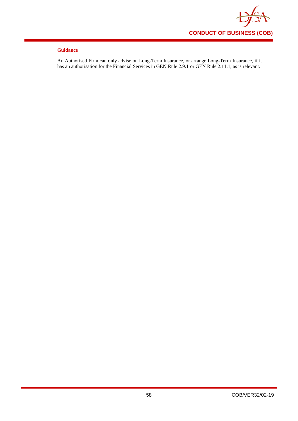

An Authorised Firm can only advise on Long-Term Insurance, or arrange Long-Term Insurance, if it has an authorisation for the Financial Services in GEN Rule 2.9.1 or GEN Rule 2.11.1, as is relevant.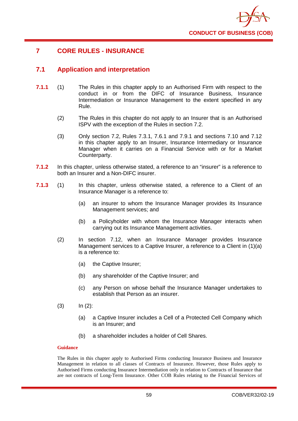

# **7 CORE RULES - INSURANCE**

# **7.1 Application and interpretation**

- **7.1.1** (1) The Rules in this chapter apply to an Authorised Firm with respect to the conduct in or from the DIFC of Insurance Business, Insurance Intermediation or Insurance Management to the extent specified in any Rule.
	- (2) The Rules in this chapter do not apply to an Insurer that is an Authorised ISPV with the exception of the Rules in section 7.2.
	- (3) Only section 7.2, Rules 7.3.1, 7.6.1 and 7.9.1 and sections 7.10 and 7.12 in this chapter apply to an Insurer, Insurance Intermediary or Insurance Manager when it carries on a Financial Service with or for a Market Counterparty.
- **7.1.2** In this chapter, unless otherwise stated, a reference to an "insurer" is a reference to both an Insurer and a Non-DIFC insurer.
- **7.1.3** (1) In this chapter, unless otherwise stated, a reference to a Client of an Insurance Manager is a reference to:
	- (a) an insurer to whom the Insurance Manager provides its Insurance Management services; and
	- (b) a Policyholder with whom the Insurance Manager interacts when carrying out its Insurance Management activities.
	- (2) In section 7.12, when an Insurance Manager provides Insurance Management services to a Captive Insurer, a reference to a Client in (1)(a) is a reference to:
		- (a) the Captive Insurer;
		- (b) any shareholder of the Captive Insurer; and
		- (c) any Person on whose behalf the Insurance Manager undertakes to establish that Person as an insurer.
	- $(3)$   $\ln (2)$ :
		- (a) a Captive Insurer includes a Cell of a Protected Cell Company which is an Insurer; and
		- (b) a shareholder includes a holder of Cell Shares.

## **Guidance**

The Rules in this chapter apply to Authorised Firms conducting Insurance Business and Insurance Management in relation to all classes of Contracts of Insurance. However, those Rules apply to Authorised Firms conducting Insurance Intermediation only in relation to Contracts of Insurance that are not contracts of Long-Term Insurance. Other COB Rules relating to the Financial Services of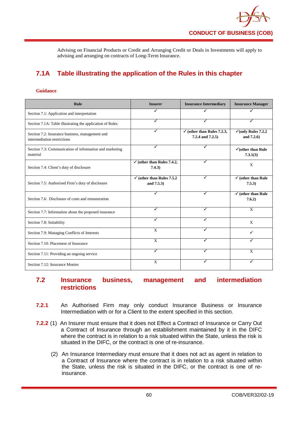Advising on Financial Products or Credit and Arranging Credit or Deals in Investments will apply to advising and arranging on contracts of Long-Term Insurance.

# **7.1A Table illustrating the application of the Rules in this chapter**

#### **Guidance**

| <b>Rule</b>                                                                    | <b>Insurer</b>                                      | <b>Insurance Intermediary</b>                             | <b>Insurance Manager</b>                      |
|--------------------------------------------------------------------------------|-----------------------------------------------------|-----------------------------------------------------------|-----------------------------------------------|
| Section 7.1: Application and interpretation                                    |                                                     |                                                           |                                               |
| Section 7.1A: Table illustrating the application of Rules                      | ✓                                                   | ✓                                                         |                                               |
| Section 7.2: Insurance business, management and<br>intermediation restrictions | ✓                                                   | $\checkmark$ (other than Rules 7.2.3,<br>7.2.4 and 7.2.5) | $\checkmark$ (only Rules 7.2.2)<br>and 7.2.6) |
| Section 7.3: Communication of information and marketing<br>material            | ✓                                                   | ✓                                                         | $\checkmark$ (other than Rule)<br>7.3.1(3)    |
| Section 7.4: Client's duty of disclosure                                       | $\checkmark$ (other than Rules 7.4.2,<br>7.4.3)     | ✓                                                         | X                                             |
| Section 7.5: Authorised Firm's duty of disclosure                              | $\checkmark$ (other than Rules 7.5.2)<br>and 7.5.3) | ✓                                                         | $\checkmark$ (other than Rule<br>7.5.3)       |
| Section 7.6: Disclosure of costs and remuneration                              | ✓                                                   | ✓                                                         | $\checkmark$ (other than Rule<br>7.6.2)       |
| Section 7.7: Information about the proposed insurance                          | ✓                                                   | ✓                                                         | X                                             |
| Section 7.8: Suitability                                                       | ✔                                                   | ✔                                                         | X                                             |
| Section 7.9: Managing Conflicts of Interests                                   | X                                                   |                                                           | ✓                                             |
| Section 7.10: Placement of Insurance                                           | $\mathbf{x}$                                        |                                                           |                                               |
| Section 7.11: Providing an ongoing service                                     | ✓                                                   |                                                           | X                                             |
| Section 7.12: Insurance Monies                                                 | X                                                   | ✓                                                         | ✓                                             |

# **7.2 Insurance business, management and intermediation restrictions**

- **7.2.1** An Authorised Firm may only conduct Insurance Business or Insurance Intermediation with or for a Client to the extent specified in this section.
- **7.2.2** (1) An Insurer must ensure that it does not Effect a Contract of Insurance or Carry Out a Contract of Insurance through an establishment maintained by it in the DIFC where the contract is in relation to a risk situated within the State, unless the risk is situated in the DIFC, or the contract is one of re-insurance.
	- (2) An Insurance Intermediary must ensure that it does not act as agent in relation to a Contract of Insurance where the contract is in relation to a risk situated within the State, unless the risk is situated in the DIFC, or the contract is one of reinsurance.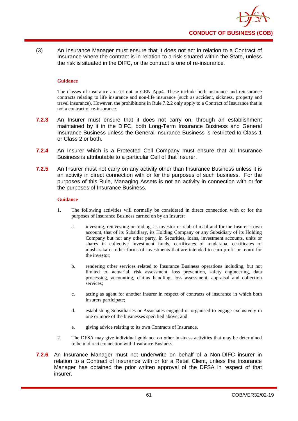

(3) An Insurance Manager must ensure that it does not act in relation to a Contract of Insurance where the contract is in relation to a risk situated within the State, unless the risk is situated in the DIFC, or the contract is one of re-insurance.

#### **Guidance**

The classes of insurance are set out in GEN App4. These include both insurance and reinsurance contracts relating to life insurance and non-life insurance (such as accident, sickness, property and travel insurance). However, the prohibitions in Rule 7.2.2 only apply to a Contract of Insurance that is not a contract of re-insurance.

- **7.2.3** An Insurer must ensure that it does not carry on, through an establishment maintained by it in the DIFC, both Long-Term Insurance Business and General Insurance Business unless the General Insurance Business is restricted to Class 1 or Class 2 or both.
- **7.2.4** An Insurer which is a Protected Cell Company must ensure that all Insurance Business is attributable to a particular Cell of that Insurer.
- **7.2.5** An Insurer must not carry on any activity other than Insurance Business unless it is an activity in direct connection with or for the purposes of such business. For the purposes of this Rule, Managing Assets is not an activity in connection with or for the purposes of Insurance Business.

#### **Guidance**

- 1. The following activities will normally be considered in direct connection with or for the purposes of Insurance Business carried on by an Insurer:
	- a. investing, reinvesting or trading, as investor or rabb ul maal and for the Insurer's own account, that of its Subsidiary, its Holding Company or any Subsidiary of its Holding Company but not any other party, in Securities, loans, investment accounts, units or shares in collective investment funds, certificates of mudaraba, certificates of musharaka or other forms of investments that are intended to earn profit or return for the investor;
	- b. rendering other services related to Insurance Business operations including, but not limited to, actuarial, risk assessment, loss prevention, safety engineering, data processing, accounting, claims handling, loss assessment, appraisal and collection services:
	- c. acting as agent for another insurer in respect of contracts of insurance in which both insurers participate;
	- d. establishing Subsidiaries or Associates engaged or organised to engage exclusively in one or more of the businesses specified above; and
	- e. giving advice relating to its own Contracts of Insurance.
- 2. The DFSA may give individual guidance on other business activities that may be determined to be in direct connection with Insurance Business.
- **7.2.6** An Insurance Manager must not underwrite on behalf of a Non-DIFC insurer in relation to a Contract of Insurance with or for a Retail Client, unless the Insurance Manager has obtained the prior written approval of the DFSA in respect of that insurer.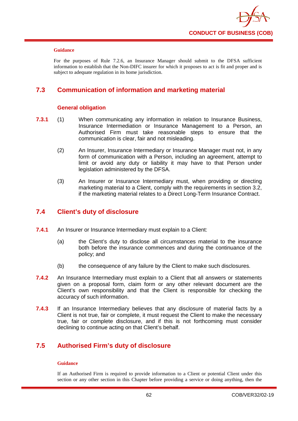

For the purposes of Rule 7.2.6, an Insurance Manager should submit to the DFSA sufficient information to establish that the Non-DIFC insurer for which it proposes to act is fit and proper and is subject to adequate regulation in its home jurisdiction.

# **7.3 Communication of information and marketing material**

## **General obligation**

- **7.3.1** (1) When communicating any information in relation to Insurance Business, Insurance Intermediation or Insurance Management to a Person, an Authorised Firm must take reasonable steps to ensure that the communication is clear, fair and not misleading.
	- (2) An Insurer, Insurance Intermediary or Insurance Manager must not, in any form of communication with a Person, including an agreement, attempt to limit or avoid any duty or liability it may have to that Person under legislation administered by the DFSA.
	- (3) An Insurer or Insurance Intermediary must, when providing or directing marketing material to a Client, comply with the requirements in section 3.2, if the marketing material relates to a Direct Long-Term Insurance Contract.

# **7.4 Client's duty of disclosure**

- **7.4.1** An Insurer or Insurance Intermediary must explain to a Client:
	- (a) the Client's duty to disclose all circumstances material to the insurance both before the insurance commences and during the continuance of the policy; and
	- (b) the consequence of any failure by the Client to make such disclosures.
- **7.4.2** An Insurance Intermediary must explain to a Client that all answers or statements given on a proposal form, claim form or any other relevant document are the Client's own responsibility and that the Client is responsible for checking the accuracy of such information.
- **7.4.3** If an Insurance Intermediary believes that any disclosure of material facts by a Client is not true, fair or complete, it must request the Client to make the necessary true, fair or complete disclosure, and if this is not forthcoming must consider declining to continue acting on that Client's behalf.

# **7.5 Authorised Firm's duty of disclosure**

## **Guidance**

If an Authorised Firm is required to provide information to a Client or potential Client under this section or any other section in this Chapter before providing a service or doing anything, then the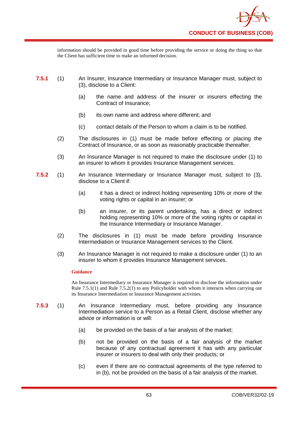information should be provided in good time before providing the service or doing the thing so that the Client has sufficient time to make an informed decision.

- **7.5.1** (1) An Insurer, Insurance Intermediary or Insurance Manager must, subject to (3), disclose to a Client:
	- (a) the name and address of the insurer or insurers effecting the Contract of Insurance;
	- (b) its own name and address where different; and
	- (c) contact details of the Person to whom a claim is to be notified.
	- (2) The disclosures in (1) must be made before effecting or placing the Contract of Insurance, or as soon as reasonably practicable thereafter.
	- (3) An Insurance Manager is not required to make the disclosure under (1) to an insurer to whom it provides Insurance Management services.
- **7.5.2** (1) An Insurance Intermediary or Insurance Manager must, subject to (3), disclose to a Client if:
	- (a) it has a direct or indirect holding representing 10% or more of the voting rights or capital in an insurer; or
	- (b) an insurer, or its parent undertaking, has a direct or indirect holding representing 10% or more of the voting rights or capital in the Insurance Intermediary or Insurance Manager.
	- (2) The disclosures in (1) must be made before providing Insurance Intermediation or Insurance Management services to the Client.
	- (3) An Insurance Manager is not required to make a disclosure under (1) to an insurer to whom it provides Insurance Management services.

#### **Guidance**

An Insurance Intermediary or Insurance Manager is required to disclose the information under Rule 7.5.1(1) and Rule 7.5.2(1) to any Policyholder with whom it interacts when carrying out its Insurance Intermediation or Insurance Management activities.

- **7.5.3** (1) An Insurance Intermediary must, before providing any Insurance Intermediation service to a Person as a Retail Client, disclose whether any advice or information is or will:
	- (a) be provided on the basis of a fair analysis of the market;
	- (b) not be provided on the basis of a fair analysis of the market because of any contractual agreement it has with any particular insurer or insurers to deal with only their products; or
	- (c) even if there are no contractual agreements of the type referred to in (b), not be provided on the basis of a fair analysis of the market.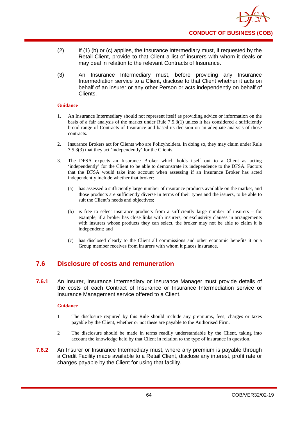- (2) If (1) (b) or (c) applies, the Insurance Intermediary must, if requested by the Retail Client, provide to that Client a list of insurers with whom it deals or may deal in relation to the relevant Contracts of Insurance.
- (3) An Insurance Intermediary must, before providing any Insurance Intermediation service to a Client, disclose to that Client whether it acts on behalf of an insurer or any other Person or acts independently on behalf of Clients.

- 1. An Insurance Intermediary should not represent itself as providing advice or information on the basis of a fair analysis of the market under Rule  $7.5.3(1)$  unless it has considered a sufficiently broad range of Contracts of Insurance and based its decision on an adequate analysis of those contracts.
- 2. Insurance Brokers act for Clients who are Policyholders. In doing so, they may claim under Rule 7.5.3(3) that they act 'independently' for the Clients.
- 3. The DFSA expects an Insurance Broker which holds itself out to a Client as acting 'independently' for the Client to be able to demonstrate its independence to the DFSA. Factors that the DFSA would take into account when assessing if an Insurance Broker has acted independently include whether that broker:
	- (a) has assessed a sufficiently large number of insurance products available on the market, and those products are sufficiently diverse in terms of their types and the issuers, to be able to suit the Client's needs and objectives;
	- (b) is free to select insurance products from a sufficiently large number of insurers for example, if a broker has close links with insurers, or exclusivity clauses in arrangements with insurers whose products they can select, the broker may not be able to claim it is independent; and
	- (c) has disclosed clearly to the Client all commissions and other economic benefits it or a Group member receives from insurers with whom it places insurance.

# **7.6 Disclosure of costs and remuneration**

**7.6.1** An Insurer, Insurance Intermediary or Insurance Manager must provide details of the costs of each Contract of Insurance or Insurance Intermediation service or Insurance Management service offered to a Client.

## **Guidance**

- 1 The disclosure required by this Rule should include any premiums, fees, charges or taxes payable by the Client, whether or not these are payable to the Authorised Firm.
- 2 The disclosure should be made in terms readily understandable by the Client, taking into account the knowledge held by that Client in relation to the type of insurance in question.
- **7.6.2** An Insurer or Insurance Intermediary must, where any premium is payable through a Credit Facility made available to a Retail Client, disclose any interest, profit rate or charges payable by the Client for using that facility.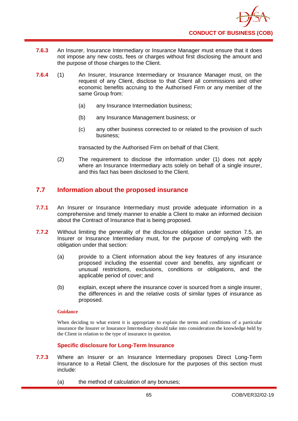

- **7.6.3** An Insurer, Insurance Intermediary or Insurance Manager must ensure that it does not impose any new costs, fees or charges without first disclosing the amount and the purpose of those charges to the Client.
- **7.6.4** (1) An Insurer, Insurance Intermediary or Insurance Manager must, on the request of any Client, disclose to that Client all commissions and other economic benefits accruing to the Authorised Firm or any member of the same Group from:
	- (a) any Insurance Intermediation business;
	- (b) any Insurance Management business; or
	- (c) any other business connected to or related to the provision of such business;

transacted by the Authorised Firm on behalf of that Client.

(2) The requirement to disclose the information under (1) does not apply where an Insurance Intermediary acts solely on behalf of a single insurer, and this fact has been disclosed to the Client.

# **7.7 Information about the proposed insurance**

- **7.7.1** An Insurer or Insurance Intermediary must provide adequate information in a comprehensive and timely manner to enable a Client to make an informed decision about the Contract of Insurance that is being proposed.
- **7.7.2** Without limiting the generality of the disclosure obligation under section 7.5, an Insurer or Insurance Intermediary must, for the purpose of complying with the obligation under that section:
	- (a) provide to a Client information about the key features of any insurance proposed including the essential cover and benefits, any significant or unusual restrictions, exclusions, conditions or obligations, and the applicable period of cover; and
	- (b) explain, except where the insurance cover is sourced from a single insurer, the differences in and the relative costs of similar types of insurance as proposed.

## **Guidance**

When deciding to what extent it is appropriate to explain the terms and conditions of a particular insurance the Insurer or Insurance Intermediary should take into consideration the knowledge held by the Client in relation to the type of insurance in question.

## **Specific disclosure for Long-Term Insurance**

- **7.7.3** Where an Insurer or an Insurance Intermediary proposes Direct Long-Term Insurance to a Retail Client, the disclosure for the purposes of this section must include:
	- (a) the method of calculation of any bonuses;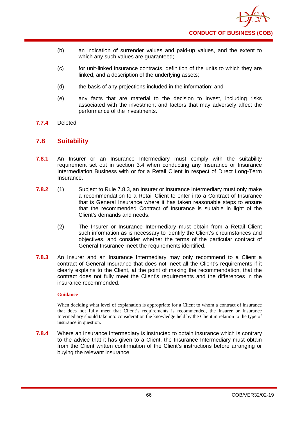- (b) an indication of surrender values and paid-up values, and the extent to which any such values are guaranteed;
- (c) for unit-linked insurance contracts, definition of the units to which they are linked, and a description of the underlying assets;
- (d) the basis of any projections included in the information; and
- (e) any facts that are material to the decision to invest, including risks associated with the investment and factors that may adversely affect the performance of the investments.
- **7.7.4** Deleted

# **7.8 Suitability**

- **7.8.1** An Insurer or an Insurance Intermediary must comply with the suitability requirement set out in section 3.4 when conducting any Insurance or Insurance Intermediation Business with or for a Retail Client in respect of Direct Long-Term Insurance.
- **7.8.2** (1) Subject to Rule 7.8.3, an Insurer or Insurance Intermediary must only make a recommendation to a Retail Client to enter into a Contract of Insurance that is General Insurance where it has taken reasonable steps to ensure that the recommended Contract of Insurance is suitable in light of the Client's demands and needs.
	- (2) The Insurer or Insurance Intermediary must obtain from a Retail Client such information as is necessary to identify the Client's circumstances and objectives, and consider whether the terms of the particular contract of General Insurance meet the requirements identified.
- **7.8.3** An Insurer and an Insurance Intermediary may only recommend to a Client a contract of General Insurance that does not meet all the Client's requirements if it clearly explains to the Client, at the point of making the recommendation, that the contract does not fully meet the Client's requirements and the differences in the insurance recommended.

## **Guidance**

When deciding what level of explanation is appropriate for a Client to whom a contract of insurance that does not fully meet that Client's requirements is recommended, the Insurer or Insurance Intermediary should take into consideration the knowledge held by the Client in relation to the type of insurance in question.

**7.8.4** Where an Insurance Intermediary is instructed to obtain insurance which is contrary to the advice that it has given to a Client, the Insurance Intermediary must obtain from the Client written confirmation of the Client's instructions before arranging or buying the relevant insurance.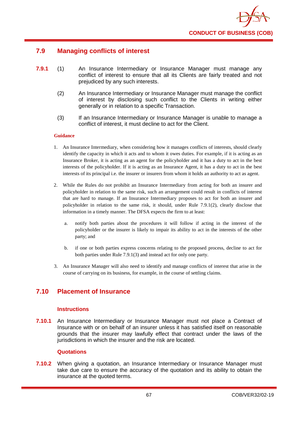

# **7.9 Managing conflicts of interest**

- **7.9.1** (1) An Insurance Intermediary or Insurance Manager must manage any conflict of interest to ensure that all its Clients are fairly treated and not prejudiced by any such interests.
	- (2) An Insurance Intermediary or Insurance Manager must manage the conflict of interest by disclosing such conflict to the Clients in writing either generally or in relation to a specific Transaction.
	- (3) If an Insurance Intermediary or Insurance Manager is unable to manage a conflict of interest, it must decline to act for the Client.

#### **Guidance**

- 1. An Insurance Intermediary, when considering how it manages conflicts of interests, should clearly identify the capacity in which it acts and to whom it owes duties. For example, if it is acting as an Insurance Broker, it is acting as an agent for the policyholder and it has a duty to act in the best interests of the policyholder. If it is acting as an Insurance Agent, it has a duty to act in the best interests of its principal i.e. the insurer or insurers from whom it holds an authority to act as agent.
- 2. While the Rules do not prohibit an Insurance Intermediary from acting for both an insurer and policyholder in relation to the same risk, such an arrangement could result in conflicts of interest that are hard to manage. If an Insurance Intermediary proposes to act for both an insurer and policyholder in relation to the same risk, it should, under Rule 7.9.1(2), clearly disclose that information in a timely manner. The DFSA expects the firm to at least:
	- a. notify both parties about the procedures it will follow if acting in the interest of the policyholder or the insurer is likely to impair its ability to act in the interests of the other party; and
	- b. if one or both parties express concerns relating to the proposed process, decline to act for both parties under Rule 7.9.1(3) and instead act for only one party.
- 3. An Insurance Manager will also need to identify and manage conflicts of interest that arise in the course of carrying on its business, for example, in the course of settling claims.

# **7.10 Placement of Insurance**

## **Instructions**

**7.10.1** An Insurance Intermediary or Insurance Manager must not place a Contract of Insurance with or on behalf of an insurer unless it has satisfied itself on reasonable grounds that the insurer may lawfully effect that contract under the laws of the jurisdictions in which the insurer and the risk are located.

## **Quotations**

**7.10.2** When giving a quotation, an Insurance Intermediary or Insurance Manager must take due care to ensure the accuracy of the quotation and its ability to obtain the insurance at the quoted terms.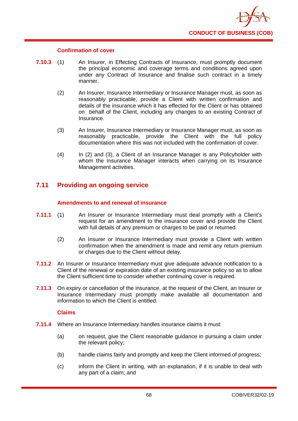

## **Confirmation of cover**

- **7.10.3** (1) An Insurer, in Effecting Contracts of Insurance, must promptly document the principal economic and coverage terms and conditions agreed upon under any Contract of Insurance and finalise such contract in a timely manner.
	- (2) An Insurer, Insurance Intermediary or Insurance Manager must, as soon as reasonably practicable, provide a Client with written confirmation and details of the insurance which it has effected for the Client or has obtained on behalf of the Client, including any changes to an existing Contract of Insurance.
	- (3) An Insurer, Insurance Intermediary or Insurance Manager must, as soon as reasonably practicable, provide the Client with the full policy documentation where this was not included with the confirmation of cover.
	- (4) In (2) and (3), a Client of an Insurance Manager is any Policyholder with whom the Insurance Manager interacts when carrying on its Insurance Management activities.

# **7.11 Providing an ongoing service**

# **Amendments to and renewal of insurance**

- **7.11.1** (1) An Insurer or Insurance Intermediary must deal promptly with a Client's request for an amendment to the insurance cover and provide the Client with full details of any premium or charges to be paid or returned.
	- (2) An Insurer or Insurance Intermediary must provide a Client with written confirmation when the amendment is made and remit any return premium or charges due to the Client without delay.
- **7.11.2** An Insurer or Insurance Intermediary must give adequate advance notification to a Client of the renewal or expiration date of an existing insurance policy so as to allow the Client sufficient time to consider whether continuing cover is required.
- **7.11.3** On expiry or cancellation of the insurance, at the request of the Client, an Insurer or Insurance Intermediary must promptly make available all documentation and information to which the Client is entitled.

# **Claims**

- **7.11.4** Where an Insurance Intermediary handles insurance claims it must:
	- (a) on request, give the Client reasonable guidance in pursuing a claim under the relevant policy;
	- (b) handle claims fairly and promptly and keep the Client informed of progress;
	- (c) inform the Client in writing, with an explanation, if it is unable to deal with any part of a claim; and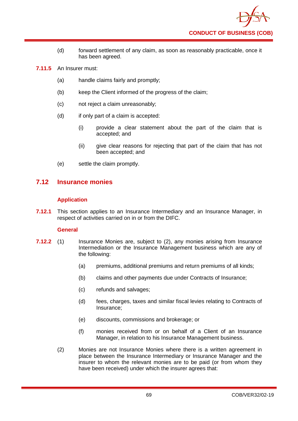- (d) forward settlement of any claim, as soon as reasonably practicable, once it has been agreed.
- **7.11.5** An Insurer must:
	- (a) handle claims fairly and promptly;
	- (b) keep the Client informed of the progress of the claim;
	- (c) not reject a claim unreasonably;
	- (d) if only part of a claim is accepted:
		- (i) provide a clear statement about the part of the claim that is accepted; and
		- (ii) give clear reasons for rejecting that part of the claim that has not been accepted; and
	- (e) settle the claim promptly.

# **7.12 Insurance monies**

# **Application**

**7.12.1** This section applies to an Insurance Intermediary and an Insurance Manager, in respect of activities carried on in or from the DIFC.

## **General**

- **7.12.2** (1) Insurance Monies are, subject to (2), any monies arising from Insurance Intermediation or the Insurance Management business which are any of the following:
	- (a) premiums, additional premiums and return premiums of all kinds;
	- (b) claims and other payments due under Contracts of Insurance;
	- (c) refunds and salvages;
	- (d) fees, charges, taxes and similar fiscal levies relating to Contracts of Insurance;
	- (e) discounts, commissions and brokerage; or
	- (f) monies received from or on behalf of a Client of an Insurance Manager, in relation to his Insurance Management business.
	- (2) Monies are not Insurance Monies where there is a written agreement in place between the Insurance Intermediary or Insurance Manager and the insurer to whom the relevant monies are to be paid (or from whom they have been received) under which the insurer agrees that: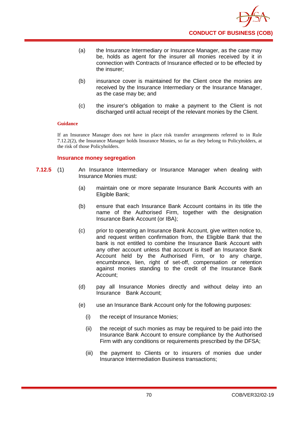- (a) the Insurance Intermediary or Insurance Manager, as the case may be, holds as agent for the insurer all monies received by it in connection with Contracts of Insurance effected or to be effected by the insurer;
- (b) insurance cover is maintained for the Client once the monies are received by the Insurance Intermediary or the Insurance Manager, as the case may be; and
- (c) the insurer's obligation to make a payment to the Client is not discharged until actual receipt of the relevant monies by the Client.

If an Insurance Manager does not have in place risk transfer arrangements referred to in Rule 7.12.2(2), the Insurance Manager holds Insurance Monies, so far as they belong to Policyholders, at the risk of those Policyholders.

## **Insurance money segregation**

- **7.12.5** (1) An Insurance Intermediary or Insurance Manager when dealing with Insurance Monies must:
	- (a) maintain one or more separate Insurance Bank Accounts with an Eligible Bank;
	- (b) ensure that each Insurance Bank Account contains in its title the name of the Authorised Firm, together with the designation Insurance Bank Account (or IBA);
	- (c) prior to operating an Insurance Bank Account, give written notice to, and request written confirmation from, the Eligible Bank that the bank is not entitled to combine the Insurance Bank Account with any other account unless that account is itself an Insurance Bank Account held by the Authorised Firm, or to any charge, encumbrance, lien, right of set-off, compensation or retention against monies standing to the credit of the Insurance Bank Account;
	- (d) pay all Insurance Monies directly and without delay into an Insurance Bank Account;
	- (e) use an Insurance Bank Account only for the following purposes:
		- (i) the receipt of Insurance Monies;
		- (ii) the receipt of such monies as may be required to be paid into the Insurance Bank Account to ensure compliance by the Authorised Firm with any conditions or requirements prescribed by the DFSA;
		- (iii) the payment to Clients or to insurers of monies due under Insurance Intermediation Business transactions;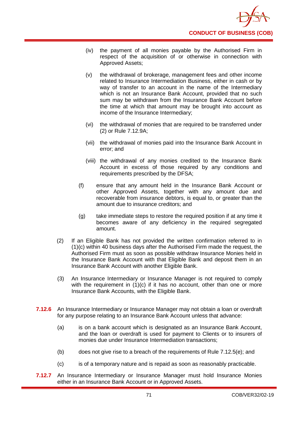

- (iv) the payment of all monies payable by the Authorised Firm in respect of the acquisition of or otherwise in connection with Approved Assets;
- (v) the withdrawal of brokerage, management fees and other income related to Insurance Intermediation Business, either in cash or by way of transfer to an account in the name of the Intermediary which is not an Insurance Bank Account, provided that no such sum may be withdrawn from the Insurance Bank Account before the time at which that amount may be brought into account as income of the Insurance Intermediary;
- (vi) the withdrawal of monies that are required to be transferred under (2) or Rule 7.12.9A;
- (vii) the withdrawal of monies paid into the Insurance Bank Account in error; and
- (viii) the withdrawal of any monies credited to the Insurance Bank Account in excess of those required by any conditions and requirements prescribed by the DFSA;
- (f) ensure that any amount held in the Insurance Bank Account or other Approved Assets, together with any amount due and recoverable from insurance debtors, is equal to, or greater than the amount due to insurance creditors; and
- (g) take immediate steps to restore the required position if at any time it becomes aware of any deficiency in the required segregated amount.
- (2) If an Eligible Bank has not provided the written confirmation referred to in (1)(c) within 40 business days after the Authorised Firm made the request, the Authorised Firm must as soon as possible withdraw Insurance Monies held in the Insurance Bank Account with that Eligible Bank and deposit them in an Insurance Bank Account with another Eligible Bank.
- (3) An Insurance Intermediary or Insurance Manager is not required to comply with the requirement in  $(1)(c)$  if it has no account, other than one or more Insurance Bank Accounts, with the Eligible Bank.
- **7.12.6** An Insurance Intermediary or Insurance Manager may not obtain a loan or overdraft for any purpose relating to an Insurance Bank Account unless that advance:
	- (a) is on a bank account which is designated as an Insurance Bank Account, and the loan or overdraft is used for payment to Clients or to insurers of monies due under Insurance Intermediation transactions;
	- (b) does not give rise to a breach of the requirements of Rule 7.12.5(e); and
	- (c) is of a temporary nature and is repaid as soon as reasonably practicable.
- **7.12.7** An Insurance Intermediary or Insurance Manager must hold Insurance Monies either in an Insurance Bank Account or in Approved Assets.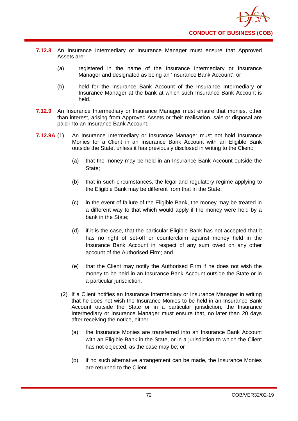

- **7.12.8** An Insurance Intermediary or Insurance Manager must ensure that Approved Assets are:
	- (a) registered in the name of the Insurance Intermediary or Insurance Manager and designated as being an 'Insurance Bank Account'; or
	- (b) held for the Insurance Bank Account of the Insurance Intermediary or Insurance Manager at the bank at which such Insurance Bank Account is held.
- **7.12.9** An Insurance Intermediary or Insurance Manager must ensure that monies, other than interest, arising from Approved Assets or their realisation, sale or disposal are paid into an Insurance Bank Account.
- **7.12.9A** (1) An Insurance Intermediary or Insurance Manager must not hold Insurance Monies for a Client in an Insurance Bank Account with an Eligible Bank outside the State, unless it has previously disclosed in writing to the Client:
	- (a) that the money may be held in an Insurance Bank Account outside the State;
	- (b) that in such circumstances, the legal and regulatory regime applying to the Eligible Bank may be different from that in the State;
	- (c) in the event of failure of the Eligible Bank, the money may be treated in a different way to that which would apply if the money were held by a bank in the State;
	- (d) if it is the case, that the particular Eligible Bank has not accepted that it has no right of set-off or counterclaim against money held in the Insurance Bank Account in respect of any sum owed on any other account of the Authorised Firm; and
	- (e) that the Client may notify the Authorised Firm if he does not wish the money to be held in an Insurance Bank Account outside the State or in a particular jurisdiction.
	- (2) If a Client notifies an Insurance Intermediary or Insurance Manager in writing that he does not wish the Insurance Monies to be held in an Insurance Bank Account outside the State or in a particular jurisdiction, the Insurance Intermediary or Insurance Manager must ensure that, no later than 20 days after receiving the notice, either:
		- (a) the Insurance Monies are transferred into an Insurance Bank Account with an Eligible Bank in the State, or in a jurisdiction to which the Client has not objected, as the case may be; or
		- (b) if no such alternative arrangement can be made, the Insurance Monies are returned to the Client.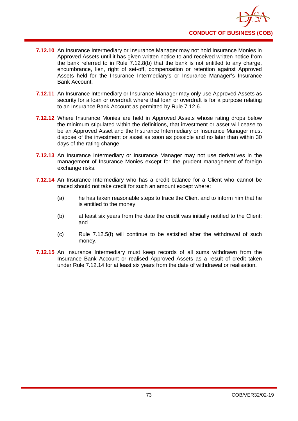- **7.12.10** An Insurance Intermediary or Insurance Manager may not hold Insurance Monies in Approved Assets until it has given written notice to and received written notice from the bank referred to in Rule 7.12.8(b) that the bank is not entitled to any charge, encumbrance, lien, right of set-off, compensation or retention against Approved Assets held for the Insurance Intermediary's or Insurance Manager's Insurance Bank Account.
- **7.12.11** An Insurance Intermediary or Insurance Manager may only use Approved Assets as security for a loan or overdraft where that loan or overdraft is for a purpose relating to an Insurance Bank Account as permitted by Rule 7.12.6.
- **7.12.12** Where Insurance Monies are held in Approved Assets whose rating drops below the minimum stipulated within the definitions, that investment or asset will cease to be an Approved Asset and the Insurance Intermediary or Insurance Manager must dispose of the investment or asset as soon as possible and no later than within 30 days of the rating change.
- **7.12.13** An Insurance Intermediary or Insurance Manager may not use derivatives in the management of Insurance Monies except for the prudent management of foreign exchange risks.
- **7.12.14** An Insurance Intermediary who has a credit balance for a Client who cannot be traced should not take credit for such an amount except where:
	- (a) he has taken reasonable steps to trace the Client and to inform him that he is entitled to the money;
	- (b) at least six years from the date the credit was initially notified to the Client; and
	- (c) Rule 7.12.5(f) will continue to be satisfied after the withdrawal of such money.
- **7.12.15** An Insurance Intermediary must keep records of all sums withdrawn from the Insurance Bank Account or realised Approved Assets as a result of credit taken under Rule 7.12.14 for at least six years from the date of withdrawal or realisation.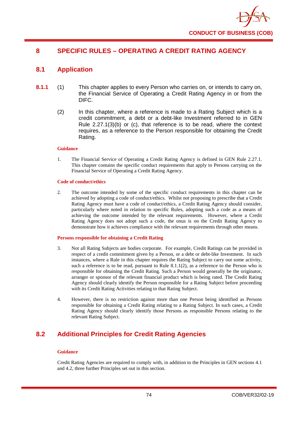

# **8 SPECIFIC RULES – OPERATING A CREDIT RATING AGENCY**

# **8.1 Application**

- **8.1.1** (1) This chapter applies to every Person who carries on, or intends to carry on, the Financial Service of Operating a Credit Rating Agency in or from the DIFC.
	- (2) In this chapter, where a reference is made to a Rating Subject which is a credit commitment, a debt or a debt-like Investment referred to in GEN Rule 2.27.1(3)(b) or (c), that reference is to be read, where the context requires, as a reference to the Person responsible for obtaining the Credit Rating.

#### **Guidance**

1. The Financial Service of Operating a Credit Rating Agency is defined in GEN Rule 2.27.1. This chapter contains the specific conduct requirements that apply to Persons carrying on the Financial Service of Operating a Credit Rating Agency.

#### **Code of conduct/ethics**

2. The outcome intended by some of the specific conduct requirements in this chapter can be achieved by adopting a code of conduct/ethics. Whilst not proposing to prescribe that a Credit Rating Agency must have a code of conduct/ethics, a Credit Rating Agency should consider, particularly where noted in relation to specific Rules, adopting such a code as a means of achieving the outcome intended by the relevant requirements. However, where a Credit Rating Agency does not adopt such a code, the onus is on the Credit Rating Agency to demonstrate how it achieves compliance with the relevant requirements through other means.

#### **Persons responsible for obtaining a Credit Rating**

- 3. Not all Rating Subjects are bodies corporate. For example, Credit Ratings can be provided in respect of a credit commitment given by a Person, or a debt or debt-like Investment. In such instances, where a Rule in this chapter requires the Rating Subject to carry out some activity, such a reference is to be read, pursuant to Rule  $8.1.1(2)$ , as a reference to the Person who is responsible for obtaining the Credit Rating. Such a Person would generally be the originator, arranger or sponsor of the relevant financial product which is being rated. The Credit Rating Agency should clearly identify the Person responsible for a Rating Subject before proceeding with its Credit Rating Activities relating to that Rating Subject.
- 4. However, there is no restriction against more than one Person being identified as Persons responsible for obtaining a Credit Rating relating to a Rating Subject. In such cases, a Credit Rating Agency should clearly identify those Persons as responsible Persons relating to the relevant Rating Subject.

# **8.2 Additional Principles for Credit Rating Agencies**

#### **Guidance**

Credit Rating Agencies are required to comply with, in addition to the Principles in GEN sections 4.1 and 4.2, three further Principles set out in this section.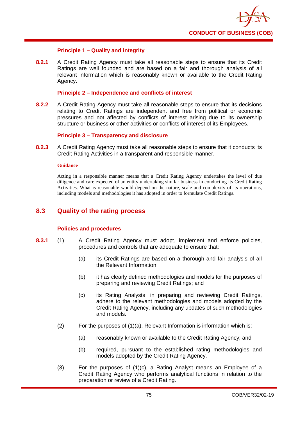

# **Principle 1 – Quality and integrity**

**8.2.1** A Credit Rating Agency must take all reasonable steps to ensure that its Credit Ratings are well founded and are based on a fair and thorough analysis of all relevant information which is reasonably known or available to the Credit Rating Agency.

### **Principle 2 – Independence and conflicts of interest**

**8.2.2** A Credit Rating Agency must take all reasonable steps to ensure that its decisions relating to Credit Ratings are independent and free from political or economic pressures and not affected by conflicts of interest arising due to its ownership structure or business or other activities or conflicts of interest of its Employees.

## **Principle 3 – Transparency and disclosure**

**8.2.3** A Credit Rating Agency must take all reasonable steps to ensure that it conducts its Credit Rating Activities in a transparent and responsible manner.

#### **Guidance**

Acting in a responsible manner means that a Credit Rating Agency undertakes the level of due diligence and care expected of an entity undertaking similar business in conducting its Credit Rating Activities. What is reasonable would depend on the nature, scale and complexity of its operations, including models and methodologies it has adopted in order to formulate Credit Ratings.

# **8.3 Quality of the rating process**

## **Policies and procedures**

- **8.3.1** (1) A Credit Rating Agency must adopt, implement and enforce policies, procedures and controls that are adequate to ensure that:
	- (a) its Credit Ratings are based on a thorough and fair analysis of all the Relevant Information;
	- (b) it has clearly defined methodologies and models for the purposes of preparing and reviewing Credit Ratings; and
	- (c) its Rating Analysts, in preparing and reviewing Credit Ratings, adhere to the relevant methodologies and models adopted by the Credit Rating Agency, including any updates of such methodologies and models.
	- (2) For the purposes of (1)(a), Relevant Information is information which is:
		- (a) reasonably known or available to the Credit Rating Agency; and
		- (b) required, pursuant to the established rating methodologies and models adopted by the Credit Rating Agency.
	- (3) For the purposes of (1)(c), a Rating Analyst means an Employee of a Credit Rating Agency who performs analytical functions in relation to the preparation or review of a Credit Rating.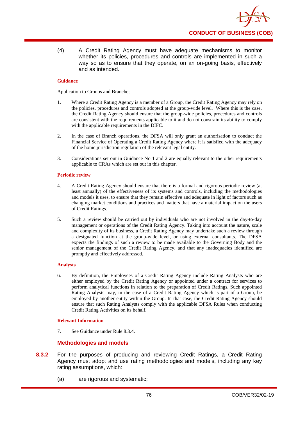(4) A Credit Rating Agency must have adequate mechanisms to monitor whether its policies, procedures and controls are implemented in such a way so as to ensure that they operate, on an on-going basis, effectively and as intended.

## **Guidance**

Application to Groups and Branches

- 1. Where a Credit Rating Agency is a member of a Group, the Credit Rating Agency may rely on the policies, procedures and controls adopted at the group-wide level. Where this is the case, the Credit Rating Agency should ensure that the group-wide policies, procedures and controls are consistent with the requirements applicable to it and do not constrain its ability to comply with the applicable requirements in the DIFC.
- 2. In the case of Branch operations, the DFSA will only grant an authorisation to conduct the Financial Service of Operating a Credit Rating Agency where it is satisfied with the adequacy of the home jurisdiction regulation of the relevant legal entity.
- 3. Considerations set out in Guidance No 1 and 2 are equally relevant to the other requirements applicable to CRAs which are set out in this chapter.

#### **Periodic review**

- 4. A Credit Rating Agency should ensure that there is a formal and rigorous periodic review (at least annually) of the effectiveness of its systems and controls, including the methodologies and models it uses, to ensure that they remain effective and adequate in light of factors such as changing market conditions and practices and matters that have a material impact on the users of Credit Ratings.
- 5. Such a review should be carried out by individuals who are not involved in the day-to-day management or operations of the Credit Rating Agency. Taking into account the nature, scale and complexity of its business, a Credit Rating Agency may undertake such a review through a designated function at the group-wide level, or using external consultants. The DFSA expects the findings of such a review to be made available to the Governing Body and the senior management of the Credit Rating Agency, and that any inadequacies identified are promptly and effectively addressed.

## **Analysts**

6. By definition, the Employees of a Credit Rating Agency include Rating Analysts who are either employed by the Credit Rating Agency or appointed under a contract for services to perform analytical functions in relation to the preparation of Credit Ratings. Such appointed Rating Analysts may, in the case of a Credit Rating Agency which is part of a Group, be employed by another entity within the Group. In that case, the Credit Rating Agency should ensure that such Rating Analysts comply with the applicable DFSA Rules when conducting Credit Rating Activities on its behalf.

## **Relevant Information**

7. See Guidance under Rule 8.3.4.

## **Methodologies and models**

- **8.3.2** For the purposes of producing and reviewing Credit Ratings, a Credit Rating Agency must adopt and use rating methodologies and models, including any key rating assumptions, which:
	- (a) are rigorous and systematic;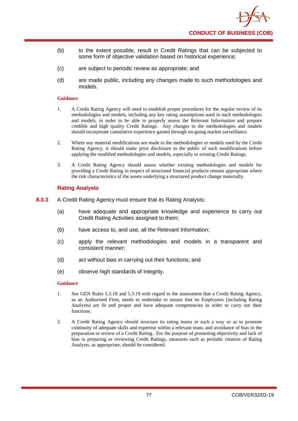

- (b) to the extent possible, result in Credit Ratings that can be subjected to some form of objective validation based on historical experience;
- (c) are subject to periodic review as appropriate; and
- (d) are made public, including any changes made to such methodologies and models.

- 1. A Credit Rating Agency will need to establish proper procedures for the regular review of its methodologies and models, including any key rating assumptions used in such methodologies and models, in order to be able to properly assess the Relevant Information and prepare credible and high quality Credit Ratings. Any changes to the methodologies and models should incorporate cumulative experience gained through on-going market surveillance.
- 2. Where any material modifications are made to the methodologies or models used by the Credit Rating Agency, it should make prior disclosure to the public of such modifications before applying the modified methodologies and models, especially to existing Credit Ratings.
- 3. A Credit Rating Agency should assess whether existing methodologies and models for providing a Credit Rating in respect of structured financial products remain appropriate where the risk characteristics of the assets underlying a structured product change materially.

## **Rating Analysts**

- **8.3.3** A Credit Rating Agency must ensure that its Rating Analysts:
	- (a) have adequate and appropriate knowledge and experience to carry out Credit Rating Activities assigned to them;
	- (b) have access to, and use, all the Relevant Information;
	- (c) apply the relevant methodologies and models in a transparent and consistent manner;
	- (d) act without bias in carrying out their functions; and
	- (e) observe high standards of integrity.

#### **Guidance**

- 1. See GEN Rules 5.3.18 and 5.3.19 with regard to the assessment that a Credit Rating Agency, as an Authorised Firm, needs to undertake to ensure that its Employees (including Rating Analysts) are fit and proper and have adequate competencies in order to carry out their functions.
- 2. A Credit Rating Agency should structure its rating teams in such a way so as to promote continuity of adequate skills and expertise within a relevant team, and avoidance of bias in the preparation or review of a Credit Rating. For the purpose of promoting objectivity and lack of bias in preparing or reviewing Credit Ratings, measures such as periodic rotation of Rating Analysts, as appropriate, should be considered.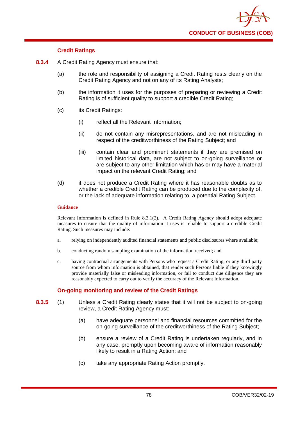

# **Credit Ratings**

- **8.3.4** A Credit Rating Agency must ensure that:
	- (a) the role and responsibility of assigning a Credit Rating rests clearly on the Credit Rating Agency and not on any of its Rating Analysts;
	- (b) the information it uses for the purposes of preparing or reviewing a Credit Rating is of sufficient quality to support a credible Credit Rating;
	- (c) its Credit Ratings:
		- (i) reflect all the Relevant Information;
		- (ii) do not contain any misrepresentations, and are not misleading in respect of the creditworthiness of the Rating Subject; and
		- (iii) contain clear and prominent statements if they are premised on limited historical data, are not subject to on-going surveillance or are subject to any other limitation which has or may have a material impact on the relevant Credit Rating; and
	- (d) it does not produce a Credit Rating where it has reasonable doubts as to whether a credible Credit Rating can be produced due to the complexity of, or the lack of adequate information relating to, a potential Rating Subject.

#### **Guidance**

Relevant Information is defined in Rule 8.3.1(2). A Credit Rating Agency should adopt adequate measures to ensure that the quality of information it uses is reliable to support a credible Credit Rating. Such measures may include:

- a. relying on independently audited financial statements and public disclosures where available;
- b. conducting random sampling examination of the information received; and
- c. having contractual arrangements with Persons who request a Credit Rating, or any third party source from whom information is obtained, that render such Persons liable if they knowingly provide materially false or misleading information, or fail to conduct due diligence they are reasonably expected to carry out to verify the accuracy of the Relevant Information.

# **On-going monitoring and review of the Credit Ratings**

- **8.3.5** (1) Unless a Credit Rating clearly states that it will not be subject to on-going review, a Credit Rating Agency must:
	- (a) have adequate personnel and financial resources committed for the on-going surveillance of the creditworthiness of the Rating Subject;
	- (b) ensure a review of a Credit Rating is undertaken regularly, and in any case, promptly upon becoming aware of information reasonably likely to result in a Rating Action; and
	- (c) take any appropriate Rating Action promptly.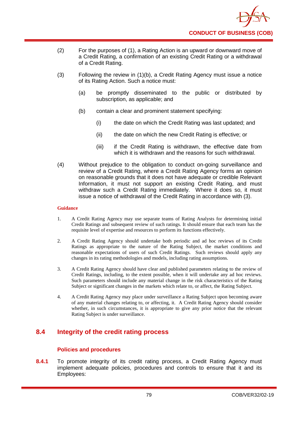

- (2) For the purposes of (1), a Rating Action is an upward or downward move of a Credit Rating, a confirmation of an existing Credit Rating or a withdrawal of a Credit Rating.
- (3) Following the review in (1)(b), a Credit Rating Agency must issue a notice of its Rating Action. Such a notice must:
	- (a) be promptly disseminated to the public or distributed by subscription, as applicable; and
	- (b) contain a clear and prominent statement specifying:
		- (i) the date on which the Credit Rating was last updated; and
		- (ii) the date on which the new Credit Rating is effective; or
		- (iii) if the Credit Rating is withdrawn, the effective date from which it is withdrawn and the reasons for such withdrawal.
- (4) Without prejudice to the obligation to conduct on-going surveillance and review of a Credit Rating, where a Credit Rating Agency forms an opinion on reasonable grounds that it does not have adequate or credible Relevant Information, it must not support an existing Credit Rating, and must withdraw such a Credit Rating immediately. Where it does so, it must issue a notice of withdrawal of the Credit Rating in accordance with (3).

- 1. A Credit Rating Agency may use separate teams of Rating Analysts for determining initial Credit Ratings and subsequent review of such ratings. It should ensure that each team has the requisite level of expertise and resources to perform its functions effectively.
- 2. A Credit Rating Agency should undertake both periodic and ad hoc reviews of its Credit Ratings as appropriate to the nature of the Rating Subject, the market conditions and reasonable expectations of users of such Credit Ratings. Such reviews should apply any changes in its rating methodologies and models, including rating assumptions.
- 3. A Credit Rating Agency should have clear and published parameters relating to the review of Credit Ratings, including, to the extent possible, when it will undertake any ad hoc reviews. Such parameters should include any material change in the risk characteristics of the Rating Subject or significant changes in the markets which relate to, or affect, the Rating Subject.
- 4. A Credit Rating Agency may place under surveillance a Rating Subject upon becoming aware of any material changes relating to, or affecting, it. A Credit Rating Agency should consider whether, in such circumstances, it is appropriate to give any prior notice that the relevant Rating Subject is under surveillance.

# **8.4 Integrity of the credit rating process**

# **Polic**i**es and procedures**

**8.4.1** To promote integrity of its credit rating process, a Credit Rating Agency must implement adequate policies, procedures and controls to ensure that it and its Employees: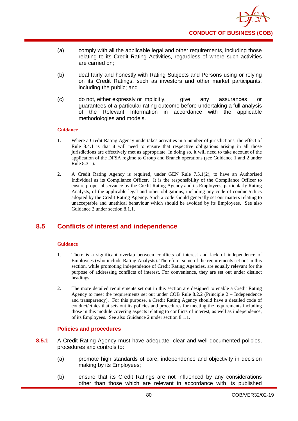

- (a) comply with all the applicable legal and other requirements, including those relating to its Credit Rating Activities, regardless of where such activities are carried on;
- (b) deal fairly and honestly with Rating Subjects and Persons using or relying on its Credit Ratings, such as investors and other market participants, including the public; and
- (c) do not, either expressly or implicitly, give any assurances or guarantees of a particular rating outcome before undertaking a full analysis of the Relevant Information in accordance with the applicable methodologies and models.

- 1. Where a Credit Rating Agency undertakes activities in a number of jurisdictions, the effect of Rule 8.4.1 is that it will need to ensure that respective obligations arising in all those jurisdictions are effectively met as appropriate. In doing so, it will need to take account of the application of the DFSA regime to Group and Branch operations (see Guidance 1 and 2 under Rule 8.3.1).
- 2. A Credit Rating Agency is required, under GEN Rule 7.5.1(2), to have an Authorised Individual as its Compliance Officer. It is the responsibility of the Compliance Officer to ensure proper observance by the Credit Rating Agency and its Employees, particularly Rating Analysts, of the applicable legal and other obligations, including any code of conduct/ethics adopted by the Credit Rating Agency. Such a code should generally set out matters relating to unacceptable and unethical behaviour which should be avoided by its Employees. See also Guidance 2 under section 8.1.1.

# **8.5 Conflicts of interest and independence**

#### **Guidance**

- 1. There is a significant overlap between conflicts of interest and lack of independence of Employees (who include Rating Analysts). Therefore, some of the requirements set out in this section, while promoting independence of Credit Rating Agencies, are equally relevant for the purpose of addressing conflicts of interest. For convenience, they are set out under distinct headings.
- 2. The more detailed requirements set out in this section are designed to enable a Credit Rating Agency to meet the requirements set out under COB Rule 8.2.2 (Principle 2 – Independence and transparency). For this purpose, a Credit Rating Agency should have a detailed code of conduct/ethics that sets out its policies and procedures for meeting the requirements including those in this module covering aspects relating to conflicts of interest, as well as independence, of its Employees. See also Guidance 2 under section 8.1.1.

## **Policies and procedures**

- **8.5.1** A Credit Rating Agency must have adequate, clear and well documented policies, procedures and controls to:
	- (a) promote high standards of care, independence and objectivity in decision making by its Employees;
	- (b) ensure that its Credit Ratings are not influenced by any considerations other than those which are relevant in accordance with its published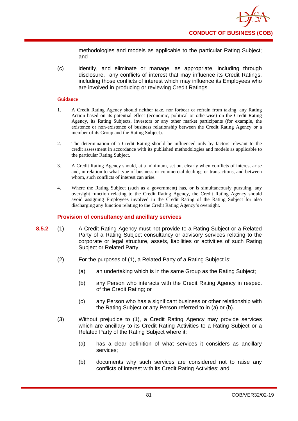methodologies and models as applicable to the particular Rating Subject; and

(c) identify, and eliminate or manage, as appropriate, including through disclosure, any conflicts of interest that may influence its Credit Ratings, including those conflicts of interest which may influence its Employees who are involved in producing or reviewing Credit Ratings.

### **Guidance**

- 1. A Credit Rating Agency should neither take, nor forbear or refrain from taking, any Rating Action based on its potential effect (economic, political or otherwise) on the Credit Rating Agency, its Rating Subjects, investors or any other market participants (for example, the existence or non-existence of business relationship between the Credit Rating Agency or a member of its Group and the Rating Subject).
- 2. The determination of a Credit Rating should be influenced only by factors relevant to the credit assessment in accordance with its published methodologies and models as applicable to the particular Rating Subject.
- 3. A Credit Rating Agency should, at a minimum, set out clearly when conflicts of interest arise and, in relation to what type of business or commercial dealings or transactions, and between whom, such conflicts of interest can arise.
- 4. Where the Rating Subject (such as a government) has, or is simultaneously pursuing, any oversight function relating to the Credit Rating Agency, the Credit Rating Agency should avoid assigning Employees involved in the Credit Rating of the Rating Subject for also discharging any function relating to the Credit Rating Agency's oversight.

# **Provision of consultancy and ancillary services**

- **8.5.2** (1) A Credit Rating Agency must not provide to a Rating Subject or a Related Party of a Rating Subject consultancy or advisory services relating to the corporate or legal structure, assets, liabilities or activities of such Rating Subject or Related Party.
	- (2) For the purposes of (1), a Related Party of a Rating Subject is:
		- (a) an undertaking which is in the same Group as the Rating Subject;
		- (b) any Person who interacts with the Credit Rating Agency in respect of the Credit Rating; or
		- (c) any Person who has a significant business or other relationship with the Rating Subject or any Person referred to in (a) or (b).
	- (3) Without prejudice to (1), a Credit Rating Agency may provide services which are ancillary to its Credit Rating Activities to a Rating Subject or a Related Party of the Rating Subject where it:
		- (a) has a clear definition of what services it considers as ancillary services;
		- (b) documents why such services are considered not to raise any conflicts of interest with its Credit Rating Activities; and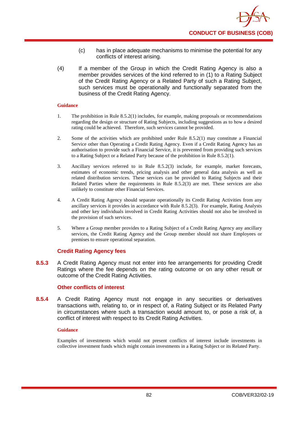- (c) has in place adequate mechanisms to minimise the potential for any conflicts of interest arising.
- (4) If a member of the Group in which the Credit Rating Agency is also a member provides services of the kind referred to in (1) to a Rating Subject of the Credit Rating Agency or a Related Party of such a Rating Subject, such services must be operationally and functionally separated from the business of the Credit Rating Agency.

- 1. The prohibition in Rule 8.5.2(1) includes, for example, making proposals or recommendations regarding the design or structure of Rating Subjects, including suggestions as to how a desired rating could be achieved. Therefore, such services cannot be provided.
- 2. Some of the activities which are prohibited under Rule 8.5.2(1) may constitute a Financial Service other than Operating a Credit Rating Agency. Even if a Credit Rating Agency has an authorisation to provide such a Financial Service, it is prevented from providing such services to a Rating Subject or a Related Party because of the prohibition in Rule 8.5.2(1).
- 3. Ancillary services referred to in Rule 8.5.2(3) include, for example, market forecasts, estimates of economic trends, pricing analysis and other general data analysis as well as related distribution services. These services can be provided to Rating Subjects and their Related Parties where the requirements in Rule  $8.5.2(3)$  are met. These services are also unlikely to constitute other Financial Services.
- 4. A Credit Rating Agency should separate operationally its Credit Rating Activities from any ancillary services it provides in accordance with Rule 8.5.2(3). For example, Rating Analysts and other key individuals involved in Credit Rating Activities should not also be involved in the provision of such services.
- 5. Where a Group member provides to a Rating Subject of a Credit Rating Agency any ancillary services, the Credit Rating Agency and the Group member should not share Employees or premises to ensure operational separation.

# **Credit Rating Agency fees**

**8.5.3** A Credit Rating Agency must not enter into fee arrangements for providing Credit Ratings where the fee depends on the rating outcome or on any other result or outcome of the Credit Rating Activities.

# **Other conflicts of interest**

**8.5.4** A Credit Rating Agency must not engage in any securities or derivatives transactions with, relating to, or in respect of, a Rating Subject or its Related Party in circumstances where such a transaction would amount to, or pose a risk of, a conflict of interest with respect to its Credit Rating Activities.

## **Guidance**

Examples of investments which would not present conflicts of interest include investments in collective investment funds which might contain investments in a Rating Subject or its Related Party.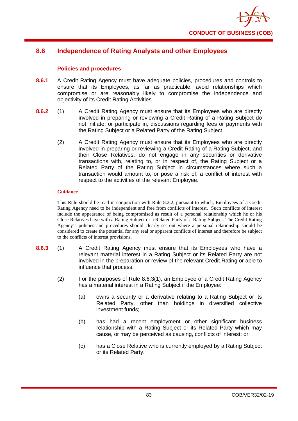

# **8.6 Independence of Rating Analysts and other Employees**

## **Policies and procedures**

- **8.6.1** A Credit Rating Agency must have adequate policies, procedures and controls to ensure that its Employees, as far as practicable, avoid relationships which compromise or are reasonably likely to compromise the independence and objectivity of its Credit Rating Activities.
- **8.6.2** (1) A Credit Rating Agency must ensure that its Employees who are directly involved in preparing or reviewing a Credit Rating of a Rating Subject do not initiate, or participate in, discussions regarding fees or payments with the Rating Subject or a Related Party of the Rating Subject.
	- (2) A Credit Rating Agency must ensure that its Employees who are directly involved in preparing or reviewing a Credit Rating of a Rating Subject, and their Close Relatives, do not engage in any securities or derivative transactions with, relating to, or in respect of, the Rating Subject or a Related Party of the Rating Subject in circumstances where such a transaction would amount to, or pose a risk of, a conflict of interest with respect to the activities of the relevant Employee.

#### **Guidance**

This Rule should be read in conjunction with Rule 8.2.2, pursuant to which, Employees of a Credit Rating Agency need to be independent and free from conflicts of interest. Such conflicts of interest include the appearance of being compromised as result of a personal relationship which he or his Close Relatives have with a Rating Subject or a Related Party of a Rating Subject. The Credit Rating Agency's policies and procedures should clearly set out where a personal relationship should be considered to create the potential for any real or apparent conflicts of interest and therefore be subject to the conflicts of interest provisions.

- **8.6.3** (1) A Credit Rating Agency must ensure that its Employees who have a relevant material interest in a Rating Subject or its Related Party are not involved in the preparation or review of the relevant Credit Rating or able to influence that process.
	- (2) For the purposes of Rule 8.6.3(1), an Employee of a Credit Rating Agency has a material interest in a Rating Subject if the Employee:
		- (a) owns a security or a derivative relating to a Rating Subject or its Related Party, other than holdings in diversified collective investment funds;
		- (b) has had a recent employment or other significant business relationship with a Rating Subject or its Related Party which may cause, or may be perceived as causing, conflicts of interest; or
		- (c) has a Close Relative who is currently employed by a Rating Subject or its Related Party.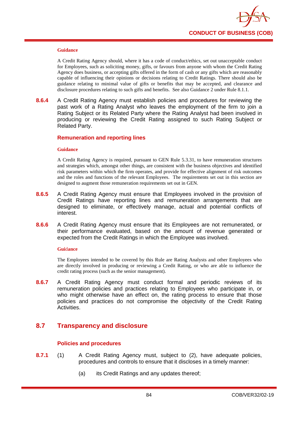

A Credit Rating Agency should, where it has a code of conduct/ethics, set out unacceptable conduct for Employees, such as soliciting money, gifts, or favours from anyone with whom the Credit Rating Agency does business, or accepting gifts offered in the form of cash or any gifts which are reasonably capable of influencing their opinions or decisions relating to Credit Ratings. There should also be guidance relating to minimal value of gifts or benefits that may be accepted, and clearance and disclosure procedures relating to such gifts and benefits. See also Guidance 2 under Rule 8.1.1.

**8.6.4** A Credit Rating Agency must establish policies and procedures for reviewing the past work of a Rating Analyst who leaves the employment of the firm to join a Rating Subject or its Related Party where the Rating Analyst had been involved in producing or reviewing the Credit Rating assigned to such Rating Subject or Related Party.

#### **Remuneration and reporting lines**

#### **Guidance**

A Credit Rating Agency is required, pursuant to GEN Rule 5.3.31, to have remuneration structures and strategies which, amongst other things, are consistent with the business objectives and identified risk parameters within which the firm operates, and provide for effective alignment of risk outcomes and the roles and functions of the relevant Employees. The requirements set out in this section are designed to augment those remuneration requirements set out in GEN.

- **8.6.5** A Credit Rating Agency must ensure that Employees involved in the provision of Credit Ratings have reporting lines and remuneration arrangements that are designed to eliminate, or effectively manage, actual and potential conflicts of interest.
- **8.6.6** A Credit Rating Agency must ensure that its Employees are not remunerated, or their performance evaluated, based on the amount of revenue generated or expected from the Credit Ratings in which the Employee was involved.

#### **Gui**d**ance**

The Employees intended to be covered by this Rule are Rating Analysts and other Employees who are directly involved in producing or reviewing a Credit Rating, or who are able to influence the credit rating process (such as the senior management).

**8.6.7** A Credit Rating Agency must conduct formal and periodic reviews of its remuneration policies and practices relating to Employees who participate in, or who might otherwise have an effect on, the rating process to ensure that those policies and practices do not compromise the objectivity of the Credit Rating Activities.

# **8.7 Transparency and disclosure**

## **Policies and procedures**

- **8.7.1** (1) A Credit Rating Agency must, subject to (2), have adequate policies, procedures and controls to ensure that it discloses in a timely manner:
	- (a) its Credit Ratings and any updates thereof;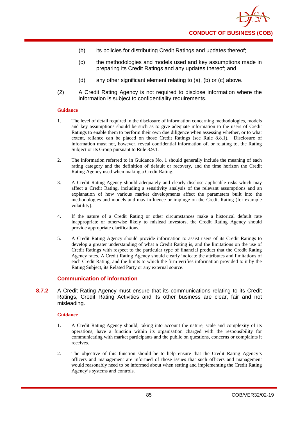- (b) its policies for distributing Credit Ratings and updates thereof;
- (c) the methodologies and models used and key assumptions made in preparing its Credit Ratings and any updates thereof; and
- (d) any other significant element relating to (a), (b) or (c) above.
- (2) A Credit Rating Agency is not required to disclose information where the information is subject to confidentiality requirements.

- 1. The level of detail required in the disclosure of information concerning methodologies, models and key assumptions should be such as to give adequate information to the users of Credit Ratings to enable them to perform their own due diligence when assessing whether, or to what extent, reliance can be placed on those Credit Ratings (see Rule 8.8.1). Disclosure of information must not, however, reveal confidential information of, or relating to, the Rating Subject or its Group pursuant to Rule 8.9.1.
- 2. The information referred to in Guidance No. 1 should generally include the meaning of each rating category and the definition of default or recovery, and the time horizon the Credit Rating Agency used when making a Credit Rating.
- 3. A Credit Rating Agency should adequately and clearly disclose applicable risks which may affect a Credit Rating, including a sensitivity analysis of the relevant assumptions and an explanation of how various market developments affect the parameters built into the methodologies and models and may influence or impinge on the Credit Rating (for example volatility).
- 4. If the nature of a Credit Rating or other circumstances make a historical default rate inappropriate or otherwise likely to mislead investors, the Credit Rating Agency should provide appropriate clarifications.
- 5. A Credit Rating Agency should provide information to assist users of its Credit Ratings to develop a greater understanding of what a Credit Rating is, and the limitations on the use of Credit Ratings with respect to the particular type of financial product that the Credit Rating Agency rates. A Credit Rating Agency should clearly indicate the attributes and limitations of each Credit Rating, and the limits to which the firm verifies information provided to it by the Rating Subject, its Related Party or any external source.

# **Communication of information**

**8.7.2** A Credit Rating Agency must ensure that its communications relating to its Credit Ratings, Credit Rating Activities and its other business are clear, fair and not misleading.

#### **Guidance**

- 1. A Credit Rating Agency should, taking into account the nature, scale and complexity of its operations, have a function within its organisation charged with the responsibility for communicating with market participants and the public on questions, concerns or complaints it receives.
- 2. The objective of this function should be to help ensure that the Credit Rating Agency's officers and management are informed of those issues that such officers and management would reasonably need to be informed about when setting and implementing the Credit Rating Agency's systems and controls.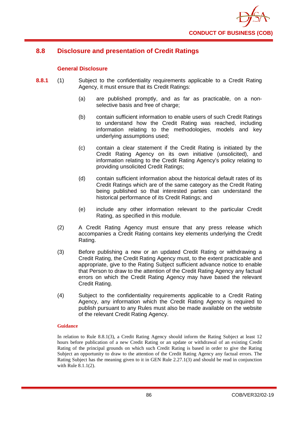

# **8.8 Disclosure and presentation of Credit Ratings**

# **General Disclosure**

- **8.8.1** (1) Subject to the confidentiality requirements applicable to a Credit Rating Agency, it must ensure that its Credit Ratings:
	- (a) are published promptly, and as far as practicable, on a nonselective basis and free of charge;
	- (b) contain sufficient information to enable users of such Credit Ratings to understand how the Credit Rating was reached, including information relating to the methodologies, models and key underlying assumptions used;
	- (c) contain a clear statement if the Credit Rating is initiated by the Credit Rating Agency on its own initiative (unsolicited), and information relating to the Credit Rating Agency's policy relating to providing unsolicited Credit Ratings;
	- (d) contain sufficient information about the historical default rates of its Credit Ratings which are of the same category as the Credit Rating being published so that interested parties can understand the historical performance of its Credit Ratings; and
	- (e) include any other information relevant to the particular Credit Rating, as specified in this module.
	- (2) A Credit Rating Agency must ensure that any press release which accompanies a Credit Rating contains key elements underlying the Credit Rating.
	- (3) Before publishing a new or an updated Credit Rating or withdrawing a Credit Rating, the Credit Rating Agency must, to the extent practicable and appropriate, give to the Rating Subject sufficient advance notice to enable that Person to draw to the attention of the Credit Rating Agency any factual errors on which the Credit Rating Agency may have based the relevant Credit Rating.
	- (4) Subject to the confidentiality requirements applicable to a Credit Rating Agency, any information which the Credit Rating Agency is required to publish pursuant to any Rules must also be made available on the website of the relevant Credit Rating Agency.

#### **Guidance**

In relation to Rule 8.8.1(3), a Credit Rating Agency should inform the Rating Subject at least 12 hours before publication of a new Credit Rating or an update or withdrawal of an existing Credit Rating of the principal grounds on which such Credit Rating is based in order to give the Rating Subject an opportunity to draw to the attention of the Credit Rating Agency any factual errors. The Rating Subject has the meaning given to it in GEN Rule 2.27.1(3) and should be read in conjunction with Rule 8.1.1(2).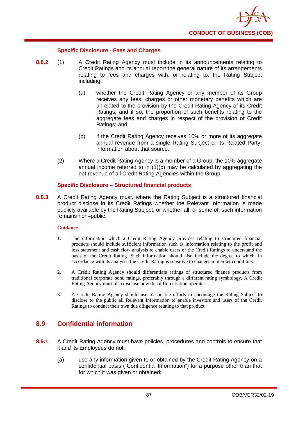

## **Specific Disclosure - Fees and Charges**

- **8.8.2** (1) A Credit Rating Agency must include in its announcements relating to Credit Ratings and its annual report the general nature of its arrangements relating to fees and charges with, or relating to, the Rating Subject including:
	- (a) whether the Credit Rating Agency or any member of its Group receives any fees, charges or other monetary benefits which are unrelated to the provision by the Credit Rating Agency of its Credit Ratings, and if so, the proportion of such benefits relating to the aggregate fees and charges in respect of the provision of Credit Ratings; and
	- (b) if the Credit Rating Agency receives 10% or more of its aggregate annual revenue from a single Rating Subject or its Related Party, information about that source.
	- (2) Where a Credit Rating Agency is a member of a Group, the 10% aggregate annual income referred to in (1)(b) may be calculated by aggregating the net revenue of all Credit Rating Agencies within the Group.

## **Specific Disclosure – Structured financial products**

**8.8.3** A Credit Rating Agency must, where the Rating Subject is a structured financial product disclose in its Credit Ratings whether the Relevant Information is made publicly available by the Rating Subject, or whether all, or some of, such information remains non–public.

## **Guidance**

- 1. The information which a Credit Rating Agency provides relating to structured financial products should include sufficient information such as information relating to the profit and loss statement and cash flow analysis to enable users of the Credit Ratings to understand the basis of the Credit Rating. Such information should also include the degree to which, in accordance with its analysis, the Credit Rating is sensitive to changes in market conditions.
- 2. A Credit Rating Agency should differentiate ratings of structured finance products from traditional corporate bond ratings, preferably through a different rating symbology. A Credit Rating Agency must also disclose how this differentiation operates.
- 3. A Credit Rating Agency should use reasonable efforts to encourage the Rating Subject to disclose to the public all Relevant Information to enable investors and users of the Credit Ratings to conduct their own due diligence relating to that product.

# **8.9 Confidential information**

- **8.9.1** A Credit Rating Agency must have policies, procedures and controls to ensure that it and its Employees do not:
	- (a) use any information given to or obtained by the Credit Rating Agency on a confidential basis ("Confidential Information") for a purpose other than that for which it was given or obtained;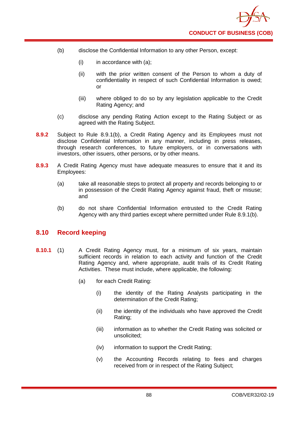- (b) disclose the Confidential Information to any other Person, except:
	- $(i)$  in accordance with  $(a)$ ;
	- (ii) with the prior written consent of the Person to whom a duty of confidentiality in respect of such Confidential Information is owed; or
	- (iii) where obliged to do so by any legislation applicable to the Credit Rating Agency; and
- (c) disclose any pending Rating Action except to the Rating Subject or as agreed with the Rating Subject.
- **8.9.2** Subject to Rule 8.9.1(b), a Credit Rating Agency and its Employees must not disclose Confidential Information in any manner, including in press releases, through research conferences, to future employers, or in conversations with investors, other issuers, other persons, or by other means.
- **8.9.3** A Credit Rating Agency must have adequate measures to ensure that it and its Employees:
	- (a) take all reasonable steps to protect all property and records belonging to or in possession of the Credit Rating Agency against fraud, theft or misuse; and
	- (b) do not share Confidential Information entrusted to the Credit Rating Agency with any third parties except where permitted under Rule 8.9.1(b).

# **8.10 Record keeping**

- **8.10.1** (1) A Credit Rating Agency must, for a minimum of six years, maintain sufficient records in relation to each activity and function of the Credit Rating Agency and, where appropriate, audit trails of its Credit Rating Activities. These must include, where applicable, the following:
	- (a) for each Credit Rating:
		- (i) the identity of the Rating Analysts participating in the determination of the Credit Rating;
		- (ii) the identity of the individuals who have approved the Credit Rating;
		- (iii) information as to whether the Credit Rating was solicited or unsolicited;
		- (iv) information to support the Credit Rating;
		- (v) the Accounting Records relating to fees and charges received from or in respect of the Rating Subject;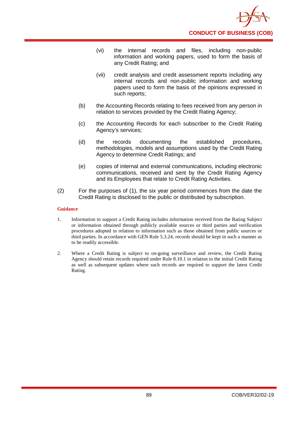

- (vi) the internal records and files, including non-public information and working papers, used to form the basis of any Credit Rating; and
- (vii) credit analysis and credit assessment reports including any internal records and non-public information and working papers used to form the basis of the opinions expressed in such reports;
- (b) the Accounting Records relating to fees received from any person in relation to services provided by the Credit Rating Agency;
- (c) the Accounting Records for each subscriber to the Credit Rating Agency's services;
- (d) the records documenting the established procedures, methodologies, models and assumptions used by the Credit Rating Agency to determine Credit Ratings; and
- (e) copies of internal and external communications, including electronic communications, received and sent by the Credit Rating Agency and its Employees that relate to Credit Rating Activities.
- (2) For the purposes of (1), the six year period commences from the date the Credit Rating is disclosed to the public or distributed by subscription.

- 1. Information to support a Credit Rating includes information received from the Rating Subject or information obtained through publicly available sources or third parties and verification procedures adopted in relation to information such as those obtained from public sources or third parties. In accordance with GEN Rule 5.3.24, records should be kept in such a manner as to be readily accessible.
- 2. Where a Credit Rating is subject to on-going surveillance and review, the Credit Rating Agency should retain records required under Rule 8.10.1 in relation to the initial Credit Rating as well as subsequent updates where such records are required to support the latest Credit Rating.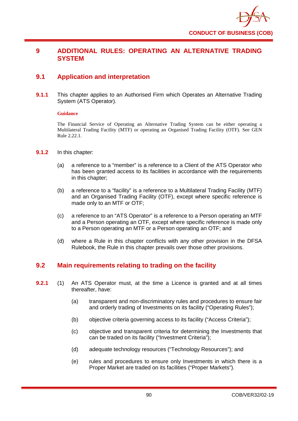

# **9 ADDITIONAL RULES: OPERATING AN ALTERNATIVE TRADING SYSTEM**

# **9.1 Application and interpretation**

**9.1.1** This chapter applies to an Authorised Firm which Operates an Alternative Trading System (ATS Operator).

#### **Guidance**

The Financial Service of Operating an Alternative Trading System can be either operating a Multilateral Trading Facility (MTF) or operating an Organised Trading Facility (OTF). See GEN Rule 2.22.1.

- **9.1.2** In this chapter:
	- (a) a reference to a "member" is a reference to a Client of the ATS Operator who has been granted access to its facilities in accordance with the requirements in this chapter;
	- (b) a reference to a "facility" is a reference to a Multilateral Trading Facility (MTF) and an Organised Trading Facility (OTF), except where specific reference is made only to an MTF or OTF;
	- (c) a reference to an "ATS Operator" is a reference to a Person operating an MTF and a Person operating an OTF, except where specific reference is made only to a Person operating an MTF or a Person operating an OTF; and
	- (d) where a Rule in this chapter conflicts with any other provision in the DFSA Rulebook, the Rule in this chapter prevails over those other provisions.

# **9.2 Main requirements relating to trading on the facility**

- **9.2.1** (1) An ATS Operator must, at the time a Licence is granted and at all times thereafter, have:
	- (a) transparent and non-discriminatory rules and procedures to ensure fair and orderly trading of Investments on its facility ("Operating Rules");
	- (b) objective criteria governing access to its facility ("Access Criteria");
	- (c) objective and transparent criteria for determining the Investments that can be traded on its facility ("Investment Criteria");
	- (d) adequate technology resources ("Technology Resources"); and
	- (e) rules and procedures to ensure only Investments in which there is a Proper Market are traded on its facilities ("Proper Markets").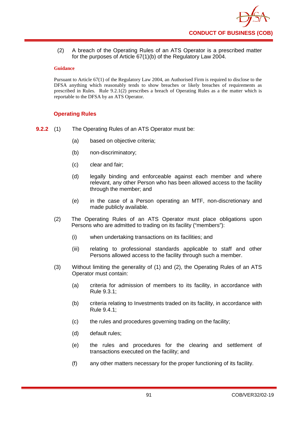(2) A breach of the Operating Rules of an ATS Operator is a prescribed matter for the purposes of Article 67(1)(b) of the Regulatory Law 2004.

## **Guidance**

Pursuant to Article 67(1) of the Regulatory Law 2004, an Authorised Firm is required to disclose to the DFSA anything which reasonably tends to show breaches or likely breaches of requirements as prescribed in Rules. Rule 9.2.1(2) prescribes a breach of Operating Rules as a the matter which is reportable to the DFSA by an ATS Operator.

# **Operating Rules**

- **9.2.2** (1) The Operating Rules of an ATS Operator must be:
	- (a) based on objective criteria;
	- (b) non-discriminatory;
	- (c) clear and fair;
	- (d) legally binding and enforceable against each member and where relevant, any other Person who has been allowed access to the facility through the member; and
	- (e) in the case of a Person operating an MTF, non-discretionary and made publicly available.
	- (2) The Operating Rules of an ATS Operator must place obligations upon Persons who are admitted to trading on its facility ("members"):
		- (i) when undertaking transactions on its facilities; and
		- (iii) relating to professional standards applicable to staff and other Persons allowed access to the facility through such a member.
	- (3) Without limiting the generality of (1) and (2), the Operating Rules of an ATS Operator must contain:
		- (a) criteria for admission of members to its facility, in accordance with Rule 9.3.1;
		- (b) criteria relating to Investments traded on its facility, in accordance with Rule 9.4.1;
		- (c) the rules and procedures governing trading on the facility;
		- (d) default rules;
		- (e) the rules and procedures for the clearing and settlement of transactions executed on the facility; and
		- (f) any other matters necessary for the proper functioning of its facility.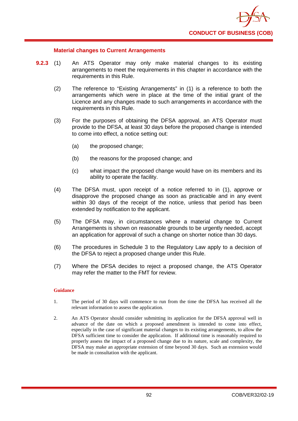

## **Material changes to Current Arrangements**

- **9.2.3** (1) An ATS Operator may only make material changes to its existing arrangements to meet the requirements in this chapter in accordance with the requirements in this Rule.
	- (2) The reference to "Existing Arrangements" in (1) is a reference to both the arrangements which were in place at the time of the initial grant of the Licence and any changes made to such arrangements in accordance with the requirements in this Rule.
	- (3) For the purposes of obtaining the DFSA approval, an ATS Operator must provide to the DFSA, at least 30 days before the proposed change is intended to come into effect, a notice setting out:
		- (a) the proposed change;
		- (b) the reasons for the proposed change; and
		- (c) what impact the proposed change would have on its members and its ability to operate the facility.
	- (4) The DFSA must, upon receipt of a notice referred to in (1), approve or disapprove the proposed change as soon as practicable and in any event within 30 days of the receipt of the notice, unless that period has been extended by notification to the applicant.
	- (5) The DFSA may, in circumstances where a material change to Current Arrangements is shown on reasonable grounds to be urgently needed, accept an application for approval of such a change on shorter notice than 30 days.
	- (6) The procedures in Schedule 3 to the Regulatory Law apply to a decision of the DFSA to reject a proposed change under this Rule.
	- (7) Where the DFSA decides to reject a proposed change, the ATS Operator may refer the matter to the FMT for review.

#### **Guidance**

- 1. The period of 30 days will commence to run from the time the DFSA has received all the relevant information to assess the application.
- 2. An ATS Operator should consider submitting its application for the DFSA approval well in advance of the date on which a proposed amendment is intended to come into effect, especially in the case of significant material changes to its existing arrangements, to allow the DFSA sufficient time to consider the application. If additional time is reasonably required to properly assess the impact of a proposed change due to its nature, scale and complexity, the DFSA may make an appropriate extension of time beyond 30 days. Such an extension would be made in consultation with the applicant.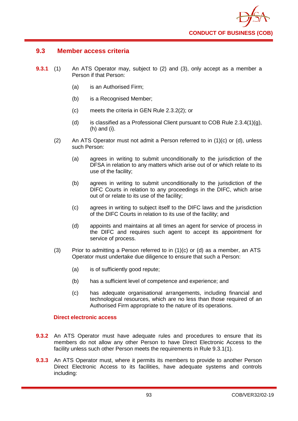

# **9.3 Member access criteria**

- **9.3.1** (1) An ATS Operator may, subject to (2) and (3), only accept as a member a Person if that Person:
	- (a) is an Authorised Firm;
	- (b) is a Recognised Member;
	- (c) meets the criteria in GEN Rule 2.3.2(2); or
	- (d) is classified as a Professional Client pursuant to COB Rule  $2.3.4(1)(g)$ , (h) and (i).
	- (2) An ATS Operator must not admit a Person referred to in (1)(c) or (d), unless such Person:
		- (a) agrees in writing to submit unconditionally to the jurisdiction of the DFSA in relation to any matters which arise out of or which relate to its use of the facility;
		- (b) agrees in writing to submit unconditionally to the jurisdiction of the DIFC Courts in relation to any proceedings in the DIFC, which arise out of or relate to its use of the facility;
		- (c) agrees in writing to subject itself to the DIFC laws and the jurisdiction of the DIFC Courts in relation to its use of the facility; and
		- (d) appoints and maintains at all times an agent for service of process in the DIFC and requires such agent to accept its appointment for service of process.
	- (3) Prior to admitting a Person referred to in  $(1)(c)$  or  $(d)$  as a member, an ATS Operator must undertake due diligence to ensure that such a Person:
		- (a) is of sufficiently good repute;
		- (b) has a sufficient level of competence and experience; and
		- (c) has adequate organisational arrangements, including financial and technological resources, which are no less than those required of an Authorised Firm appropriate to the nature of its operations.

## **Direct electronic access**

- **9.3.2** An ATS Operator must have adequate rules and procedures to ensure that its members do not allow any other Person to have Direct Electronic Access to the facility unless such other Person meets the requirements in Rule 9.3.1(1).
- **9.3.3** An ATS Operator must, where it permits its members to provide to another Person Direct Electronic Access to its facilities, have adequate systems and controls including: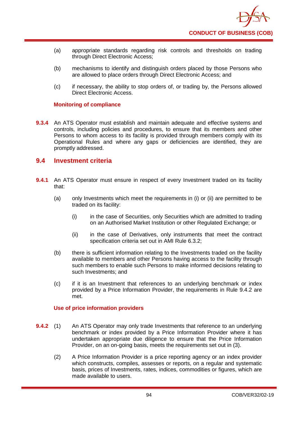- (a) appropriate standards regarding risk controls and thresholds on trading through Direct Electronic Access;
- (b) mechanisms to identify and distinguish orders placed by those Persons who are allowed to place orders through Direct Electronic Access; and
- (c) if necessary, the ability to stop orders of, or trading by, the Persons allowed Direct Electronic Access.

## **Monitoring of compliance**

**9.3.4** An ATS Operator must establish and maintain adequate and effective systems and controls, including policies and procedures, to ensure that its members and other Persons to whom access to its facility is provided through members comply with its Operational Rules and where any gaps or deficiencies are identified, they are promptly addressed.

# **9.4 Investment criteria**

- **9.4.1** An ATS Operator must ensure in respect of every Investment traded on its facility that:
	- (a) only Investments which meet the requirements in (i) or (ii) are permitted to be traded on its facility:
		- (i) in the case of Securities, only Securities which are admitted to trading on an Authorised Market Institution or other Regulated Exchange; or
		- (ii) in the case of Derivatives, only instruments that meet the contract specification criteria set out in AMI Rule 6.3.2;
	- (b) there is sufficient information relating to the Investments traded on the facility available to members and other Persons having access to the facility through such members to enable such Persons to make informed decisions relating to such Investments; and
	- (c) if it is an Investment that references to an underlying benchmark or index provided by a Price Information Provider, the requirements in Rule 9.4.2 are met.

## **Use of price information providers**

- **9.4.2** (1) An ATS Operator may only trade Investments that reference to an underlying benchmark or index provided by a Price Information Provider where it has undertaken appropriate due diligence to ensure that the Price Information Provider, on an on-going basis, meets the requirements set out in (3).
	- (2) A Price Information Provider is a price reporting agency or an index provider which constructs, compiles, assesses or reports, on a regular and systematic basis, prices of Investments, rates, indices, commodities or figures, which are made available to users.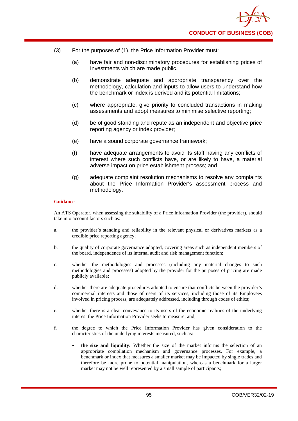

- (3) For the purposes of (1), the Price Information Provider must:
	- (a) have fair and non-discriminatory procedures for establishing prices of Investments which are made public.
	- (b) demonstrate adequate and appropriate transparency over the methodology, calculation and inputs to allow users to understand how the benchmark or index is derived and its potential limitations;
	- (c) where appropriate, give priority to concluded transactions in making assessments and adopt measures to minimise selective reporting;
	- (d) be of good standing and repute as an independent and objective price reporting agency or index provider;
	- (e) have a sound corporate governance framework;
	- (f) have adequate arrangements to avoid its staff having any conflicts of interest where such conflicts have, or are likely to have, a material adverse impact on price establishment process; and
	- (g) adequate complaint resolution mechanisms to resolve any complaints about the Price Information Provider's assessment process and methodology.

An ATS Operator, when assessing the suitability of a Price Information Provider (the provider), should take into account factors such as:

- a. the provider's standing and reliability in the relevant physical or derivatives markets as a credible price reporting agency;
- b. the quality of corporate governance adopted, covering areas such as independent members of the board, independence of its internal audit and risk management function;
- c. whether the methodologies and processes (including any material changes to such methodologies and processes) adopted by the provider for the purposes of pricing are made publicly available;
- d. whether there are adequate procedures adopted to ensure that conflicts between the provider's commercial interests and those of users of its services, including those of its Employees involved in pricing process, are adequately addressed, including through codes of ethics;
- e. whether there is a clear conveyance to its users of the economic realities of the underlying interest the Price Information Provider seeks to measure; and,
- f. the degree to which the Price Information Provider has given consideration to the characteristics of the underlying interests measured, such as:
	- **the size and liquidity:** Whether the size of the market informs the selection of an appropriate compilation mechanism and governance processes. For example, a benchmark or index that measures a smaller market may be impacted by single trades and therefore be more prone to potential manipulation, whereas a benchmark for a larger market may not be well represented by a small sample of participants;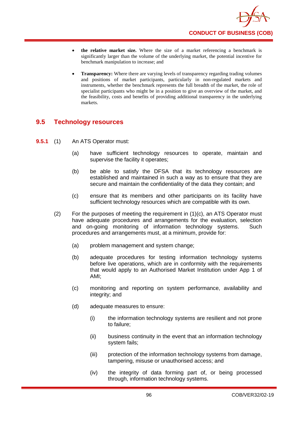- **the relative market size.** Where the size of a market referencing a benchmark is significantly larger than the volume of the underlying market, the potential incentive for benchmark manipulation to increase; and
- **Transparency:** Where there are varying levels of transparency regarding trading volumes and positions of market participants, particularly in non-regulated markets and instruments, whether the benchmark represents the full breadth of the market, the role of specialist participants who might be in a position to give an overview of the market, and the feasibility, costs and benefits of providing additional transparency in the underlying markets.

# **9.5 Technology resources**

- **9.5.1** (1) An ATS Operator must:
	- (a) have sufficient technology resources to operate, maintain and supervise the facility it operates;
	- (b) be able to satisfy the DFSA that its technology resources are established and maintained in such a way as to ensure that they are secure and maintain the confidentiality of the data they contain; and
	- (c) ensure that its members and other participants on its facility have sufficient technology resources which are compatible with its own.
	- (2) For the purposes of meeting the requirement in (1)(c), an ATS Operator must have adequate procedures and arrangements for the evaluation, selection<br>and on-going monitoring of information technology systems. Such and on-going monitoring of information technology systems. procedures and arrangements must, at a minimum, provide for:
		- (a) problem management and system change;
		- (b) adequate procedures for testing information technology systems before live operations, which are in conformity with the requirements that would apply to an Authorised Market Institution under App 1 of AMI;
		- (c) monitoring and reporting on system performance, availability and integrity; and
		- (d) adequate measures to ensure:
			- (i) the information technology systems are resilient and not prone to failure;
			- (ii) business continuity in the event that an information technology system fails;
			- (iii) protection of the information technology systems from damage, tampering, misuse or unauthorised access; and
			- (iv) the integrity of data forming part of, or being processed through, information technology systems.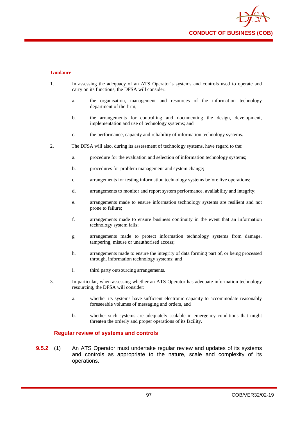

- 1. In assessing the adequacy of an ATS Operator's systems and controls used to operate and carry on its functions, the DFSA will consider:
	- a. the organisation, management and resources of the information technology department of the firm;
	- b. the arrangements for controlling and documenting the design, development, implementation and use of technology systems; and
	- c. the performance, capacity and reliability of information technology systems.
- 2. The DFSA will also, during its assessment of technology systems, have regard to the:
	- a. procedure for the evaluation and selection of information technology systems;
	- b. procedures for problem management and system change;
	- c. arrangements for testing information technology systems before live operations;
	- d. arrangements to monitor and report system performance, availability and integrity;
	- e. arrangements made to ensure information technology systems are resilient and not prone to failure;
	- f. arrangements made to ensure business continuity in the event that an information technology system fails;
	- g arrangements made to protect information technology systems from damage, tampering, misuse or unauthorised access;
	- h. arrangements made to ensure the integrity of data forming part of, or being processed through, information technology systems; and
	- i. third party outsourcing arrangements.
- 3. In particular, when assessing whether an ATS Operator has adequate information technology resourcing, the DFSA will consider:
	- a. whether its systems have sufficient electronic capacity to accommodate reasonably foreseeable volumes of messaging and orders, and
	- b. whether such systems are adequately scalable in emergency conditions that might threaten the orderly and proper operations of its facility.

#### **Regular review of systems and controls**

**9.5.2** (1) An ATS Operator must undertake regular review and updates of its systems and controls as appropriate to the nature, scale and complexity of its operations.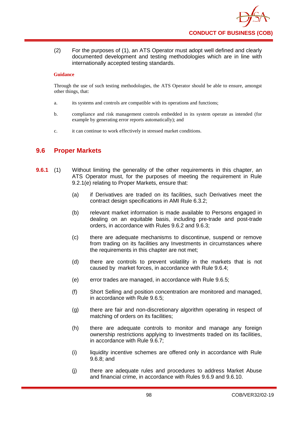(2) For the purposes of (1), an ATS Operator must adopt well defined and clearly documented development and testing methodologies which are in line with internationally accepted testing standards.

## **Guidance**

Through the use of such testing methodologies, the ATS Operator should be able to ensure, amongst other things, that:

- a. its systems and controls are compatible with its operations and functions;
- b. compliance and risk management controls embedded in its system operate as intended (for example by generating error reports automatically); and
- c. it can continue to work effectively in stressed market conditions.

# **9.6 Proper Markets**

- **9.6.1** (1) Without limiting the generality of the other requirements in this chapter, an ATS Operator must, for the purposes of meeting the requirement in Rule 9.2.1(e) relating to Proper Markets, ensure that:
	- (a) if Derivatives are traded on its facilities, such Derivatives meet the contract design specifications in AMI Rule 6.3.2;
	- (b) relevant market information is made available to Persons engaged in dealing on an equitable basis, including pre-trade and post-trade orders, in accordance with Rules 9.6.2 and 9.6.3;
	- (c) there are adequate mechanisms to discontinue, suspend or remove from trading on its facilities any Investments in circumstances where the requirements in this chapter are not met;
	- (d) there are controls to prevent volatility in the markets that is not caused by market forces, in accordance with Rule 9.6.4;
	- (e) error trades are managed, in accordance with Rule 9.6.5;
	- (f) Short Selling and position concentration are monitored and managed, in accordance with Rule 9.6.5;
	- (g) there are fair and non-discretionary algorithm operating in respect of matching of orders on its facilities;
	- (h) there are adequate controls to monitor and manage any foreign ownership restrictions applying to Investments traded on its facilities, in accordance with Rule 9.6.7;
	- (i) liquidity incentive schemes are offered only in accordance with Rule 9.6.8; and
	- (j) there are adequate rules and procedures to address Market Abuse and financial crime, in accordance with Rules 9.6.9 and 9.6.10.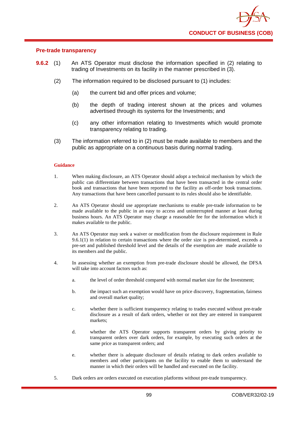

## **Pre-trade transparency**

- **9.6.2** (1) An ATS Operator must disclose the information specified in (2) relating to trading of Investments on its facility in the manner prescribed in (3).
	- (2) The information required to be disclosed pursuant to (1) includes:
		- (a) the current bid and offer prices and volume;
		- (b) the depth of trading interest shown at the prices and volumes advertised through its systems for the Investments; and
		- (c) any other information relating to Investments which would promote transparency relating to trading.
	- (3) The information referred to in (2) must be made available to members and the public as appropriate on a continuous basis during normal trading.

#### **Guidance**

- 1. When making disclosure, an ATS Operator should adopt a technical mechanism by which the public can differentiate between transactions that have been transacted in the central order book and transactions that have been reported to the facility as off-order book transactions. Any transactions that have been cancelled pursuant to its rules should also be identifiable.
- 2. An ATS Operator should use appropriate mechanisms to enable pre-trade information to be made available to the public in an easy to access and uninterrupted manner at least during business hours. An ATS Operator may charge a reasonable fee for the information which it makes available to the public.
- 3. An ATS Operator may seek a waiver or modification from the disclosure requirement in Rule  $9.6.1(1)$  in relation to certain transactions where the order size is pre-determined, exceeds a pre-set and published threshold level and the details of the exemption are made available to its members and the public.
- 4. In assessing whether an exemption from pre-trade disclosure should be allowed, the DFSA will take into account factors such as:
	- a. the level of order threshold compared with normal market size for the Investment;
	- b. the impact such an exemption would have on price discovery, fragmentation, fairness and overall market quality;
	- c. whether there is sufficient transparency relating to trades executed without pre-trade disclosure as a result of dark orders, whether or not they are entered in transparent markets;
	- d. whether the ATS Operator supports transparent orders by giving priority to transparent orders over dark orders, for example, by executing such orders at the same price as transparent orders; and
	- e. whether there is adequate disclosure of details relating to dark orders available to members and other participants on the facility to enable them to understand the manner in which their orders will be handled and executed on the facility.
- 5. Dark orders are orders executed on execution platforms without pre-trade transparency.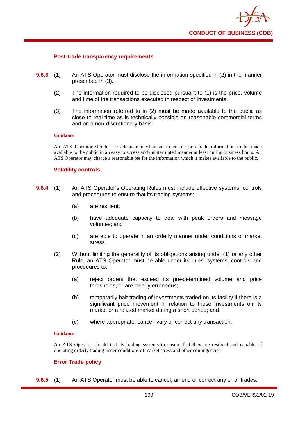

## **Post-trade transparency requirements**

- **9.6.3** (1) An ATS Operator must disclose the information specified in (2) in the manner prescribed in (3).
	- (2) The information required to be disclosed pursuant to (1) is the price, volume and time of the transactions executed in respect of Investments.
	- (3) The information referred to in (2) must be made available to the public as close to real-time as is technically possible on reasonable commercial terms and on a non-discretionary basis.

#### **Guidance**

An ATS Operator should use adequate mechanism to enable post-trade information to be made available to the public in an easy to access and uninterrupted manner at least during business hours. An ATS Operator may charge a reasonable fee for the information which it makes available to the public.

#### **Volatility controls**

- **9.6.4** (1) An ATS Operator's Operating Rules must include effective systems, controls and procedures to ensure that its trading systems:
	- (a) are resilient;
	- (b) have adequate capacity to deal with peak orders and message volumes; and
	- (c) are able to operate in an orderly manner under conditions of market stress.
	- (2) Without limiting the generality of its obligations arising under (1) or any other Rule, an ATS Operator must be able under its rules, systems, controls and procedures to:
		- (a) reject orders that exceed its pre-determined volume and price thresholds, or are clearly erroneous;
		- (b) temporarily halt trading of Investments traded on its facility if there is a significant price movement in relation to those Investments on its market or a related market during a short period; and
		- (c) where appropriate, cancel, vary or correct any transaction.

#### **Guidance**

An ATS Operator should test its trading systems to ensure that they are resilient and capable of operating orderly trading under conditions of market stress and other contingencies.

## **Error Trade policy**

**9.6.5** (1) An ATS Operator must be able to cancel, amend or correct any error trades.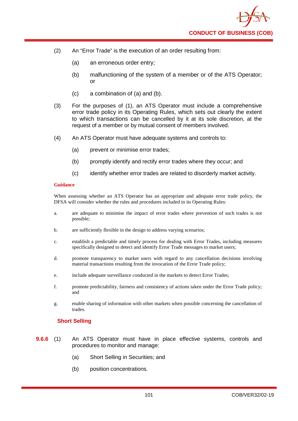- (2) An "Error Trade" is the execution of an order resulting from:
	- (a) an erroneous order entry;
	- (b) malfunctioning of the system of a member or of the ATS Operator; or
	- (c) a combination of (a) and (b).
- (3) For the purposes of (1), an ATS Operator must include a comprehensive error trade policy in its Operating Rules, which sets out clearly the extent to which transactions can be cancelled by it at its sole discretion, at the request of a member or by mutual consent of members involved.
- (4) An ATS Operator must have adequate systems and controls to:
	- (a) prevent or minimise error trades;
	- (b) promptly identify and rectify error trades where they occur; and
	- (c) identify whether error trades are related to disorderly market activity.

When assessing whether an ATS Operator has an appropriate and adequate error trade policy, the DFSA will consider whether the rules and procedures included in its Operating Rules:

- a. are adequate to minimise the impact of error trades where prevention of such trades is not possible;
- b. are sufficiently flexible in the design to address varying scenarios;
- c. establish a predictable and timely process for dealing with Error Trades, including measures specifically designed to detect and identify Error Trade messages to market users;
- d. promote transparency to market users with regard to any cancellation decisions involving material transactions resulting from the invocation of the Error Trade policy;
- e. include adequate surveillance conducted in the markets to detect Error Trades;
- f. promote predictability, fairness and consistency of actions taken under the Error Trade policy; and
- g. enable sharing of information with other markets when possible concerning the cancellation of trades.

## **Short Selling**

- **9.6.6** (1) An ATS Operator must have in place effective systems, controls and procedures to monitor and manage:
	- (a) Short Selling in Securities; and
	- (b) position concentrations.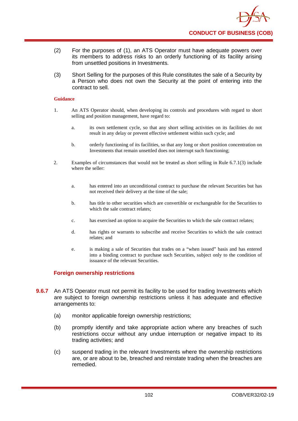

- (2) For the purposes of (1), an ATS Operator must have adequate powers over its members to address risks to an orderly functioning of its facility arising from unsettled positions in Investments.
- (3) Short Selling for the purposes of this Rule constitutes the sale of a Security by a Person who does not own the Security at the point of entering into the contract to sell.

- 1. An ATS Operator should, when developing its controls and procedures with regard to short selling and position management, have regard to:
	- a. its own settlement cycle, so that any short selling activities on its facilities do not result in any delay or prevent effective settlement within such cycle; and
	- b. orderly functioning of its facilities, so that any long or short position concentration on Investments that remain unsettled does not interrupt such functioning;
- 2. Examples of circumstances that would not be treated as short selling in Rule 6.7.1(3) include where the seller:
	- a. has entered into an unconditional contract to purchase the relevant Securities but has not received their delivery at the time of the sale;
	- b. has title to other securities which are convertible or exchangeable for the Securities to which the sale contract relates;
	- c. has exercised an option to acquire the Securities to which the sale contract relates;
	- d. has rights or warrants to subscribe and receive Securities to which the sale contract relates; and
	- e. is making a sale of Securities that trades on a "when issued" basis and has entered into a binding contract to purchase such Securities, subject only to the condition of issuance of the relevant Securities.

## **Foreign ownership restrictions**

- **9.6.7** An ATS Operator must not permit its facility to be used for trading Investments which are subject to foreign ownership restrictions unless it has adequate and effective arrangements to:
	- (a) monitor applicable foreign ownership restrictions;
	- (b) promptly identify and take appropriate action where any breaches of such restrictions occur without any undue interruption or negative impact to its trading activities; and
	- (c) suspend trading in the relevant Investments where the ownership restrictions are, or are about to be, breached and reinstate trading when the breaches are remedied.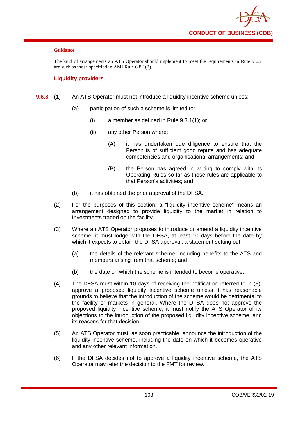The kind of arrangements an ATS Operator should implement to meet the requirements in Rule 9.6.7 are such as those specified in AMI Rule 6.8.1(2).

# **Liquidity providers**

- **9.6.8** (1) An ATS Operator must not introduce a liquidity incentive scheme unless:
	- (a) participation of such a scheme is limited to:
		- (i) a member as defined in Rule 9.3.1(1); or
		- (ii) any other Person where:
			- (A) it has undertaken due diligence to ensure that the Person is of sufficient good repute and has adequate competencies and organisational arrangements; and
			- (B) the Person has agreed in writing to comply with its Operating Rules so far as those rules are applicable to that Person's activities; and
	- (b) it has obtained the prior approval of the DFSA.
	- (2) For the purposes of this section, a "liquidity incentive scheme" means an arrangement designed to provide liquidity to the market in relation to Investments traded on the facility.
	- (3) Where an ATS Operator proposes to introduce or amend a liquidity incentive scheme, it must lodge with the DFSA, at least 10 days before the date by which it expects to obtain the DFSA approval, a statement setting out:
		- (a) the details of the relevant scheme, including benefits to the ATS and members arising from that scheme; and
		- (b) the date on which the scheme is intended to become operative.
	- (4) The DFSA must within 10 days of receiving the notification referred to in (3), approve a proposed liquidity incentive scheme unless it has reasonable grounds to believe that the introduction of the scheme would be detrimental to the facility or markets in general. Where the DFSA does not approve the proposed liquidity incentive scheme, it must notify the ATS Operator of its objections to the introduction of the proposed liquidity incentive scheme, and its reasons for that decision.
	- (5) An ATS Operator must, as soon practicable, announce the introduction of the liquidity incentive scheme, including the date on which it becomes operative and any other relevant information.
	- (6) If the DFSA decides not to approve a liquidity incentive scheme, the ATS Operator may refer the decision to the FMT for review.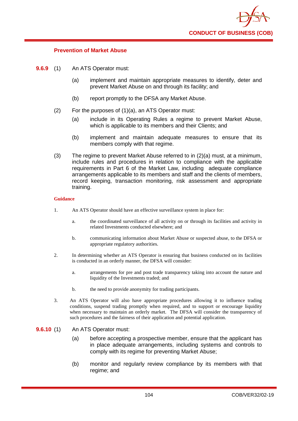

#### **Prevention of Market Abuse**

- **9.6.9** (1) An ATS Operator must:
	- (a) implement and maintain appropriate measures to identify, deter and prevent Market Abuse on and through its facility; and
	- (b) report promptly to the DFSA any Market Abuse.
	- (2) For the purposes of (1)(a), an ATS Operator must:
		- (a) include in its Operating Rules a regime to prevent Market Abuse, which is applicable to its members and their Clients; and
		- (b) implement and maintain adequate measures to ensure that its members comply with that regime.
	- (3) The regime to prevent Market Abuse referred to in (2)(a) must, at a minimum, include rules and procedures in relation to compliance with the applicable requirements in Part 6 of the Market Law, including adequate compliance arrangements applicable to its members and staff and the clients of members, record keeping, transaction monitoring, risk assessment and appropriate training.

#### **Guidance**

- 1. An ATS Operator should have an effective surveillance system in place for:
	- a. the coordinated surveillance of all activity on or through its facilities and activity in related Investments conducted elsewhere; and
	- b. communicating information about Market Abuse or suspected abuse, to the DFSA or appropriate regulatory authorities.
- 2. In determining whether an ATS Operator is ensuring that business conducted on its facilities is conducted in an orderly manner, the DFSA will consider:
	- a. arrangements for pre and post trade transparency taking into account the nature and liquidity of the Investments traded; and
	- b. the need to provide anonymity for trading participants.
- 3. An ATS Operator will also have appropriate procedures allowing it to influence trading conditions, suspend trading promptly when required, and to support or encourage liquidity when necessary to maintain an orderly market. The DFSA will consider the transparency of such procedures and the fairness of their application and potential application.

#### **9.6.10** (1) An ATS Operator must:

- (a) before accepting a prospective member, ensure that the applicant has in place adequate arrangements, including systems and controls to comply with its regime for preventing Market Abuse;
- (b) monitor and regularly review compliance by its members with that regime; and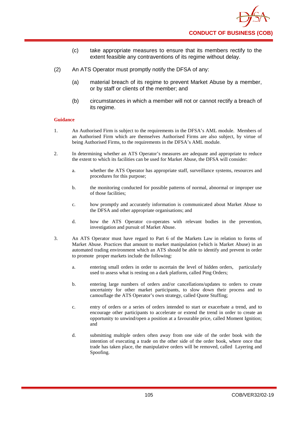- (c) take appropriate measures to ensure that its members rectify to the extent feasible any contraventions of its regime without delay.
- (2) An ATS Operator must promptly notify the DFSA of any:
	- (a) material breach of its regime to prevent Market Abuse by a member, or by staff or clients of the member; and
	- (b) circumstances in which a member will not or cannot rectify a breach of its regime.

- 1. An Authorised Firm is subject to the requirements in the DFSA's AML module. Members of an Authorised Firm which are themselves Authorised Firms are also subject, by virtue of being Authorised Firms, to the requirements in the DFSA's AML module.
- 2. In determining whether an ATS Operator's measures are adequate and appropriate to reduce the extent to which its facilities can be used for Market Abuse, the DFSA will consider:
	- a. whether the ATS Operator has appropriate staff, surveillance systems, resources and procedures for this purpose;
	- b. the monitoring conducted for possible patterns of normal, abnormal or improper use of those facilities;
	- c. how promptly and accurately information is communicated about Market Abuse to the DFSA and other appropriate organisations; and
	- d. how the ATS Operator co-operates with relevant bodies in the prevention, investigation and pursuit of Market Abuse.
- 3. An ATS Operator must have regard to Part 6 of the Markets Law in relation to forms of Market Abuse. Practices that amount to market manipulation (which is Market Abuse) in an automated trading environment which an ATS should be able to identify and prevent in order to promote proper markets include the following:
	- a. entering small orders in order to ascertain the level of hidden orders, particularly used to assess what is resting on a dark platform, called Ping Orders;
	- b. entering large numbers of orders and/or cancellations/updates to orders to create uncertainty for other market participants, to slow down their process and to camouflage the ATS Operator's own strategy, called Quote Stuffing;
	- c. entry of orders or a series of orders intended to start or exacerbate a trend, and to encourage other participants to accelerate or extend the trend in order to create an opportunity to unwind/open a position at a favourable price, called Moment Ignition; and
	- d. submitting multiple orders often away from one side of the order book with the intention of executing a trade on the other side of the order book, where once that trade has taken place, the manipulative orders will be removed, called Layering and Spoofing.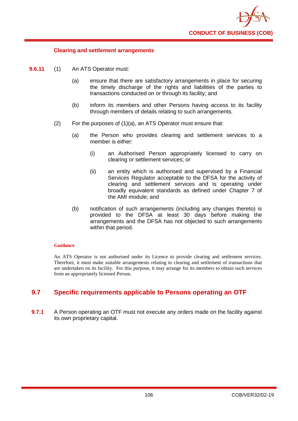

#### **Clearing and settlement arrangements**

- **9.6.11** (1) An ATS Operator must:
	- (a) ensure that there are satisfactory arrangements in place for securing the timely discharge of the rights and liabilities of the parties to transactions conducted on or through its facility; and
	- (b) inform its members and other Persons having access to its facility through members of details relating to such arrangements.
	- (2) For the purposes of (1)(a), an ATS Operator must ensure that:
		- (a) the Person who provides clearing and settlement services to a member is either:
			- (i) an Authorised Person appropriately licensed to carry on clearing or settlement services; or
			- (ii) an entity which is authorised and supervised by a Financial Services Regulator acceptable to the DFSA for the activity of clearing and settlement services and is operating under broadly equivalent standards as defined under Chapter 7 of the AMI module; and
		- (b) notification of such arrangements (including any changes thereto) is provided to the DFSA at least 30 days before making the arrangements and the DFSA has not objected to such arrangements within that period.

#### **Guidance**

An ATS Operator is not authorised under its Licence to provide clearing and settlement services. Therefore, it must make suitable arrangements relating to clearing and settlement of transactions that are undertaken on its facility. For this purpose, it may arrange for its members to obtain such services from an appropriately licensed Person.

# **9.7 Specific requirements applicable to Persons operating an OTF**

**9.7.1** A Person operating an OTF must not execute any orders made on the facility against its own proprietary capital.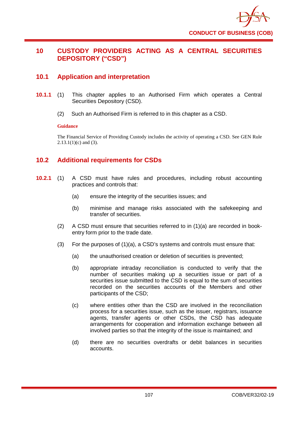

# **10 CUSTODY PROVIDERS ACTING AS A CENTRAL SECURITIES DEPOSITORY ("CSD")**

# **10.1 Application and interpretation**

- **10.1.1** (1) This chapter applies to an Authorised Firm which operates a Central Securities Depository (CSD).
	- (2) Such an Authorised Firm is referred to in this chapter as a CSD.

#### **Guidance**

The Financial Service of Providing Custody includes the activity of operating a CSD. See GEN Rule  $2.13.1(1)(c)$  and (3).

# **10.2 Additional requirements for CSDs**

- **10.2.1** (1) A CSD must have rules and procedures, including robust accounting practices and controls that:
	- (a) ensure the integrity of the securities issues; and
	- (b) minimise and manage risks associated with the safekeeping and transfer of securities.
	- (2) A CSD must ensure that securities referred to in (1)(a) are recorded in bookentry form prior to the trade date.
	- (3) For the purposes of (1)(a), a CSD's systems and controls must ensure that:
		- (a) the unauthorised creation or deletion of securities is prevented;
		- (b) appropriate intraday reconciliation is conducted to verify that the number of securities making up a securities issue or part of a securities issue submitted to the CSD is equal to the sum of securities recorded on the securities accounts of the Members and other participants of the CSD;
		- (c) where entities other than the CSD are involved in the reconciliation process for a securities issue, such as the issuer, registrars, issuance agents, transfer agents or other CSDs, the CSD has adequate arrangements for cooperation and information exchange between all involved parties so that the integrity of the issue is maintained; and
		- (d) there are no securities overdrafts or debit balances in securities accounts.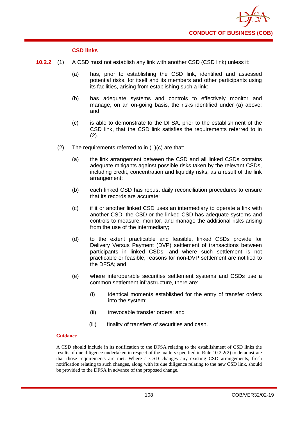

### **CSD links**

- **10.2.2** (1) A CSD must not establish any link with another CSD (CSD link) unless it:
	- (a) has, prior to establishing the CSD link, identified and assessed potential risks, for itself and its members and other participants using its facilities, arising from establishing such a link:
	- (b) has adequate systems and controls to effectively monitor and manage, on an on-going basis, the risks identified under (a) above; and
	- (c) is able to demonstrate to the DFSA, prior to the establishment of the CSD link, that the CSD link satisfies the requirements referred to in (2).
	- (2) The requirements referred to in (1)(c) are that:
		- (a) the link arrangement between the CSD and all linked CSDs contains adequate mitigants against possible risks taken by the relevant CSDs, including credit, concentration and liquidity risks, as a result of the link arrangement;
		- (b) each linked CSD has robust daily reconciliation procedures to ensure that its records are accurate;
		- (c) if it or another linked CSD uses an intermediary to operate a link with another CSD, the CSD or the linked CSD has adequate systems and controls to measure, monitor, and manage the additional risks arising from the use of the intermediary;
		- (d) to the extent practicable and feasible, linked CSDs provide for Delivery Versus Payment (DVP) settlement of transactions between participants in linked CSDs, and where such settlement is not practicable or feasible, reasons for non-DVP settlement are notified to the DFSA; and
		- (e) where interoperable securities settlement systems and CSDs use a common settlement infrastructure, there are:
			- (i) identical moments established for the entry of transfer orders into the system;
			- (ii) irrevocable transfer orders; and
			- (iii) finality of transfers of securities and cash.

### **Guidance**

A CSD should include in its notification to the DFSA relating to the establishment of CSD links the results of due diligence undertaken in respect of the matters specified in Rule 10.2.2(2) to demonstrate that those requirements are met. Where a CSD changes any existing CSD arrangements, fresh notification relating to such changes, along with its due diligence relating to the new CSD link, should be provided to the DFSA in advance of the proposed change.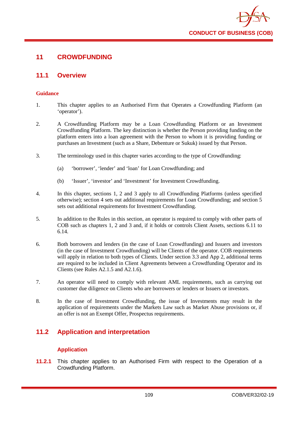

# **11 CROWDFUNDING**

## **11.1 Overview**

### **Guidance**

- 1. This chapter applies to an Authorised Firm that Operates a Crowdfunding Platform (an 'operator').
- 2. A Crowdfunding Platform may be a Loan Crowdfunding Platform or an Investment Crowdfunding Platform. The key distinction is whether the Person providing funding on the platform enters into a loan agreement with the Person to whom it is providing funding or purchases an Investment (such as a Share, Debenture or Sukuk) issued by that Person.
- 3. The terminology used in this chapter varies according to the type of Crowdfunding:
	- (a) 'borrower', 'lender' and 'loan' for Loan Crowdfunding; and
	- (b) 'Issuer', 'investor' and 'Investment' for Investment Crowdfunding.
- 4. In this chapter, sections 1, 2 and 3 apply to all Crowdfunding Platforms (unless specified otherwise); section 4 sets out additional requirements for Loan Crowdfunding; and section 5 sets out additional requirements for Investment Crowdfunding.
- 5. In addition to the Rules in this section, an operator is required to comply with other parts of COB such as chapters 1, 2 and 3 and, if it holds or controls Client Assets, sections 6.11 to 6.14.
- 6. Both borrowers and lenders (in the case of Loan Crowdfunding) and Issuers and investors (in the case of Investment Crowdfunding) will be Clients of the operator. COB requirements will apply in relation to both types of Clients. Under section 3.3 and App 2, additional terms are required to be included in Client Agreements between a Crowdfunding Operator and its Clients (see Rules A2.1.5 and A2.1.6).
- 7. An operator will need to comply with relevant AML requirements, such as carrying out customer due diligence on Clients who are borrowers or lenders or Issuers or investors.
- 8. In the case of Investment Crowdfunding, the issue of Investments may result in the application of requirements under the Markets Law such as Market Abuse provisions or, if an offer is not an Exempt Offer, Prospectus requirements.

# **11.2 Application and interpretation**

## **Application**

**11.2.1** This chapter applies to an Authorised Firm with respect to the Operation of a Crowdfunding Platform.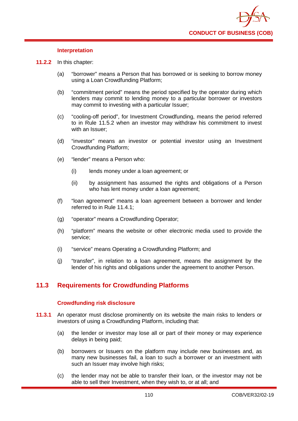### **Interpretation**

- **11.2.2** In this chapter:
	- (a) "borrower" means a Person that has borrowed or is seeking to borrow money using a Loan Crowdfunding Platform;
	- (b) "commitment period" means the period specified by the operator during which lenders may commit to lending money to a particular borrower or investors may commit to investing with a particular Issuer;
	- (c) "cooling-off period", for Investment Crowdfunding, means the period referred to in Rule 11.5.2 when an investor may withdraw his commitment to invest with an Issuer;
	- (d) "investor" means an investor or potential investor using an Investment Crowdfunding Platform;
	- (e) "lender" means a Person who:
		- (i) lends money under a loan agreement; or
		- (ii) by assignment has assumed the rights and obligations of a Person who has lent money under a loan agreement:
	- (f) "loan agreement" means a loan agreement between a borrower and lender referred to in Rule 11.4.1;
	- (g) "operator" means a Crowdfunding Operator;
	- (h) "platform" means the website or other electronic media used to provide the service;
	- (i) "service" means Operating a Crowdfunding Platform; and
	- (j) "transfer", in relation to a loan agreement, means the assignment by the lender of his rights and obligations under the agreement to another Person.

# **11.3 Requirements for Crowdfunding Platforms**

## **Crowdfunding risk disclosure**

- **11.3.1** An operator must disclose prominently on its website the main risks to lenders or investors of using a Crowdfunding Platform, including that:
	- (a) the lender or investor may lose all or part of their money or may experience delays in being paid;
	- (b) borrowers or Issuers on the platform may include new businesses and, as many new businesses fail, a loan to such a borrower or an investment with such an Issuer may involve high risks;
	- (c) the lender may not be able to transfer their loan, or the investor may not be able to sell their Investment, when they wish to, or at all; and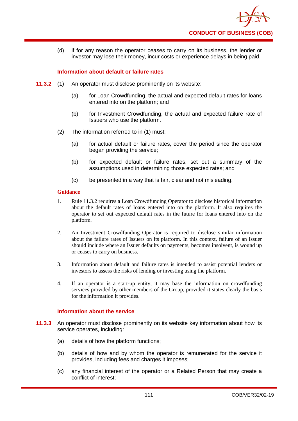

(d) if for any reason the operator ceases to carry on its business, the lender or investor may lose their money, incur costs or experience delays in being paid.

## **Information about default or failure rates**

- **11.3.2** (1) An operator must disclose prominently on its website:
	- (a) for Loan Crowdfunding, the actual and expected default rates for loans entered into on the platform; and
	- (b) for Investment Crowdfunding, the actual and expected failure rate of Issuers who use the platform.
	- (2) The information referred to in (1) must:
		- (a) for actual default or failure rates, cover the period since the operator began providing the service;
		- (b) for expected default or failure rates, set out a summary of the assumptions used in determining those expected rates; and
		- (c) be presented in a way that is fair, clear and not misleading.

#### **Guidance**

- 1. Rule 11.3.2 requires a Loan Crowdfunding Operator to disclose historical information about the default rates of loans entered into on the platform. It also requires the operator to set out expected default rates in the future for loans entered into on the platform.
- 2. An Investment Crowdfunding Operator is required to disclose similar information about the failure rates of Issuers on its platform. In this context, failure of an Issuer should include where an Issuer defaults on payments, becomes insolvent, is wound up or ceases to carry on business.
- 3. Information about default and failure rates is intended to assist potential lenders or investors to assess the risks of lending or investing using the platform.
- 4. If an operator is a start-up entity, it may base the information on crowdfunding services provided by other members of the Group, provided it states clearly the basis for the information it provides.

#### **Information about the service**

- **11.3.3** An operator must disclose prominently on its website key information about how its service operates, including:
	- (a) details of how the platform functions;
	- (b) details of how and by whom the operator is remunerated for the service it provides, including fees and charges it imposes;
	- (c) any financial interest of the operator or a Related Person that may create a conflict of interest;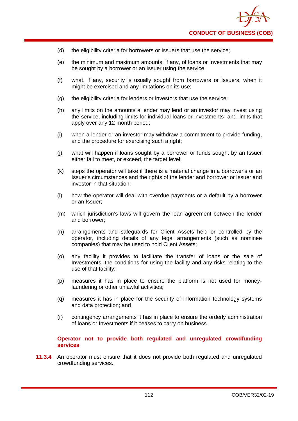- (d) the eligibility criteria for borrowers or Issuers that use the service;
- (e) the minimum and maximum amounts, if any, of loans or Investments that may be sought by a borrower or an Issuer using the service;
- (f) what, if any, security is usually sought from borrowers or Issuers, when it might be exercised and any limitations on its use;
- (g) the eligibility criteria for lenders or investors that use the service;
- (h) any limits on the amounts a lender may lend or an investor may invest using the service, including limits for individual loans or investments and limits that apply over any 12 month period;
- (i) when a lender or an investor may withdraw a commitment to provide funding, and the procedure for exercising such a right;
- (j) what will happen if loans sought by a borrower or funds sought by an Issuer either fail to meet, or exceed, the target level;
- (k) steps the operator will take if there is a material change in a borrower's or an Issuer's circumstances and the rights of the lender and borrower or Issuer and investor in that situation;
- (l) how the operator will deal with overdue payments or a default by a borrower or an Issuer;
- (m) which jurisdiction's laws will govern the loan agreement between the lender and borrower;
- (n) arrangements and safeguards for Client Assets held or controlled by the operator, including details of any legal arrangements (such as nominee companies) that may be used to hold Client Assets;
- (o) any facility it provides to facilitate the transfer of loans or the sale of Investments, the conditions for using the facility and any risks relating to the use of that facility;
- (p) measures it has in place to ensure the platform is not used for moneylaundering or other unlawful activities;
- (q) measures it has in place for the security of information technology systems and data protection; and
- (r) contingency arrangements it has in place to ensure the orderly administration of loans or Investments if it ceases to carry on business.

**Operator not to provide both regulated and unregulated crowdfunding services**

**11.3.4** An operator must ensure that it does not provide both regulated and unregulated crowdfunding services.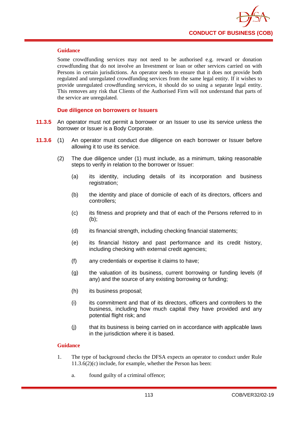

#### **Guidance**

Some crowdfunding services may not need to be authorised e.g. reward or donation crowdfunding that do not involve an Investment or loan or other services carried on with Persons in certain jurisdictions. An operator needs to ensure that it does not provide both regulated and unregulated crowdfunding services from the same legal entity. If it wishes to provide unregulated crowdfunding services, it should do so using a separate legal entity. This removes any risk that Clients of the Authorised Firm will not understand that parts of the service are unregulated.

## **Due diligence on borrowers or Issuers**

- **11.3.5** An operator must not permit a borrower or an Issuer to use its service unless the borrower or Issuer is a Body Corporate.
- **11.3.6** (1) An operator must conduct due diligence on each borrower or Issuer before allowing it to use its service.
	- (2) The due diligence under (1) must include, as a minimum, taking reasonable steps to verify in relation to the borrower or Issuer:
		- (a) its identity, including details of its incorporation and business registration;
		- (b) the identity and place of domicile of each of its directors, officers and controllers;
		- (c) its fitness and propriety and that of each of the Persons referred to in (b);
		- (d) its financial strength, including checking financial statements;
		- (e) its financial history and past performance and its credit history, including checking with external credit agencies;
		- (f) any credentials or expertise it claims to have;
		- (g) the valuation of its business, current borrowing or funding levels (if any) and the source of any existing borrowing or funding;
		- (h) its business proposal;
		- (i) its commitment and that of its directors, officers and controllers to the business, including how much capital they have provided and any potential flight risk; and
		- (j) that its business is being carried on in accordance with applicable laws in the jurisdiction where it is based.

- 1. The type of background checks the DFSA expects an operator to conduct under Rule 11.3.6(2)(c) include, for example, whether the Person has been:
	- a. found guilty of a criminal offence;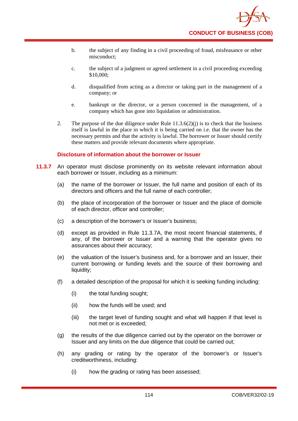- b. the subject of any finding in a civil proceeding of fraud, misfeasance or other misconduct;
- c. the subject of a judgment or agreed settlement in a civil proceeding exceeding \$10,000;
- d. disqualified from acting as a director or taking part in the management of a company; or
- e. bankrupt or the director, or a person concerned in the management, of a company which has gone into liquidation or administration.
- 2. The purpose of the due diligence under Rule  $11.3.6(2)(i)$  is to check that the business itself is lawful in the place in which it is being carried on i.e. that the owner has the necessary permits and that the activity is lawful. The borrower or Issuer should certify these matters and provide relevant documents where appropriate.

## **Disclosure of information about the borrower or Issuer**

- **11.3.7** An operator must disclose prominently on its website relevant information about each borrower or Issuer, including as a minimum:
	- (a) the name of the borrower or Issuer, the full name and position of each of its directors and officers and the full name of each controller;
	- (b) the place of incorporation of the borrower or Issuer and the place of domicile of each director, officer and controller;
	- (c) a description of the borrower's or Issuer's business;
	- (d) except as provided in Rule 11.3.7A, the most recent financial statements, if any, of the borrower or Issuer and a warning that the operator gives no assurances about their accuracy;
	- (e) the valuation of the Issuer's business and, for a borrower and an Issuer, their current borrowing or funding levels and the source of their borrowing and liquidity;
	- (f) a detailed description of the proposal for which it is seeking funding including:
		- (i) the total funding sought;
		- (ii) how the funds will be used; and
		- (iii) the target level of funding sought and what will happen if that level is not met or is exceeded;
	- (g) the results of the due diligence carried out by the operator on the borrower or Issuer and any limits on the due diligence that could be carried out;
	- (h) any grading or rating by the operator of the borrower's or Issuer's creditworthiness, including:
		- (i) how the grading or rating has been assessed;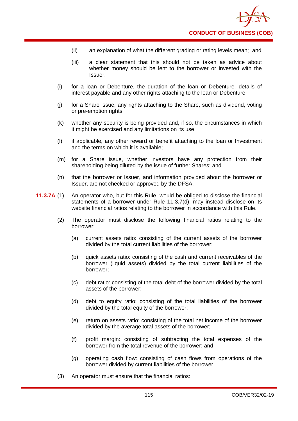- (ii) an explanation of what the different grading or rating levels mean; and
- (iii) a clear statement that this should not be taken as advice about whether money should be lent to the borrower or invested with the Issuer;
- (i) for a loan or Debenture, the duration of the loan or Debenture, details of interest payable and any other rights attaching to the loan or Debenture;
- (j) for a Share issue, any rights attaching to the Share, such as dividend, voting or pre-emption rights;
- (k) whether any security is being provided and, if so, the circumstances in which it might be exercised and any limitations on its use;
- (l) if applicable, any other reward or benefit attaching to the loan or Investment and the terms on which it is available;
- (m) for a Share issue, whether investors have any protection from their shareholding being diluted by the issue of further Shares; and
- (n) that the borrower or Issuer, and information provided about the borrower or Issuer, are not checked or approved by the DFSA.
- **11.3.7A** (1) An operator who, but for this Rule, would be obliged to disclose the financial statements of a borrower under Rule 11.3.7(d), may instead disclose on its website financial ratios relating to the borrower in accordance with this Rule.
	- (2) The operator must disclose the following financial ratios relating to the borrower:
		- (a) current assets ratio: consisting of the current assets of the borrower divided by the total current liabilities of the borrower;
		- (b) quick assets ratio: consisting of the cash and current receivables of the borrower (liquid assets) divided by the total current liabilities of the borrower;
		- (c) debt ratio: consisting of the total debt of the borrower divided by the total assets of the borrower;
		- (d) debt to equity ratio: consisting of the total liabilities of the borrower divided by the total equity of the borrower;
		- (e) return on assets ratio: consisting of the total net income of the borrower divided by the average total assets of the borrower;
		- (f) profit margin: consisting of subtracting the total expenses of the borrower from the total revenue of the borrower; and
		- (g) operating cash flow: consisting of cash flows from operations of the borrower divided by current liabilities of the borrower.
	- (3) An operator must ensure that the financial ratios: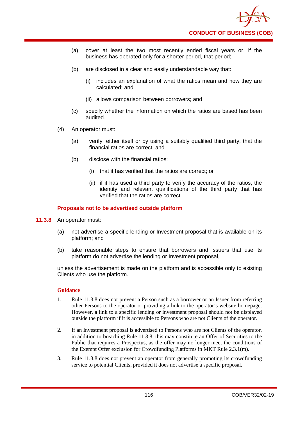

- (a) cover at least the two most recently ended fiscal years or, if the business has operated only for a shorter period, that period;
- (b) are disclosed in a clear and easily understandable way that:
	- (i) includes an explanation of what the ratios mean and how they are calculated; and
	- (ii) allows comparison between borrowers; and
- (c) specify whether the information on which the ratios are based has been audited.
- (4) An operator must:
	- (a) verify, either itself or by using a suitably qualified third party, that the financial ratios are correct; and
	- (b) disclose with the financial ratios:
		- (i) that it has verified that the ratios are correct; or
		- (ii) if it has used a third party to verify the accuracy of the ratios, the identity and relevant qualifications of the third party that has verified that the ratios are correct.

## **Proposals not to be advertised outside platform**

- **11.3.8** An operator must:
	- (a) not advertise a specific lending or Investment proposal that is available on its platform; and
	- (b) take reasonable steps to ensure that borrowers and Issuers that use its platform do not advertise the lending or Investment proposal,

unless the advertisement is made on the platform and is accessible only to existing Clients who use the platform.

- 1. Rule 11.3.8 does not prevent a Person such as a borrower or an Issuer from referring other Persons to the operator or providing a link to the operator's website homepage. However, a link to a specific lending or investment proposal should not be displayed outside the platform if it is accessible to Persons who are not Clients of the operator.
- 2. If an Investment proposal is advertised to Persons who are not Clients of the operator, in addition to breaching Rule 11.3.8, this may constitute an Offer of Securities to the Public that requires a Prospectus, as the offer may no longer meet the conditions of the Exempt Offer exclusion for Crowdfunding Platforms in MKT Rule 2.3.1(m).
- 3. Rule 11.3.8 does not prevent an operator from generally promoting its crowdfunding service to potential Clients, provided it does not advertise a specific proposal.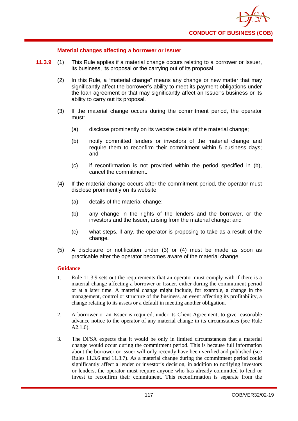

### **Material changes affecting a borrower or Issuer**

- **11.3.9** (1) This Rule applies if a material change occurs relating to a borrower or Issuer, its business, its proposal or the carrying out of its proposal.
	- (2) In this Rule, a "material change" means any change or new matter that may significantly affect the borrower's ability to meet its payment obligations under the loan agreement or that may significantly affect an Issuer's business or its ability to carry out its proposal.
	- (3) If the material change occurs during the commitment period, the operator must:
		- (a) disclose prominently on its website details of the material change;
		- (b) notify committed lenders or investors of the material change and require them to reconfirm their commitment within 5 business days: and
		- (c) if reconfirmation is not provided within the period specified in (b), cancel the commitment.
	- (4) If the material change occurs after the commitment period, the operator must disclose prominently on its website:
		- (a) details of the material change;
		- (b) any change in the rights of the lenders and the borrower, or the investors and the Issuer, arising from the material change; and
		- (c) what steps, if any, the operator is proposing to take as a result of the change.
	- (5) A disclosure or notification under (3) or (4) must be made as soon as practicable after the operator becomes aware of the material change.

- 1. Rule 11.3.9 sets out the requirements that an operator must comply with if there is a material change affecting a borrower or Issuer, either during the commitment period or at a later time. A material change might include, for example, a change in the management, control or structure of the business, an event affecting its profitability, a change relating to its assets or a default in meeting another obligation.
- 2. A borrower or an Issuer is required, under its Client Agreement, to give reasonable advance notice to the operator of any material change in its circumstances (see Rule A2.1.6).
- 3. The DFSA expects that it would be only in limited circumstances that a material change would occur during the commitment period. This is because full information about the borrower or Issuer will only recently have been verified and published (see Rules 11.3.6 and 11.3.7). As a material change during the commitment period could significantly affect a lender or investor's decision, in addition to notifying investors or lenders, the operator must require anyone who has already committed to lend or invest to reconfirm their commitment. This reconfirmation is separate from the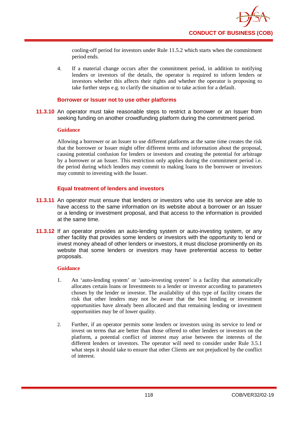cooling-off period for investors under Rule 11.5.2 which starts when the commitment period ends.

4. If a material change occurs after the commitment period, in addition to notifying lenders or investors of the details, the operator is required to inform lenders or investors whether this affects their rights and whether the operator is proposing to take further steps e.g. to clarify the situation or to take action for a default.

### **Borrower or Issuer not to use other platforms**

**11.3.10** An operator must take reasonable steps to restrict a borrower or an Issuer from seeking funding on another crowdfunding platform during the commitment period.

#### **Guidance**

Allowing a borrower or an Issuer to use different platforms at the same time creates the risk that the borrower or Issuer might offer different terms and information about the proposal, causing potential confusion for lenders or investors and creating the potential for arbitrage by a borrower or an Issuer. This restriction only applies during the commitment period i.e. the period during which lenders may commit to making loans to the borrower or investors may commit to investing with the Issuer.

## **Equal treatment of lenders and investors**

- **11.3.11** An operator must ensure that lenders or investors who use its service are able to have access to the same information on its website about a borrower or an Issuer or a lending or investment proposal, and that access to the information is provided at the same time.
- **11.3.12** If an operator provides an auto-lending system or auto-investing system, or any other facility that provides some lenders or investors with the opportunity to lend or invest money ahead of other lenders or investors, it must disclose prominently on its website that some lenders or investors may have preferential access to better proposals.

- 1. An 'auto-lending system' or 'auto-investing system' is a facility that automatically allocates certain loans or Investments to a lender or investor according to parameters chosen by the lender or investor. The availability of this type of facility creates the risk that other lenders may not be aware that the best lending or investment opportunities have already been allocated and that remaining lending or investment opportunities may be of lower quality.
- 2. Further, if an operator permits some lenders or investors using its service to lend or invest on terms that are better than those offered to other lenders or investors on the platform, a potential conflict of interest may arise between the interests of the different lenders or investors. The operator will need to consider under Rule 3.5.1 what steps it should take to ensure that other Clients are not prejudiced by the conflict of interest.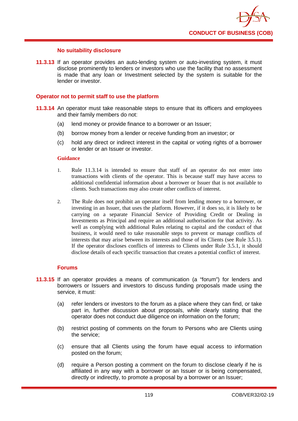### **No suitability disclosure**

**11.3.13** If an operator provides an auto-lending system or auto-investing system, it must disclose prominently to lenders or investors who use the facility that no assessment is made that any loan or Investment selected by the system is suitable for the lender or investor.

### **Operator not to permit staff to use the platform**

- **11.3.14** An operator must take reasonable steps to ensure that its officers and employees and their family members do not:
	- (a) lend money or provide finance to a borrower or an Issuer;
	- (b) borrow money from a lender or receive funding from an investor; or
	- (c) hold any direct or indirect interest in the capital or voting rights of a borrower or lender or an Issuer or investor.

#### **Guidance**

- 1. Rule 11.3.14 is intended to ensure that staff of an operator do not enter into transactions with clients of the operator. This is because staff may have access to additional confidential information about a borrower or Issuer that is not available to clients. Such transactions may also create other conflicts of interest.
- 2. The Rule does not prohibit an operator itself from lending money to a borrower, or investing in an Issuer, that uses the platform. However, if it does so, it is likely to be carrying on a separate Financial Service of Providing Credit or Dealing in Investments as Principal and require an additional authorisation for that activity. As well as complying with additional Rules relating to capital and the conduct of that business, it would need to take reasonable steps to prevent or manage conflicts of interests that may arise between its interests and those of its Clients (see Rule 3.5.1). If the operator discloses conflicts of interests to Clients under Rule 3.5.1, it should disclose details of each specific transaction that creates a potential conflict of interest.

### **Forums**

- **11.3.15** If an operator provides a means of communication (a "forum") for lenders and borrowers or Issuers and investors to discuss funding proposals made using the service, it must:
	- (a) refer lenders or investors to the forum as a place where they can find, or take part in, further discussion about proposals, while clearly stating that the operator does not conduct due diligence on information on the forum;
	- (b) restrict posting of comments on the forum to Persons who are Clients using the service;
	- (c) ensure that all Clients using the forum have equal access to information posted on the forum;
	- (d) require a Person posting a comment on the forum to disclose clearly if he is affiliated in any way with a borrower or an Issuer or is being compensated, directly or indirectly, to promote a proposal by a borrower or an Issuer;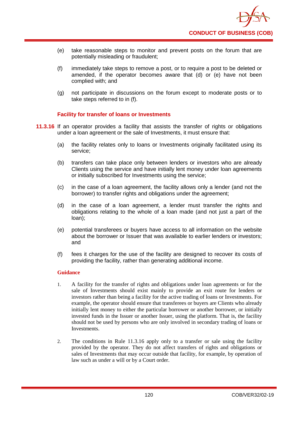- (e) take reasonable steps to monitor and prevent posts on the forum that are potentially misleading or fraudulent;
- (f) immediately take steps to remove a post, or to require a post to be deleted or amended, if the operator becomes aware that (d) or (e) have not been complied with; and
- (g) not participate in discussions on the forum except to moderate posts or to take steps referred to in (f).

## **Facility for transfer of loans or Investments**

- **11.3.16** If an operator provides a facility that assists the transfer of rights or obligations under a loan agreement or the sale of Investments, it must ensure that:
	- (a) the facility relates only to loans or Investments originally facilitated using its service;
	- (b) transfers can take place only between lenders or investors who are already Clients using the service and have initially lent money under loan agreements or initially subscribed for Investments using the service;
	- (c) in the case of a loan agreement, the facility allows only a lender (and not the borrower) to transfer rights and obligations under the agreement;
	- (d) in the case of a loan agreement, a lender must transfer the rights and obligations relating to the whole of a loan made (and not just a part of the loan);
	- (e) potential transferees or buyers have access to all information on the website about the borrower or Issuer that was available to earlier lenders or investors; and
	- (f) fees it charges for the use of the facility are designed to recover its costs of providing the facility, rather than generating additional income.

- 1. A facility for the transfer of rights and obligations under loan agreements or for the sale of Investments should exist mainly to provide an exit route for lenders or investors rather than being a facility for the active trading of loans or Investments. For example, the operator should ensure that transferees or buyers are Clients who already initially lent money to either the particular borrower or another borrower, or initially invested funds in the Issuer or another Issuer, using the platform. That is, the facility should not be used by persons who are only involved in secondary trading of loans or Investments.
- 2. The conditions in Rule 11.3.16 apply only to a transfer or sale using the facility provided by the operator. They do not affect transfers of rights and obligations or sales of Investments that may occur outside that facility, for example, by operation of law such as under a will or by a Court order.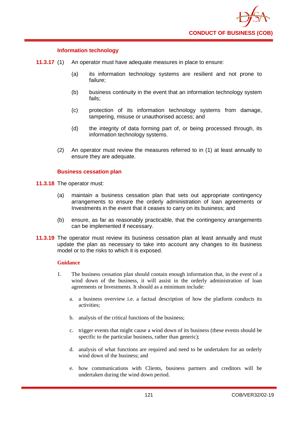

### **Information technology**

- **11.3.17** (1) An operator must have adequate measures in place to ensure:
	- (a) its information technology systems are resilient and not prone to failure;
	- (b) business continuity in the event that an information technology system fails;
	- (c) protection of its information technology systems from damage, tampering, misuse or unauthorised access; and
	- (d) the integrity of data forming part of, or being processed through, its information technology systems.
	- (2) An operator must review the measures referred to in (1) at least annually to ensure they are adequate.

### **Business cessation plan**

- **11.3.18** The operator must:
	- (a) maintain a business cessation plan that sets out appropriate contingency arrangements to ensure the orderly administration of loan agreements or Investments in the event that it ceases to carry on its business; and
	- (b) ensure, as far as reasonably practicable, that the contingency arrangements can be implemented if necessary.
- **11.3.19** The operator must review its business cessation plan at least annually and must update the plan as necessary to take into account any changes to its business model or to the risks to which it is exposed.

- 1. The business cessation plan should contain enough information that, in the event of a wind down of the business, it will assist in the orderly administration of loan agreements or Investments. It should as a minimum include:
	- a. a business overview i.e. a factual description of how the platform conducts its activities;
	- b. analysis of the critical functions of the business;
	- c. trigger events that might cause a wind down of its business (these events should be specific to the particular business, rather than generic);
	- d. analysis of what functions are required and need to be undertaken for an orderly wind down of the business; and
	- e. how communications with Clients, business partners and creditors will be undertaken during the wind down period.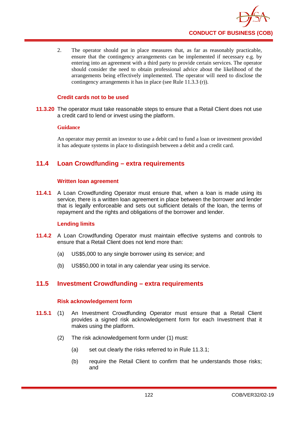2. The operator should put in place measures that, as far as reasonably practicable, ensure that the contingency arrangements can be implemented if necessary e.g. by entering into an agreement with a third party to provide certain services. The operator should consider the need to obtain professional advice about the likelihood of the arrangements being effectively implemented. The operator will need to disclose the contingency arrangements it has in place (see Rule 11.3.3 (r)).

## **Credit cards not to be used**

**11.3.20** The operator must take reasonable steps to ensure that a Retail Client does not use a credit card to lend or invest using the platform.

## **Guidance**

An operator may permit an investor to use a debit card to fund a loan or investment provided it has adequate systems in place to distinguish between a debit and a credit card.

# **11.4 Loan Crowdfunding – extra requirements**

## **Written loan agreement**

**11.4.1** A Loan Crowdfunding Operator must ensure that, when a loan is made using its service, there is a written loan agreement in place between the borrower and lender that is legally enforceable and sets out sufficient details of the loan, the terms of repayment and the rights and obligations of the borrower and lender.

## **Lending limits**

- **11.4.2** A Loan Crowdfunding Operator must maintain effective systems and controls to ensure that a Retail Client does not lend more than:
	- (a) US\$5,000 to any single borrower using its service; and
	- (b) US\$50,000 in total in any calendar year using its service.

# **11.5 Investment Crowdfunding – extra requirements**

## **Risk acknowledgement form**

- **11.5.1** (1) An Investment Crowdfunding Operator must ensure that a Retail Client provides a signed risk acknowledgement form for each Investment that it makes using the platform.
	- (2) The risk acknowledgement form under (1) must:
		- (a) set out clearly the risks referred to in Rule 11.3.1;
		- (b) require the Retail Client to confirm that he understands those risks; and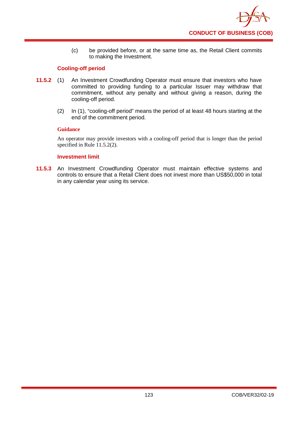

(c) be provided before, or at the same time as, the Retail Client commits to making the Investment.

## **Cooling-off period**

- **11.5.2** (1) An Investment Crowdfunding Operator must ensure that investors who have committed to providing funding to a particular Issuer may withdraw that commitment, without any penalty and without giving a reason, during the cooling-off period.
	- (2) In (1), "cooling-off period" means the period of at least 48 hours starting at the end of the commitment period.

### **Guidance**

An operator may provide investors with a cooling-off period that is longer than the period specified in Rule 11.5.2(2).

### **Investment limit**

**11.5.3** An Investment Crowdfunding Operator must maintain effective systems and controls to ensure that a Retail Client does not invest more than US\$50,000 in total in any calendar year using its service.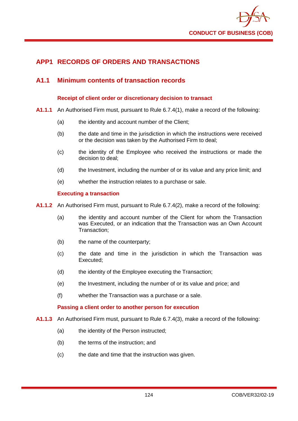

# **APP1 RECORDS OF ORDERS AND TRANSACTIONS**

## **A1.1 Minimum contents of transaction records**

### **Receipt of client order or discretionary decision to transact**

- **A1.1.1** An Authorised Firm must, pursuant to Rule 6.7.4(1), make a record of the following:
	- (a) the identity and account number of the Client:
	- (b) the date and time in the jurisdiction in which the instructions were received or the decision was taken by the Authorised Firm to deal;
	- (c) the identity of the Employee who received the instructions or made the decision to deal;
	- (d) the Investment, including the number of or its value and any price limit; and
	- (e) whether the instruction relates to a purchase or sale.

### **Executing a transaction**

- **A1.1.2** An Authorised Firm must, pursuant to Rule 6.7.4(2), make a record of the following:
	- (a) the identity and account number of the Client for whom the Transaction was Executed, or an indication that the Transaction was an Own Account Transaction;
	- (b) the name of the counterparty;
	- (c) the date and time in the jurisdiction in which the Transaction was Executed;
	- (d) the identity of the Employee executing the Transaction;
	- (e) the Investment, including the number of or its value and price; and
	- (f) whether the Transaction was a purchase or a sale.

#### **Passing a client order to another person for execution**

- **A1.1.3** An Authorised Firm must, pursuant to Rule 6.7.4(3), make a record of the following:
	- (a) the identity of the Person instructed;
	- (b) the terms of the instruction; and
	- (c) the date and time that the instruction was given.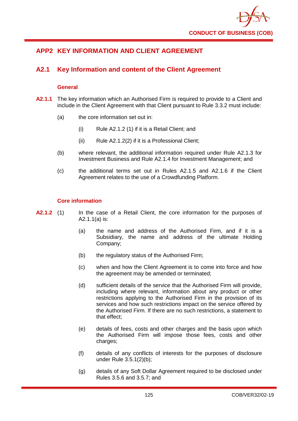

# **APP2 KEY INFORMATION AND CLIENT AGREEMENT**

# **A2.1 Key Information and content of the Client Agreement**

## **General**

- **A2.1.1** The key information which an Authorised Firm is required to provide to a Client and include in the Client Agreement with that Client pursuant to Rule 3.3.2 must include:
	- (a) the core information set out in:
		- (i) Rule A2.1.2 (1) if it is a Retail Client; and
		- (ii) Rule A2.1.2(2) if it is a Professional Client;
	- (b) where relevant, the additional information required under Rule A2.1.3 for Investment Business and Rule A2.1.4 for Investment Management; and
	- (c) the additional terms set out in Rules A2.1.5 and A2.1.6 if the Client Agreement relates to the use of a Crowdfunding Platform.

### **Core information**

- **A2.1.2** (1) In the case of a Retail Client, the core information for the purposes of A2.1.1(a) is:
	- (a) the name and address of the Authorised Firm, and if it is a Subsidiary, the name and address of the ultimate Holding Company;
	- (b) the regulatory status of the Authorised Firm;
	- (c) when and how the Client Agreement is to come into force and how the agreement may be amended or terminated;
	- (d) sufficient details of the service that the Authorised Firm will provide, including where relevant, information about any product or other restrictions applying to the Authorised Firm in the provision of its services and how such restrictions impact on the service offered by the Authorised Firm. If there are no such restrictions, a statement to that effect;
	- (e) details of fees, costs and other charges and the basis upon which the Authorised Firm will impose those fees, costs and other charges;
	- (f) details of any conflicts of interests for the purposes of disclosure under Rule 3.5.1(2)(b);
	- (g) details of any Soft Dollar Agreement required to be disclosed under Rules 3.5.6 and 3.5.7; and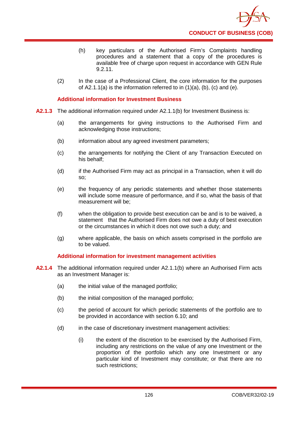

- (h) key particulars of the Authorised Firm's Complaints handling procedures and a statement that a copy of the procedures is available free of charge upon request in accordance with GEN Rule 9.2.11.
- (2) In the case of a Professional Client, the core information for the purposes of  $A2.1.1(a)$  is the information referred to in  $(1)(a)$ ,  $(b)$ ,  $(c)$  and  $(e)$ .

### **Additional information for Investment Business**

- **A2.1.3** The additional information required under A2.1.1(b) for Investment Business is:
	- (a) the arrangements for giving instructions to the Authorised Firm and acknowledging those instructions;
	- (b) information about any agreed investment parameters;
	- (c) the arrangements for notifying the Client of any Transaction Executed on his behalf;
	- (d) if the Authorised Firm may act as principal in a Transaction, when it will do so;
	- (e) the frequency of any periodic statements and whether those statements will include some measure of performance, and if so, what the basis of that measurement will be;
	- (f) when the obligation to provide best execution can be and is to be waived, a statement that the Authorised Firm does not owe a duty of best execution or the circumstances in which it does not owe such a duty; and
	- (g) where applicable, the basis on which assets comprised in the portfolio are to be valued.

#### **Additional information for investment management activities**

- **A2.1.4** The additional information required under A2.1.1(b) where an Authorised Firm acts as an Investment Manager is:
	- (a) the initial value of the managed portfolio;
	- (b) the initial composition of the managed portfolio;
	- (c) the period of account for which periodic statements of the portfolio are to be provided in accordance with section 6.10; and
	- (d) in the case of discretionary investment management activities:
		- (i) the extent of the discretion to be exercised by the Authorised Firm, including any restrictions on the value of any one Investment or the proportion of the portfolio which any one Investment or any particular kind of Investment may constitute; or that there are no such restrictions;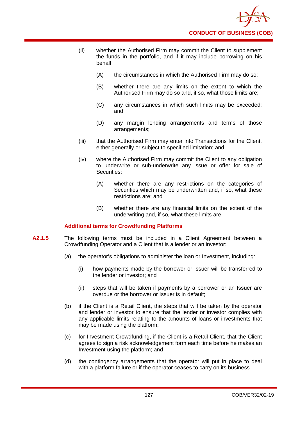

- (ii) whether the Authorised Firm may commit the Client to supplement the funds in the portfolio, and if it may include borrowing on his behalf:
	- (A) the circumstances in which the Authorised Firm may do so;
	- (B) whether there are any limits on the extent to which the Authorised Firm may do so and, if so, what those limits are;
	- (C) any circumstances in which such limits may be exceeded; and
	- (D) any margin lending arrangements and terms of those arrangements;
- (iii) that the Authorised Firm may enter into Transactions for the Client, either generally or subject to specified limitation; and
- (iv) where the Authorised Firm may commit the Client to any obligation to underwrite or sub-underwrite any issue or offer for sale of Securities:
	- (A) whether there are any restrictions on the categories of Securities which may be underwritten and, if so, what these restrictions are; and
	- (B) whether there are any financial limits on the extent of the underwriting and, if so, what these limits are.

## **Additional terms for Crowdfunding Platforms**

- **A2.1.5** The following terms must be included in a Client Agreement between a Crowdfunding Operator and a Client that is a lender or an investor:
	- (a) the operator's obligations to administer the loan or Investment, including:
		- (i) how payments made by the borrower or Issuer will be transferred to the lender or investor; and
		- (ii) steps that will be taken if payments by a borrower or an Issuer are overdue or the borrower or Issuer is in default;
	- (b) if the Client is a Retail Client, the steps that will be taken by the operator and lender or investor to ensure that the lender or investor complies with any applicable limits relating to the amounts of loans or investments that may be made using the platform;
	- (c) for Investment Crowdfunding, if the Client is a Retail Client, that the Client agrees to sign a risk acknowledgement form each time before he makes an Investment using the platform; and
	- (d) the contingency arrangements that the operator will put in place to deal with a platform failure or if the operator ceases to carry on its business.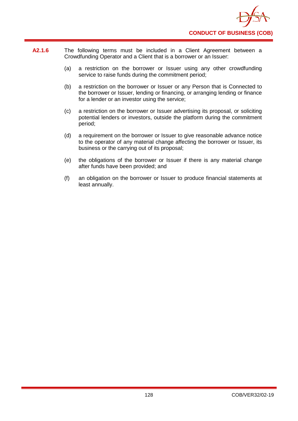

- **A2.1.6** The following terms must be included in a Client Agreement between a Crowdfunding Operator and a Client that is a borrower or an Issuer:
	- (a) a restriction on the borrower or Issuer using any other crowdfunding service to raise funds during the commitment period;
	- (b) a restriction on the borrower or Issuer or any Person that is Connected to the borrower or Issuer, lending or financing, or arranging lending or finance for a lender or an investor using the service;
	- (c) a restriction on the borrower or Issuer advertising its proposal, or soliciting potential lenders or investors, outside the platform during the commitment period;
	- (d) a requirement on the borrower or Issuer to give reasonable advance notice to the operator of any material change affecting the borrower or Issuer, its business or the carrying out of its proposal;
	- (e) the obligations of the borrower or Issuer if there is any material change after funds have been provided; and
	- (f) an obligation on the borrower or Issuer to produce financial statements at least annually.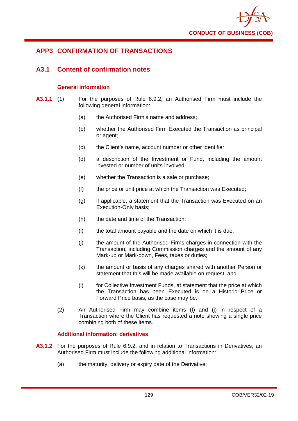

# **APP3 CONFIRMATION OF TRANSACTIONS**

## **A3.1 Content of confirmation notes**

## **General information**

- **A3.1.1** (1) For the purposes of Rule 6.9.2, an Authorised Firm must include the following general information:
	- (a) the Authorised Firm's name and address;
	- (b) whether the Authorised Firm Executed the Transaction as principal or agent;
	- (c) the Client's name, account number or other identifier;
	- (d) a description of the Investment or Fund, including the amount invested or number of units involved;
	- (e) whether the Transaction is a sale or purchase;
	- (f) the price or unit price at which the Transaction was Executed;
	- (g) if applicable, a statement that the Transaction was Executed on an Execution-Only basis;
	- (h) the date and time of the Transaction;
	- (i) the total amount payable and the date on which it is due;
	- (j) the amount of the Authorised Firms charges in connection with the Transaction, including Commission charges and the amount of any Mark-up or Mark-down, Fees, taxes or duties;
	- (k) the amount or basis of any charges shared with another Person or statement that this will be made available on request; and
	- (l) for Collective Investment Funds, at statement that the price at which the Transaction has been Executed is on a Historic Price or Forward Price basis, as the case may be.
	- (2) An Authorised Firm may combine items (f) and (j) in respect of a Transaction where the Client has requested a note showing a single price combining both of these items.

## **Additional information: derivatives**

- **A3.1.2** For the purposes of Rule 6.9.2, and in relation to Transactions in Derivatives, an Authorised Firm must include the following additional information:
	- (a) the maturity, delivery or expiry date of the Derivative;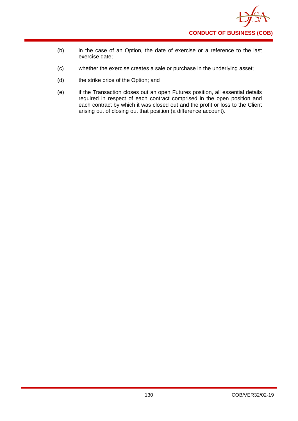

- (b) in the case of an Option, the date of exercise or a reference to the last exercise date;
- (c) whether the exercise creates a sale or purchase in the underlying asset;
- (d) the strike price of the Option; and
- (e) if the Transaction closes out an open Futures position, all essential details required in respect of each contract comprised in the open position and each contract by which it was closed out and the profit or loss to the Client arising out of closing out that position (a difference account).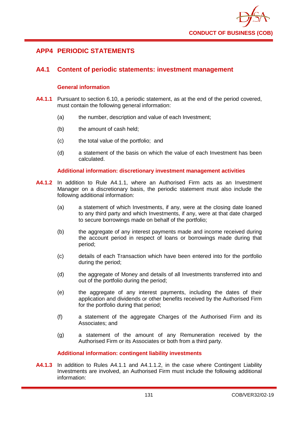

## **APP4 PERIODIC STATEMENTS**

## **A4.1 Content of periodic statements: investment management**

### **General information**

- **A4.1.1** Pursuant to section 6.10, a periodic statement, as at the end of the period covered, must contain the following general information:
	- (a) the number, description and value of each Investment;
	- (b) the amount of cash held;
	- (c) the total value of the portfolio; and
	- (d) a statement of the basis on which the value of each Investment has been calculated.

#### **Additional information: discretionary investment management activities**

- **A4.1.2** In addition to Rule A4.1.1, where an Authorised Firm acts as an Investment Manager on a discretionary basis, the periodic statement must also include the following additional information:
	- (a) a statement of which Investments, if any, were at the closing date loaned to any third party and which Investments, if any, were at that date charged to secure borrowings made on behalf of the portfolio;
	- (b) the aggregate of any interest payments made and income received during the account period in respect of loans or borrowings made during that period;
	- (c) details of each Transaction which have been entered into for the portfolio during the period;
	- (d) the aggregate of Money and details of all Investments transferred into and out of the portfolio during the period;
	- (e) the aggregate of any interest payments, including the dates of their application and dividends or other benefits received by the Authorised Firm for the portfolio during that period;
	- (f) a statement of the aggregate Charges of the Authorised Firm and its Associates; and
	- (g) a statement of the amount of any Remuneration received by the Authorised Firm or its Associates or both from a third party.

## **Additional information: contingent liability investments**

**A4.1.3** In addition to Rules A4.1.1 and A4.1.1.2, in the case where Contingent Liability Investments are involved, an Authorised Firm must include the following additional information: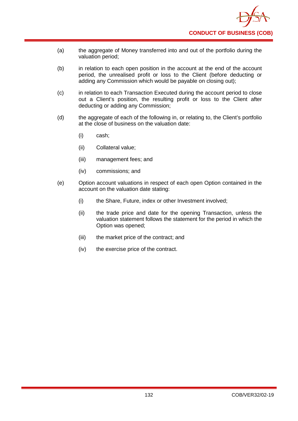

- (a) the aggregate of Money transferred into and out of the portfolio during the valuation period;
- (b) in relation to each open position in the account at the end of the account period, the unrealised profit or loss to the Client (before deducting or adding any Commission which would be payable on closing out);
- (c) in relation to each Transaction Executed during the account period to close out a Client's position, the resulting profit or loss to the Client after deducting or adding any Commission;
- (d) the aggregate of each of the following in, or relating to, the Client's portfolio at the close of business on the valuation date:
	- (i) cash;
	- (ii) Collateral value;
	- (iii) management fees; and
	- (iv) commissions; and
- (e) Option account valuations in respect of each open Option contained in the account on the valuation date stating:
	- (i) the Share, Future, index or other Investment involved;
	- (ii) the trade price and date for the opening Transaction, unless the valuation statement follows the statement for the period in which the Option was opened;
	- (iii) the market price of the contract; and
	- (iv) the exercise price of the contract.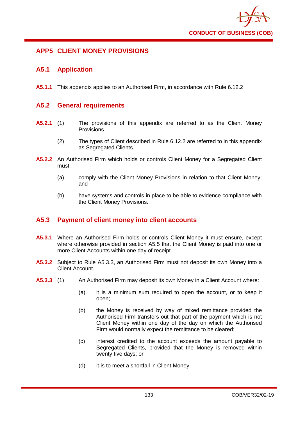

# **APP5 CLIENT MONEY PROVISIONS**

## **A5.1 Application**

**A5.1.1** This appendix applies to an Authorised Firm, in accordance with Rule 6.12.2

## **A5.2 General requirements**

- **A5.2.1** (1) The provisions of this appendix are referred to as the Client Money Provisions.
	- (2) The types of Client described in Rule 6.12.2 are referred to in this appendix as Segregated Clients.
- **A5.2.2** An Authorised Firm which holds or controls Client Money for a Segregated Client must:
	- (a) comply with the Client Money Provisions in relation to that Client Money; and
	- (b) have systems and controls in place to be able to evidence compliance with the Client Money Provisions.

# **A5.3 Payment of client money into client accounts**

- A5.3.1 Where an Authorised Firm holds or controls Client Money it must ensure, except where otherwise provided in section A5.5 that the Client Money is paid into one or more Client Accounts within one day of receipt.
- **A5.3.2** Subject to Rule A5.3.3, an Authorised Firm must not deposit its own Money into a Client Account.
- **A5.3.3** (1) An Authorised Firm may deposit its own Money in a Client Account where:
	- (a) it is a minimum sum required to open the account, or to keep it open;
	- (b) the Money is received by way of mixed remittance provided the Authorised Firm transfers out that part of the payment which is not Client Money within one day of the day on which the Authorised Firm would normally expect the remittance to be cleared;
	- (c) interest credited to the account exceeds the amount payable to Segregated Clients, provided that the Money is removed within twenty five days; or
	- (d) it is to meet a shortfall in Client Money.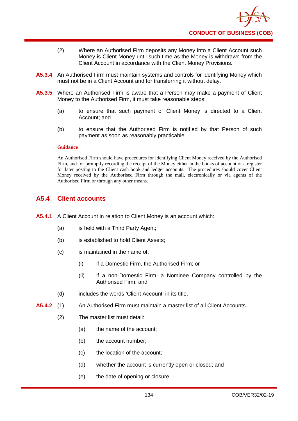- (2) Where an Authorised Firm deposits any Money into a Client Account such Money is Client Money until such time as the Money is withdrawn from the Client Account in accordance with the Client Money Provisions.
- **A5.3.4** An Authorised Firm must maintain systems and controls for identifying Money which must not be in a Client Account and for transferring it without delay.
- **A5.3.5** Where an Authorised Firm is aware that a Person may make a payment of Client Money to the Authorised Firm, it must take reasonable steps:
	- (a) to ensure that such payment of Client Money is directed to a Client Account; and
	- (b) to ensure that the Authorised Firm is notified by that Person of such payment as soon as reasonably practicable.

#### **Guidance**

An Authorised Firm should have procedures for identifying Client Money received by the Authorised Firm, and for promptly recording the receipt of the Money either in the books of account or a register for later posting to the Client cash book and ledger accounts. The procedures should cover Client Money received by the Authorised Firm through the mail, electronically or via agents of the Authorised Firm or through any other means.

## **A5.4 Client accounts**

- **A5.4.1** A Client Account in relation to Client Money is an account which:
	- (a) is held with a Third Party Agent;
	- (b) is established to hold Client Assets;
	- (c) is maintained in the name of;
		- (i) if a Domestic Firm, the Authorised Firm; or
		- (ii) if a non-Domestic Firm, a Nominee Company controlled by the Authorised Firm; and
	- (d) includes the words 'Client Account' in its title.
- **A5.4.2** (1) An Authorised Firm must maintain a master list of all Client Accounts.
	- (2) The master list must detail:
		- (a) the name of the account;
		- (b) the account number;
		- (c) the location of the account;
		- (d) whether the account is currently open or closed; and
		- (e) the date of opening or closure.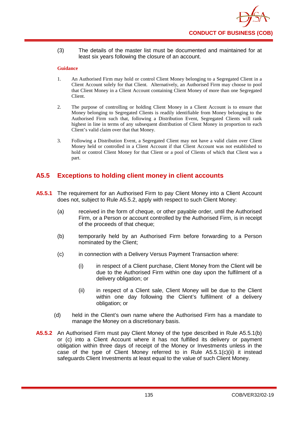(3) The details of the master list must be documented and maintained for at least six years following the closure of an account.

#### **Guidance**

- 1. An Authorised Firm may hold or control Client Money belonging to a Segregated Client in a Client Account solely for that Client. Alternatively, an Authorised Firm may choose to pool that Client Money in a Client Account containing Client Money of more than one Segregated Client.
- 2. The purpose of controlling or holding Client Money in a Client Account is to ensure that Money belonging to Segregated Clients is readily identifiable from Money belonging to the Authorised Firm such that, following a Distribution Event, Segregated Clients will rank highest in line in terms of any subsequent distribution of Client Money in proportion to each Client's valid claim over that that Money.
- 3. Following a Distribution Event, a Segregated Client may not have a valid claim over Client Money held or controlled in a Client Account if that Client Account was not established to hold or control Client Money for that Client or a pool of Clients of which that Client was a part.

# **A5.5 Exceptions to holding client money in client accounts**

- **A5.5.1** The requirement for an Authorised Firm to pay Client Money into a Client Account does not, subject to Rule A5.5.2, apply with respect to such Client Money:
	- (a) received in the form of cheque, or other payable order, until the Authorised Firm, or a Person or account controlled by the Authorised Firm, is in receipt of the proceeds of that cheque;
	- (b) temporarily held by an Authorised Firm before forwarding to a Person nominated by the Client;
	- (c) in connection with a Delivery Versus Payment Transaction where:
		- (i) in respect of a Client purchase, Client Money from the Client will be due to the Authorised Firm within one day upon the fulfilment of a delivery obligation; or
		- (ii) in respect of a Client sale, Client Money will be due to the Client within one day following the Client's fulfilment of a delivery obligation; or
	- (d) held in the Client's own name where the Authorised Firm has a mandate to manage the Money on a discretionary basis.
- **A5.5.2** An Authorised Firm must pay Client Money of the type described in Rule A5.5.1(b) or (c) into a Client Account where it has not fulfilled its delivery or payment obligation within three days of receipt of the Money or Investments unless in the case of the type of Client Money referred to in Rule A5.5.1(c)(ii) it instead safeguards Client Investments at least equal to the value of such Client Money.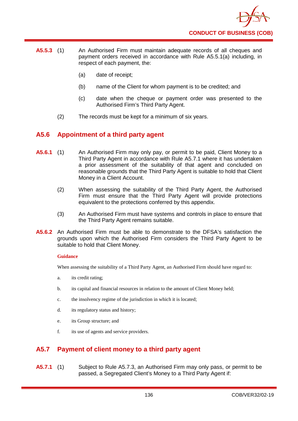

- **A5.5.3** (1) An Authorised Firm must maintain adequate records of all cheques and payment orders received in accordance with Rule A5.5.1(a) including, in respect of each payment, the:
	- (a) date of receipt;
	- (b) name of the Client for whom payment is to be credited; and
	- (c) date when the cheque or payment order was presented to the Authorised Firm's Third Party Agent.
	- (2) The records must be kept for a minimum of six years.

## **A5.6 Appointment of a third party agent**

- **A5.6.1** (1) An Authorised Firm may only pay, or permit to be paid, Client Money to a Third Party Agent in accordance with Rule A5.7.1 where it has undertaken a prior assessment of the suitability of that agent and concluded on reasonable grounds that the Third Party Agent is suitable to hold that Client Money in a Client Account.
	- (2) When assessing the suitability of the Third Party Agent, the Authorised Firm must ensure that the Third Party Agent will provide protections equivalent to the protections conferred by this appendix.
	- (3) An Authorised Firm must have systems and controls in place to ensure that the Third Party Agent remains suitable.
- **A5.6.2** An Authorised Firm must be able to demonstrate to the DFSA's satisfaction the grounds upon which the Authorised Firm considers the Third Party Agent to be suitable to hold that Client Money.

#### **Guidance**

When assessing the suitability of a Third Party Agent, an Authorised Firm should have regard to:

- a. its credit rating;
- b. its capital and financial resources in relation to the amount of Client Money held;
- c. the insolvency regime of the jurisdiction in which it is located;
- d. its regulatory status and history;
- e. its Group structure; and
- f. its use of agents and service providers.

# **A5.7 Payment of client money to a third party agent**

**A5.7.1** (1) Subject to Rule A5.7.3, an Authorised Firm may only pass, or permit to be passed, a Segregated Client's Money to a Third Party Agent if: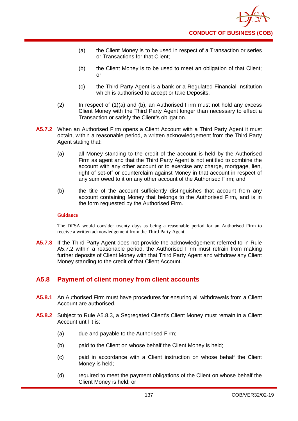- (a) the Client Money is to be used in respect of a Transaction or series or Transactions for that Client;
- (b) the Client Money is to be used to meet an obligation of that Client; or
- (c) the Third Party Agent is a bank or a Regulated Financial Institution which is authorised to accept or take Deposits.
- (2) In respect of (1)(a) and (b), an Authorised Firm must not hold any excess Client Money with the Third Party Agent longer than necessary to effect a Transaction or satisfy the Client's obligation.
- **A5.7.2** When an Authorised Firm opens a Client Account with a Third Party Agent it must obtain, within a reasonable period, a written acknowledgement from the Third Party Agent stating that:
	- (a) all Money standing to the credit of the account is held by the Authorised Firm as agent and that the Third Party Agent is not entitled to combine the account with any other account or to exercise any charge, mortgage, lien, right of set-off or counterclaim against Money in that account in respect of any sum owed to it on any other account of the Authorised Firm; and
	- (b) the title of the account sufficiently distinguishes that account from any account containing Money that belongs to the Authorised Firm, and is in the form requested by the Authorised Firm.

#### **Guidance**

The DFSA would consider twenty days as being a reasonable period for an Authorised Firm to receive a written acknowledgement from the Third Party Agent.

**A5.7.3** If the Third Party Agent does not provide the acknowledgement referred to in Rule A5.7.2 within a reasonable period, the Authorised Firm must refrain from making further deposits of Client Money with that Third Party Agent and withdraw any Client Money standing to the credit of that Client Account.

# **A5.8 Payment of client money from client accounts**

- **A5.8.1** An Authorised Firm must have procedures for ensuring all withdrawals from a Client Account are authorised.
- **A5.8.2** Subject to Rule A5.8.3, a Segregated Client's Client Money must remain in a Client Account until it is:
	- (a) due and payable to the Authorised Firm;
	- (b) paid to the Client on whose behalf the Client Money is held;
	- (c) paid in accordance with a Client instruction on whose behalf the Client Money is held;
	- (d) required to meet the payment obligations of the Client on whose behalf the Client Money is held; or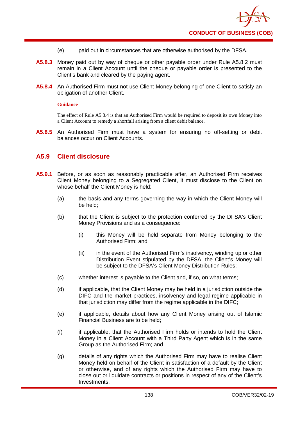- (e) paid out in circumstances that are otherwise authorised by the DFSA.
- **A5.8.3** Money paid out by way of cheque or other payable order under Rule A5.8.2 must remain in a Client Account until the cheque or payable order is presented to the Client's bank and cleared by the paying agent.
- **A5.8.4** An Authorised Firm must not use Client Money belonging of one Client to satisfy an obligation of another Client.

#### **Guidance**

The effect of Rule A5.8.4 is that an Authorised Firm would be required to deposit its own Money into a Client Account to remedy a shortfall arising from a client debit balance.

**A5.8.5** An Authorised Firm must have a system for ensuring no off-setting or debit balances occur on Client Accounts.

## **A5.9 Client disclosure**

- **A5.9.1** Before, or as soon as reasonably practicable after, an Authorised Firm receives Client Money belonging to a Segregated Client, it must disclose to the Client on whose behalf the Client Money is held:
	- (a) the basis and any terms governing the way in which the Client Money will be held;
	- (b) that the Client is subject to the protection conferred by the DFSA's Client Money Provisions and as a consequence:
		- (i) this Money will be held separate from Money belonging to the Authorised Firm; and
		- (ii) in the event of the Authorised Firm's insolvency, winding up or other Distribution Event stipulated by the DFSA, the Client's Money will be subject to the DFSA's Client Money Distribution Rules;
	- (c) whether interest is payable to the Client and, if so, on what terms;
	- (d) if applicable, that the Client Money may be held in a jurisdiction outside the DIFC and the market practices, insolvency and legal regime applicable in that jurisdiction may differ from the regime applicable in the DIFC;
	- (e) if applicable, details about how any Client Money arising out of Islamic Financial Business are to be held;
	- (f) if applicable, that the Authorised Firm holds or intends to hold the Client Money in a Client Account with a Third Party Agent which is in the same Group as the Authorised Firm; and
	- (g) details of any rights which the Authorised Firm may have to realise Client Money held on behalf of the Client in satisfaction of a default by the Client or otherwise, and of any rights which the Authorised Firm may have to close out or liquidate contracts or positions in respect of any of the Client's Investments.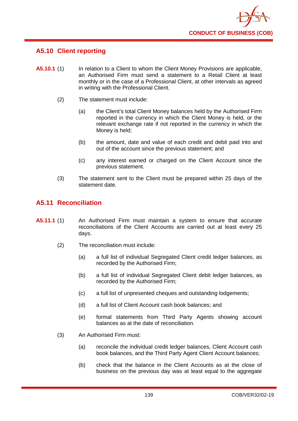

# **A5.10 Client reporting**

- **A5.10.1** (1) In relation to a Client to whom the Client Money Provisions are applicable, an Authorised Firm must send a statement to a Retail Client at least monthly or in the case of a Professional Client, at other intervals as agreed in writing with the Professional Client.
	- (2) The statement must include:
		- (a) the Client's total Client Money balances held by the Authorised Firm reported in the currency in which the Client Money is held, or the relevant exchange rate if not reported in the currency in which the Money is held;
		- (b) the amount, date and value of each credit and debit paid into and out of the account since the previous statement; and
		- (c) any interest earned or charged on the Client Account since the previous statement.
	- (3) The statement sent to the Client must be prepared within 25 days of the statement date.

## **A5.11 Reconciliation**

- **A5.11.1** (1) An Authorised Firm must maintain a system to ensure that accurate reconciliations of the Client Accounts are carried out at least every 25 days.
	- (2) The reconciliation must include:
		- (a) a full list of individual Segregated Client credit ledger balances, as recorded by the Authorised Firm;
		- (b) a full list of individual Segregated Client debit ledger balances, as recorded by the Authorised Firm;
		- (c) a full list of unpresented cheques and outstanding lodgements;
		- (d) a full list of Client Account cash book balances; and
		- (e) formal statements from Third Party Agents showing account balances as at the date of reconciliation.
	- (3) An Authorised Firm must:
		- (a) reconcile the individual credit ledger balances, Client Account cash book balances, and the Third Party Agent Client Account balances;
		- (b) check that the balance in the Client Accounts as at the close of business on the previous day was at least equal to the aggregate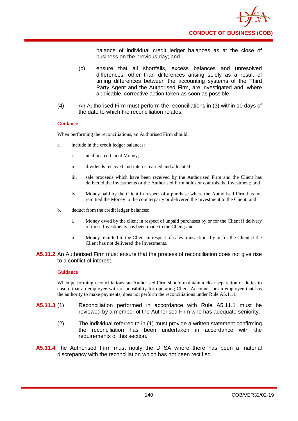

balance of individual credit ledger balances as at the close of business on the previous day; and

- (c) ensure that all shortfalls, excess balances and unresolved differences, other than differences arising solely as a result of timing differences between the accounting systems of the Third Party Agent and the Authorised Firm, are investigated and, where applicable, corrective action taken as soon as possible.
- (4) An Authorised Firm must perform the reconciliations in (3) within 10 days of the date to which the reconciliation relates.

#### **Guidance**

When performing the reconciliations, an Authorised Firm should:

- a. include in the credit ledger balances:
	- i. unallocated Client Money;
	- ii. dividends received and interest earned and allocated;
	- iii. sale proceeds which have been received by the Authorised Firm and the Client has delivered the Investments or the Authorised Firm holds or controls the Investment; and
	- iv. Money paid by the Client in respect of a purchase where the Authorised Firm has not remitted the Money to the counterparty or delivered the Investment to the Client; and
- b. deduct from the credit ledger balances:
	- i. Money owed by the client in respect of unpaid purchases by or for the Client if delivery of those Investments has been made to the Client; and
	- ii. Money remitted to the Client in respect of sales transactions by or for the Client if the Client has not delivered the Investments.

#### **A5.11.2** An Authorised Firm must ensure that the process of reconciliation does not give rise to a conflict of interest.

#### **Guidance**

When performing reconciliations, an Authorised Firm should maintain a clear separation of duties to ensure that an employee with responsibility for operating Client Accounts, or an employee that has the authority to make payments, does not perform the reconciliations under Rule A5.11.1

- **A5.11.3** (1) Reconciliation performed in accordance with Rule A5.11.1 must be reviewed by a member of the Authorised Firm who has adequate seniority.
	- (2) The individual referred to in (1) must provide a written statement confirming the reconciliation has been undertaken in accordance with the requirements of this section.
- **A5.11.4** The Authorised Firm must notify the DFSA where there has been a material discrepancy with the reconciliation which has not been rectified.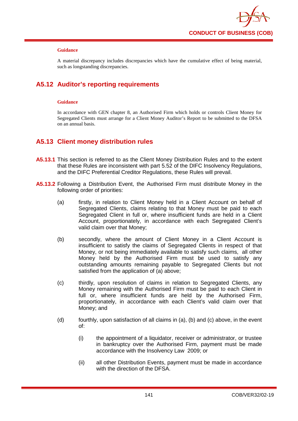

A material discrepancy includes discrepancies which have the cumulative effect of being material, such as longstanding discrepancies.

# **A5.12 Auditor's reporting requirements**

### **Guidance**

In accordance with GEN chapter 8, an Authorised Firm which holds or controls Client Money for Segregated Clients must arrange for a Client Money Auditor's Report to be submitted to the DFSA on an annual basis.

## **A5.13 Client money distribution rules**

- **A5.13.1** This section is referred to as the Client Money Distribution Rules and to the extent that these Rules are inconsistent with part 5.52 of the DIFC Insolvency Regulations, and the DIFC Preferential Creditor Regulations, these Rules will prevail.
- **A5.13.2** Following a Distribution Event, the Authorised Firm must distribute Money in the following order of priorities:
	- (a) firstly, in relation to Client Money held in a Client Account on behalf of Segregated Clients, claims relating to that Money must be paid to each Segregated Client in full or, where insufficient funds are held in a Client Account, proportionately, in accordance with each Segregated Client's valid claim over that Money;
	- (b) secondly, where the amount of Client Money in a Client Account is insufficient to satisfy the claims of Segregated Clients in respect of that Money, or not being immediately available to satisfy such claims, all other Money held by the Authorised Firm must be used to satisfy any outstanding amounts remaining payable to Segregated Clients but not satisfied from the application of (a) above;
	- (c) thirdly, upon resolution of claims in relation to Segregated Clients, any Money remaining with the Authorised Firm must be paid to each Client in full or, where insufficient funds are held by the Authorised Firm, proportionately, in accordance with each Client's valid claim over that Money; and
	- (d) fourthly, upon satisfaction of all claims in (a), (b) and (c) above, in the event of:
		- (i) the appointment of a liquidator, receiver or administrator, or trustee in bankruptcy over the Authorised Firm, payment must be made accordance with the Insolvency Law 2009; or
		- (ii) all other Distribution Events, payment must be made in accordance with the direction of the DFSA.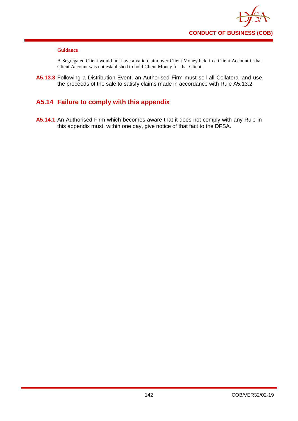

A Segregated Client would not have a valid claim over Client Money held in a Client Account if that Client Account was not established to hold Client Money for that Client.

**A5.13.3** Following a Distribution Event, an Authorised Firm must sell all Collateral and use the proceeds of the sale to satisfy claims made in accordance with Rule A5.13.2

# **A5.14 Failure to comply with this appendix**

**A5.14.1** An Authorised Firm which becomes aware that it does not comply with any Rule in this appendix must, within one day, give notice of that fact to the DFSA.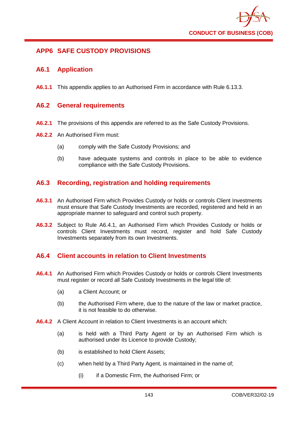

# **APP6 SAFE CUSTODY PROVISIONS**

## **A6.1 Application**

**A6.1.1** This appendix applies to an Authorised Firm in accordance with Rule 6.13.3.

## **A6.2 General requirements**

- **A6.2.1** The provisions of this appendix are referred to as the Safe Custody Provisions.
- **A6.2.2** An Authorised Firm must:
	- (a) comply with the Safe Custody Provisions; and
	- (b) have adequate systems and controls in place to be able to evidence compliance with the Safe Custody Provisions.

## **A6.3 Recording, registration and holding requirements**

- **A6.3.1** An Authorised Firm which Provides Custody or holds or controls Client Investments must ensure that Safe Custody Investments are recorded, registered and held in an appropriate manner to safeguard and control such property.
- **A6.3.2** Subject to Rule A6.4.1, an Authorised Firm which Provides Custody or holds or controls Client Investments must record, register and hold Safe Custody Investments separately from its own Investments.

## **A6.4 Client accounts in relation to Client Investments**

- **A6.4.1** An Authorised Firm which Provides Custody or holds or controls Client Investments must register or record all Safe Custody Investments in the legal title of:
	- (a) a Client Account; or
	- (b) the Authorised Firm where, due to the nature of the law or market practice, it is not feasible to do otherwise.
- **A6.4.2** A Client Account in relation to Client Investments is an account which:
	- (a) is held with a Third Party Agent or by an Authorised Firm which is authorised under its Licence to provide Custody;
	- (b) is established to hold Client Assets;
	- (c) when held by a Third Party Agent, is maintained in the name of;
		- (i) if a Domestic Firm, the Authorised Firm; or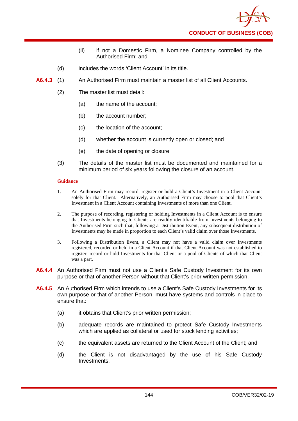

- (ii) if not a Domestic Firm, a Nominee Company controlled by the Authorised Firm; and
- (d) includes the words 'Client Account' in its title.
- **A6.4.3** (1) An Authorised Firm must maintain a master list of all Client Accounts.
	- (2) The master list must detail:
		- (a) the name of the account;
		- (b) the account number;
		- (c) the location of the account;
		- (d) whether the account is currently open or closed; and
		- (e) the date of opening or closure.
	- (3) The details of the master list must be documented and maintained for a minimum period of six years following the closure of an account.

- 1. An Authorised Firm may record, register or hold a Client's Investment in a Client Account solely for that Client. Alternatively, an Authorised Firm may choose to pool that Client's Investment in a Client Account containing Investments of more than one Client.
- 2. The purpose of recording, registering or holding Investments in a Client Account is to ensure that Investments belonging to Clients are readily identifiable from Investments belonging to the Authorised Firm such that, following a Distribution Event, any subsequent distribution of Investments may be made in proportion to each Client's valid claim over those Investments.
- 3. Following a Distribution Event, a Client may not have a valid claim over Investments registered, recorded or held in a Client Account if that Client Account was not established to register, record or hold Investments for that Client or a pool of Clients of which that Client was a part.
- **A6.4.4** An Authorised Firm must not use a Client's Safe Custody Investment for its own purpose or that of another Person without that Client's prior written permission.
- **A6.4.5** An Authorised Firm which intends to use a Client's Safe Custody Investments for its own purpose or that of another Person, must have systems and controls in place to ensure that:
	- (a) it obtains that Client's prior written permission;
	- (b) adequate records are maintained to protect Safe Custody Investments which are applied as collateral or used for stock lending activities;
	- (c) the equivalent assets are returned to the Client Account of the Client; and
	- (d) the Client is not disadvantaged by the use of his Safe Custody Investments.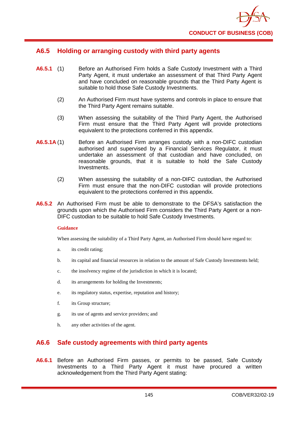

## **A6.5 Holding or arranging custody with third party agents**

- **A6.5.1** (1) Before an Authorised Firm holds a Safe Custody Investment with a Third Party Agent, it must undertake an assessment of that Third Party Agent and have concluded on reasonable grounds that the Third Party Agent is suitable to hold those Safe Custody Investments.
	- (2) An Authorised Firm must have systems and controls in place to ensure that the Third Party Agent remains suitable.
	- (3) When assessing the suitability of the Third Party Agent, the Authorised Firm must ensure that the Third Party Agent will provide protections equivalent to the protections conferred in this appendix.
- **A6.5.1A** (1) Before an Authorised Firm arranges custody with a non-DIFC custodian authorised and supervised by a Financial Services Regulator, it must undertake an assessment of that custodian and have concluded, on reasonable grounds, that it is suitable to hold the Safe Custody Investments.
	- (2) When assessing the suitability of a non-DIFC custodian, the Authorised Firm must ensure that the non-DIFC custodian will provide protections equivalent to the protections conferred in this appendix.
- **A6.5.2** An Authorised Firm must be able to demonstrate to the DFSA's satisfaction the grounds upon which the Authorised Firm considers the Third Party Agent or a non-DIFC custodian to be suitable to hold Safe Custody Investments.

### **Guidance**

When assessing the suitability of a Third Party Agent, an Authorised Firm should have regard to:

- a. its credit rating;
- b. its capital and financial resources in relation to the amount of Safe Custody Investments held;
- c. the insolvency regime of the jurisdiction in which it is located;
- d. its arrangements for holding the Investments;
- e. its regulatory status, expertise, reputation and history;
- f. its Group structure;
- g. its use of agents and service providers; and
- h. any other activities of the agent.

## **A6.6 Safe custody agreements with third party agents**

**A6.6.1** Before an Authorised Firm passes, or permits to be passed, Safe Custody Investments to a Third Party Agent it must have procured a written acknowledgement from the Third Party Agent stating: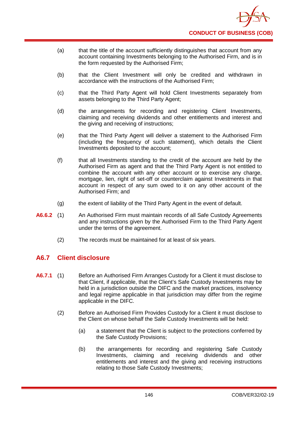- (a) that the title of the account sufficiently distinguishes that account from any account containing Investments belonging to the Authorised Firm, and is in the form requested by the Authorised Firm;
- (b) that the Client Investment will only be credited and withdrawn in accordance with the instructions of the Authorised Firm;
- (c) that the Third Party Agent will hold Client Investments separately from assets belonging to the Third Party Agent;
- (d) the arrangements for recording and registering Client Investments, claiming and receiving dividends and other entitlements and interest and the giving and receiving of instructions;
- (e) that the Third Party Agent will deliver a statement to the Authorised Firm (including the frequency of such statement), which details the Client Investments deposited to the account;
- (f) that all Investments standing to the credit of the account are held by the Authorised Firm as agent and that the Third Party Agent is not entitled to combine the account with any other account or to exercise any charge, mortgage, lien, right of set-off or counterclaim against Investments in that account in respect of any sum owed to it on any other account of the Authorised Firm; and
- (g) the extent of liability of the Third Party Agent in the event of default.
- **A6.6.2** (1) An Authorised Firm must maintain records of all Safe Custody Agreements and any instructions given by the Authorised Firm to the Third Party Agent under the terms of the agreement.
	- (2) The records must be maintained for at least of six years.

# **A6.7 Client disclosure**

- **A6.7.1** (1) Before an Authorised Firm Arranges Custody for a Client it must disclose to that Client, if applicable, that the Client's Safe Custody Investments may be held in a jurisdiction outside the DIFC and the market practices, insolvency and legal regime applicable in that jurisdiction may differ from the regime applicable in the DIFC.
	- (2) Before an Authorised Firm Provides Custody for a Client it must disclose to the Client on whose behalf the Safe Custody Investments will be held:
		- (a) a statement that the Client is subject to the protections conferred by the Safe Custody Provisions;
		- (b) the arrangements for recording and registering Safe Custody Investments, claiming and receiving dividends and other entitlements and interest and the giving and receiving instructions relating to those Safe Custody Investments;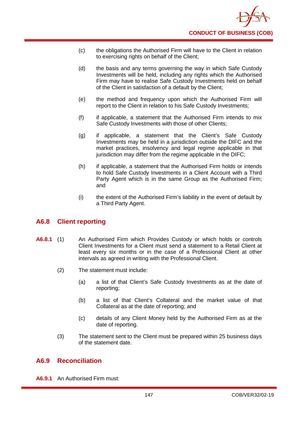- (c) the obligations the Authorised Firm will have to the Client in relation to exercising rights on behalf of the Client;
- (d) the basis and any terms governing the way in which Safe Custody Investments will be held, including any rights which the Authorised Firm may have to realise Safe Custody Investments held on behalf of the Client in satisfaction of a default by the Client;
- (e) the method and frequency upon which the Authorised Firm will report to the Client in relation to his Safe Custody Investments;
- (f) if applicable, a statement that the Authorised Firm intends to mix Safe Custody Investments with those of other Clients;
- (g) if applicable, a statement that the Client's Safe Custody Investments may be held in a jurisdiction outside the DIFC and the market practices, insolvency and legal regime applicable in that jurisdiction may differ from the regime applicable in the DIFC;
- (h) if applicable, a statement that the Authorised Firm holds or intends to hold Safe Custody Investments in a Client Account with a Third Party Agent which is in the same Group as the Authorised Firm; and
- (i) the extent of the Authorised Firm's liability in the event of default by a Third Party Agent.

## **A6.8 Client reporting**

- **A6.8.1** (1) An Authorised Firm which Provides Custody or which holds or controls Client Investments for a Client must send a statement to a Retail Client at least every six months or in the case of a Professional Client at other intervals as agreed in writing with the Professional Client.
	- (2) The statement must include:
		- (a) a list of that Client's Safe Custody Investments as at the date of reporting;
		- (b) a list of that Client's Collateral and the market value of that Collateral as at the date of reporting; and
		- (c) details of any Client Money held by the Authorised Firm as at the date of reporting.
	- (3) The statement sent to the Client must be prepared within 25 business days of the statement date.

## **A6.9 Reconciliation**

**A6.9.1** An Authorised Firm must: